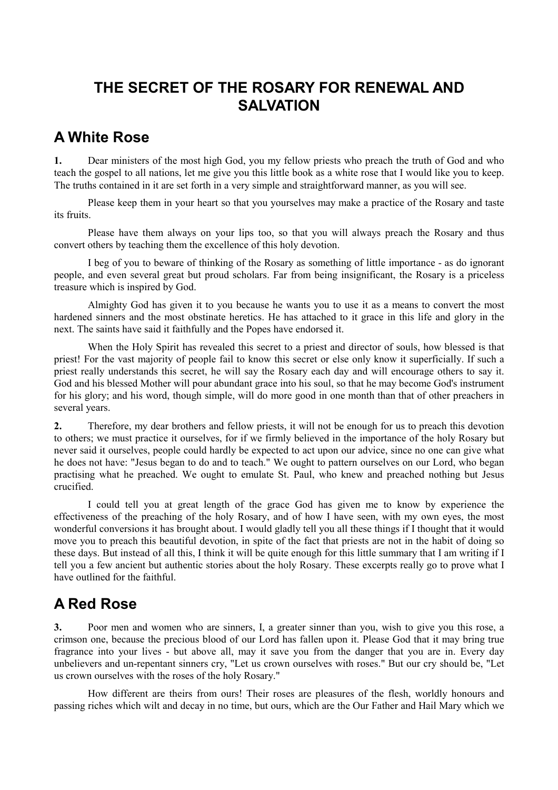# **THE SECRET OF THE ROSARY FOR RENEWAL AND SALVATION**

# **A White Rose**

**1.** Dear ministers of the most high God, you my fellow priests who preach the truth of God and who teach the gospel to all nations, let me give you this little book as a white rose that I would like you to keep. The truths contained in it are set forth in a very simple and straightforward manner, as you will see.

 Please keep them in your heart so that you yourselves may make a practice of the Rosary and taste its fruits.

 Please have them always on your lips too, so that you will always preach the Rosary and thus convert others by teaching them the excellence of this holy devotion.

 I beg of you to beware of thinking of the Rosary as something of little importance - as do ignorant people, and even several great but proud scholars. Far from being insignificant, the Rosary is a priceless treasure which is inspired by God.

 Almighty God has given it to you because he wants you to use it as a means to convert the most hardened sinners and the most obstinate heretics. He has attached to it grace in this life and glory in the next. The saints have said it faithfully and the Popes have endorsed it.

 When the Holy Spirit has revealed this secret to a priest and director of souls, how blessed is that priest! For the vast majority of people fail to know this secret or else only know it superficially. If such a priest really understands this secret, he will say the Rosary each day and will encourage others to say it. God and his blessed Mother will pour abundant grace into his soul, so that he may become God's instrument for his glory; and his word, though simple, will do more good in one month than that of other preachers in several years.

**2.** Therefore, my dear brothers and fellow priests, it will not be enough for us to preach this devotion to others; we must practice it ourselves, for if we firmly believed in the importance of the holy Rosary but never said it ourselves, people could hardly be expected to act upon our advice, since no one can give what he does not have: "Jesus began to do and to teach." We ought to pattern ourselves on our Lord, who began practising what he preached. We ought to emulate St. Paul, who knew and preached nothing but Jesus crucified.

 I could tell you at great length of the grace God has given me to know by experience the effectiveness of the preaching of the holy Rosary, and of how I have seen, with my own eyes, the most wonderful conversions it has brought about. I would gladly tell you all these things if I thought that it would move you to preach this beautiful devotion, in spite of the fact that priests are not in the habit of doing so these days. But instead of all this, I think it will be quite enough for this little summary that I am writing if I tell you a few ancient but authentic stories about the holy Rosary. These excerpts really go to prove what I have outlined for the faithful.

# **A Red Rose**

**3.** Poor men and women who are sinners, I, a greater sinner than you, wish to give you this rose, a crimson one, because the precious blood of our Lord has fallen upon it. Please God that it may bring true fragrance into your lives - but above all, may it save you from the danger that you are in. Every day unbelievers and un-repentant sinners cry, "Let us crown ourselves with roses." But our cry should be, "Let us crown ourselves with the roses of the holy Rosary."

 How different are theirs from ours! Their roses are pleasures of the flesh, worldly honours and passing riches which wilt and decay in no time, but ours, which are the Our Father and Hail Mary which we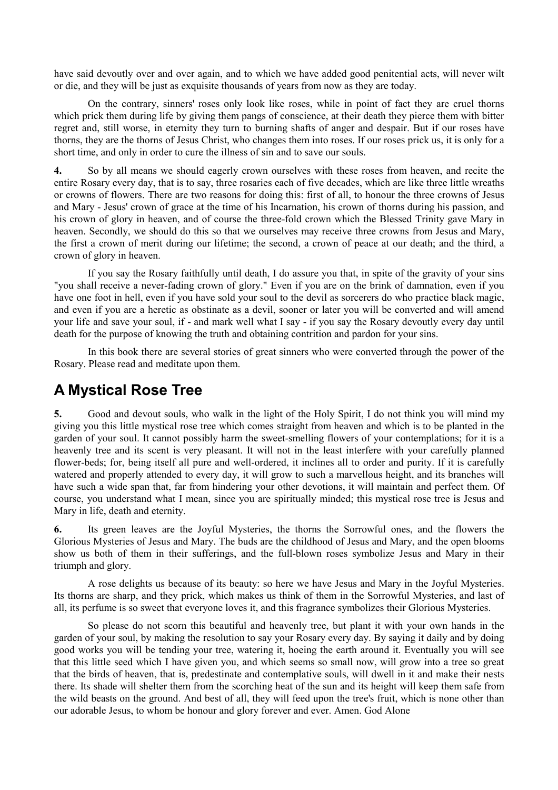have said devoutly over and over again, and to which we have added good penitential acts, will never wilt or die, and they will be just as exquisite thousands of years from now as they are today.

 On the contrary, sinners' roses only look like roses, while in point of fact they are cruel thorns which prick them during life by giving them pangs of conscience, at their death they pierce them with bitter regret and, still worse, in eternity they turn to burning shafts of anger and despair. But if our roses have thorns, they are the thorns of Jesus Christ, who changes them into roses. If our roses prick us, it is only for a short time, and only in order to cure the illness of sin and to save our souls.

**4.** So by all means we should eagerly crown ourselves with these roses from heaven, and recite the entire Rosary every day, that is to say, three rosaries each of five decades, which are like three little wreaths or crowns of flowers. There are two reasons for doing this: first of all, to honour the three crowns of Jesus and Mary - Jesus' crown of grace at the time of his Incarnation, his crown of thorns during his passion, and his crown of glory in heaven, and of course the three-fold crown which the Blessed Trinity gave Mary in heaven. Secondly, we should do this so that we ourselves may receive three crowns from Jesus and Mary, the first a crown of merit during our lifetime; the second, a crown of peace at our death; and the third, a crown of glory in heaven.

 If you say the Rosary faithfully until death, I do assure you that, in spite of the gravity of your sins "you shall receive a never-fading crown of glory." Even if you are on the brink of damnation, even if you have one foot in hell, even if you have sold your soul to the devil as sorcerers do who practice black magic, and even if you are a heretic as obstinate as a devil, sooner or later you will be converted and will amend your life and save your soul, if - and mark well what I say - if you say the Rosary devoutly every day until death for the purpose of knowing the truth and obtaining contrition and pardon for your sins.

 In this book there are several stories of great sinners who were converted through the power of the Rosary. Please read and meditate upon them.

# **A Mystical Rose Tree**

**5.** Good and devout souls, who walk in the light of the Holy Spirit, I do not think you will mind my giving you this little mystical rose tree which comes straight from heaven and which is to be planted in the garden of your soul. It cannot possibly harm the sweet-smelling flowers of your contemplations; for it is a heavenly tree and its scent is very pleasant. It will not in the least interfere with your carefully planned flower-beds; for, being itself all pure and well-ordered, it inclines all to order and purity. If it is carefully watered and properly attended to every day, it will grow to such a marvellous height, and its branches will have such a wide span that, far from hindering your other devotions, it will maintain and perfect them. Of course, you understand what I mean, since you are spiritually minded; this mystical rose tree is Jesus and Mary in life, death and eternity.

**6.** Its green leaves are the Joyful Mysteries, the thorns the Sorrowful ones, and the flowers the Glorious Mysteries of Jesus and Mary. The buds are the childhood of Jesus and Mary, and the open blooms show us both of them in their sufferings, and the full-blown roses symbolize Jesus and Mary in their triumph and glory.

 A rose delights us because of its beauty: so here we have Jesus and Mary in the Joyful Mysteries. Its thorns are sharp, and they prick, which makes us think of them in the Sorrowful Mysteries, and last of all, its perfume is so sweet that everyone loves it, and this fragrance symbolizes their Glorious Mysteries.

 So please do not scorn this beautiful and heavenly tree, but plant it with your own hands in the garden of your soul, by making the resolution to say your Rosary every day. By saying it daily and by doing good works you will be tending your tree, watering it, hoeing the earth around it. Eventually you will see that this little seed which I have given you, and which seems so small now, will grow into a tree so great that the birds of heaven, that is, predestinate and contemplative souls, will dwell in it and make their nests there. Its shade will shelter them from the scorching heat of the sun and its height will keep them safe from the wild beasts on the ground. And best of all, they will feed upon the tree's fruit, which is none other than our adorable Jesus, to whom be honour and glory forever and ever. Amen. God Alone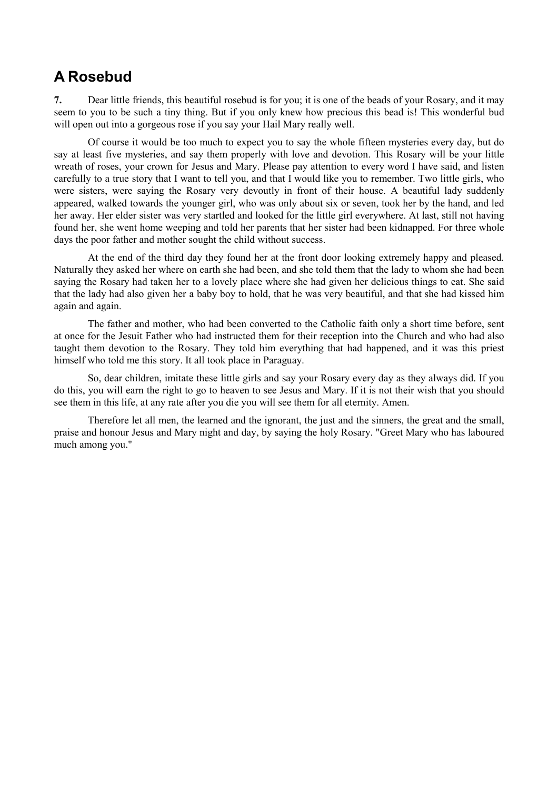## **A Rosebud**

**7.** Dear little friends, this beautiful rosebud is for you; it is one of the beads of your Rosary, and it may seem to you to be such a tiny thing. But if you only knew how precious this bead is! This wonderful bud will open out into a gorgeous rose if you say your Hail Mary really well.

 Of course it would be too much to expect you to say the whole fifteen mysteries every day, but do say at least five mysteries, and say them properly with love and devotion. This Rosary will be your little wreath of roses, your crown for Jesus and Mary. Please pay attention to every word I have said, and listen carefully to a true story that I want to tell you, and that I would like you to remember. Two little girls, who were sisters, were saying the Rosary very devoutly in front of their house. A beautiful lady suddenly appeared, walked towards the younger girl, who was only about six or seven, took her by the hand, and led her away. Her elder sister was very startled and looked for the little girl everywhere. At last, still not having found her, she went home weeping and told her parents that her sister had been kidnapped. For three whole days the poor father and mother sought the child without success.

 At the end of the third day they found her at the front door looking extremely happy and pleased. Naturally they asked her where on earth she had been, and she told them that the lady to whom she had been saying the Rosary had taken her to a lovely place where she had given her delicious things to eat. She said that the lady had also given her a baby boy to hold, that he was very beautiful, and that she had kissed him again and again.

 The father and mother, who had been converted to the Catholic faith only a short time before, sent at once for the Jesuit Father who had instructed them for their reception into the Church and who had also taught them devotion to the Rosary. They told him everything that had happened, and it was this priest himself who told me this story. It all took place in Paraguay.

 So, dear children, imitate these little girls and say your Rosary every day as they always did. If you do this, you will earn the right to go to heaven to see Jesus and Mary. If it is not their wish that you should see them in this life, at any rate after you die you will see them for all eternity. Amen.

 Therefore let all men, the learned and the ignorant, the just and the sinners, the great and the small, praise and honour Jesus and Mary night and day, by saying the holy Rosary. "Greet Mary who has laboured much among you."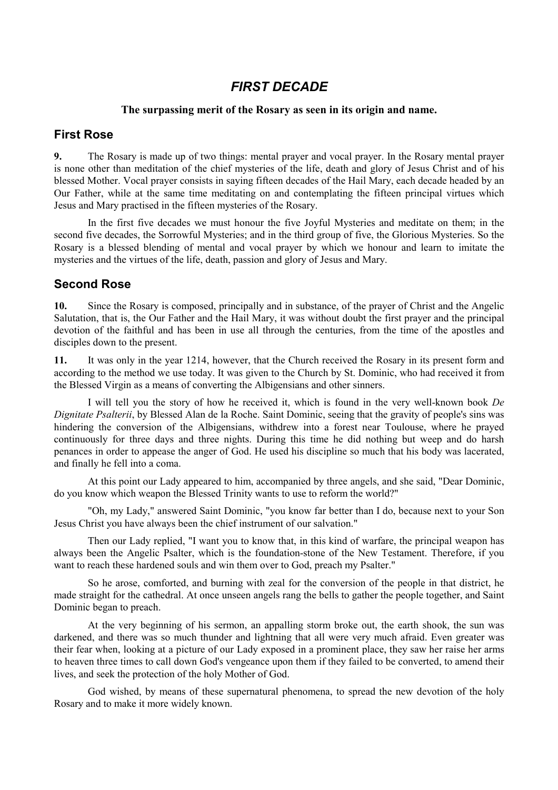## *FIRST DECADE*

#### **The surpassing merit of the Rosary as seen in its origin and name.**

## **First Rose**

**9.** The Rosary is made up of two things: mental prayer and vocal prayer. In the Rosary mental prayer is none other than meditation of the chief mysteries of the life, death and glory of Jesus Christ and of his blessed Mother. Vocal prayer consists in saying fifteen decades of the Hail Mary, each decade headed by an Our Father, while at the same time meditating on and contemplating the fifteen principal virtues which Jesus and Mary practised in the fifteen mysteries of the Rosary.

 In the first five decades we must honour the five Joyful Mysteries and meditate on them; in the second five decades, the Sorrowful Mysteries; and in the third group of five, the Glorious Mysteries. So the Rosary is a blessed blending of mental and vocal prayer by which we honour and learn to imitate the mysteries and the virtues of the life, death, passion and glory of Jesus and Mary.

## **Second Rose**

**10.** Since the Rosary is composed, principally and in substance, of the prayer of Christ and the Angelic Salutation, that is, the Our Father and the Hail Mary, it was without doubt the first prayer and the principal devotion of the faithful and has been in use all through the centuries, from the time of the apostles and disciples down to the present.

**11.** It was only in the year 1214, however, that the Church received the Rosary in its present form and according to the method we use today. It was given to the Church by St. Dominic, who had received it from the Blessed Virgin as a means of converting the Albigensians and other sinners.

 I will tell you the story of how he received it, which is found in the very well-known book *De Dignitate Psalterii*, by Blessed Alan de la Roche. Saint Dominic, seeing that the gravity of people's sins was hindering the conversion of the Albigensians, withdrew into a forest near Toulouse, where he prayed continuously for three days and three nights. During this time he did nothing but weep and do harsh penances in order to appease the anger of God. He used his discipline so much that his body was lacerated, and finally he fell into a coma.

 At this point our Lady appeared to him, accompanied by three angels, and she said, "Dear Dominic, do you know which weapon the Blessed Trinity wants to use to reform the world?"

 "Oh, my Lady," answered Saint Dominic, "you know far better than I do, because next to your Son Jesus Christ you have always been the chief instrument of our salvation."

 Then our Lady replied, "I want you to know that, in this kind of warfare, the principal weapon has always been the Angelic Psalter, which is the foundation-stone of the New Testament. Therefore, if you want to reach these hardened souls and win them over to God, preach my Psalter."

 So he arose, comforted, and burning with zeal for the conversion of the people in that district, he made straight for the cathedral. At once unseen angels rang the bells to gather the people together, and Saint Dominic began to preach.

 At the very beginning of his sermon, an appalling storm broke out, the earth shook, the sun was darkened, and there was so much thunder and lightning that all were very much afraid. Even greater was their fear when, looking at a picture of our Lady exposed in a prominent place, they saw her raise her arms to heaven three times to call down God's vengeance upon them if they failed to be converted, to amend their lives, and seek the protection of the holy Mother of God.

 God wished, by means of these supernatural phenomena, to spread the new devotion of the holy Rosary and to make it more widely known.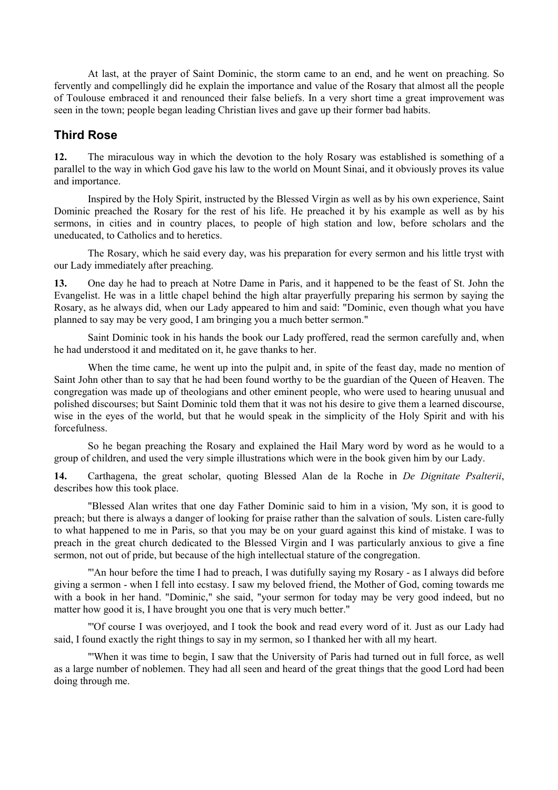At last, at the prayer of Saint Dominic, the storm came to an end, and he went on preaching. So fervently and compellingly did he explain the importance and value of the Rosary that almost all the people of Toulouse embraced it and renounced their false beliefs. In a very short time a great improvement was seen in the town; people began leading Christian lives and gave up their former bad habits.

## **Third Rose**

**12.** The miraculous way in which the devotion to the holy Rosary was established is something of a parallel to the way in which God gave his law to the world on Mount Sinai, and it obviously proves its value and importance.

 Inspired by the Holy Spirit, instructed by the Blessed Virgin as well as by his own experience, Saint Dominic preached the Rosary for the rest of his life. He preached it by his example as well as by his sermons, in cities and in country places, to people of high station and low, before scholars and the uneducated, to Catholics and to heretics.

 The Rosary, which he said every day, was his preparation for every sermon and his little tryst with our Lady immediately after preaching.

**13.** One day he had to preach at Notre Dame in Paris, and it happened to be the feast of St. John the Evangelist. He was in a little chapel behind the high altar prayerfully preparing his sermon by saying the Rosary, as he always did, when our Lady appeared to him and said: "Dominic, even though what you have planned to say may be very good, I am bringing you a much better sermon."

 Saint Dominic took in his hands the book our Lady proffered, read the sermon carefully and, when he had understood it and meditated on it, he gave thanks to her.

 When the time came, he went up into the pulpit and, in spite of the feast day, made no mention of Saint John other than to say that he had been found worthy to be the guardian of the Queen of Heaven. The congregation was made up of theologians and other eminent people, who were used to hearing unusual and polished discourses; but Saint Dominic told them that it was not his desire to give them a learned discourse, wise in the eyes of the world, but that he would speak in the simplicity of the Holy Spirit and with his forcefulness.

 So he began preaching the Rosary and explained the Hail Mary word by word as he would to a group of children, and used the very simple illustrations which were in the book given him by our Lady.

**14.** Carthagena, the great scholar, quoting Blessed Alan de la Roche in *De Dignitate Psalterii*, describes how this took place.

 "Blessed Alan writes that one day Father Dominic said to him in a vision, 'My son, it is good to preach; but there is always a danger of looking for praise rather than the salvation of souls. Listen care-fully to what happened to me in Paris, so that you may be on your guard against this kind of mistake. I was to preach in the great church dedicated to the Blessed Virgin and I was particularly anxious to give a fine sermon, not out of pride, but because of the high intellectual stature of the congregation.

"'An hour before the time I had to preach, I was dutifully saying my Rosary - as I always did before giving a sermon - when I fell into ecstasy. I saw my beloved friend, the Mother of God, coming towards me with a book in her hand. "Dominic," she said, "your sermon for today may be very good indeed, but no matter how good it is, I have brought you one that is very much better."

 "'Of course I was overjoyed, and I took the book and read every word of it. Just as our Lady had said, I found exactly the right things to say in my sermon, so I thanked her with all my heart.

 "'When it was time to begin, I saw that the University of Paris had turned out in full force, as well as a large number of noblemen. They had all seen and heard of the great things that the good Lord had been doing through me.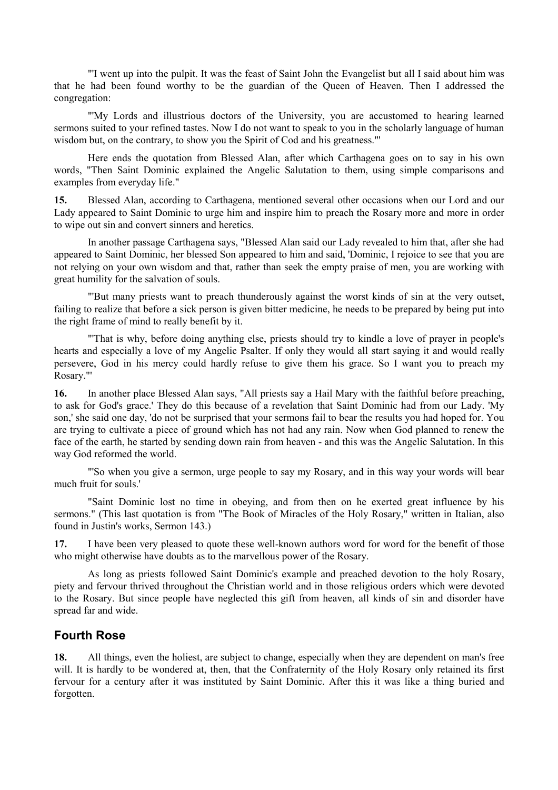"'I went up into the pulpit. It was the feast of Saint John the Evangelist but all I said about him was that he had been found worthy to be the guardian of the Queen of Heaven. Then I addressed the congregation:

 "'My Lords and illustrious doctors of the University, you are accustomed to hearing learned sermons suited to your refined tastes. Now I do not want to speak to you in the scholarly language of human wisdom but, on the contrary, to show you the Spirit of Cod and his greatness."

 Here ends the quotation from Blessed Alan, after which Carthagena goes on to say in his own words, "Then Saint Dominic explained the Angelic Salutation to them, using simple comparisons and examples from everyday life."

**15.** Blessed Alan, according to Carthagena, mentioned several other occasions when our Lord and our Lady appeared to Saint Dominic to urge him and inspire him to preach the Rosary more and more in order to wipe out sin and convert sinners and heretics.

 In another passage Carthagena says, "Blessed Alan said our Lady revealed to him that, after she had appeared to Saint Dominic, her blessed Son appeared to him and said, 'Dominic, I rejoice to see that you are not relying on your own wisdom and that, rather than seek the empty praise of men, you are working with great humility for the salvation of souls.

 "'But many priests want to preach thunderously against the worst kinds of sin at the very outset, failing to realize that before a sick person is given bitter medicine, he needs to be prepared by being put into the right frame of mind to really benefit by it.

 "'That is why, before doing anything else, priests should try to kindle a love of prayer in people's hearts and especially a love of my Angelic Psalter. If only they would all start saying it and would really persevere, God in his mercy could hardly refuse to give them his grace. So I want you to preach my Rosary."'

**16.** In another place Blessed Alan says, "All priests say a Hail Mary with the faithful before preaching, to ask for God's grace.' They do this because of a revelation that Saint Dominic had from our Lady. 'My son,' she said one day, 'do not be surprised that your sermons fail to bear the results you had hoped for. You are trying to cultivate a piece of ground which has not had any rain. Now when God planned to renew the face of the earth, he started by sending down rain from heaven - and this was the Angelic Salutation. In this way God reformed the world.

 "'So when you give a sermon, urge people to say my Rosary, and in this way your words will bear much fruit for souls.'

 "Saint Dominic lost no time in obeying, and from then on he exerted great influence by his sermons." (This last quotation is from "The Book of Miracles of the Holy Rosary," written in Italian, also found in Justin's works, Sermon 143.)

**17.** I have been very pleased to quote these well-known authors word for word for the benefit of those who might otherwise have doubts as to the marvellous power of the Rosary.

 As long as priests followed Saint Dominic's example and preached devotion to the holy Rosary, piety and fervour thrived throughout the Christian world and in those religious orders which were devoted to the Rosary. But since people have neglected this gift from heaven, all kinds of sin and disorder have spread far and wide.

## **Fourth Rose**

**18.** All things, even the holiest, are subject to change, especially when they are dependent on man's free will. It is hardly to be wondered at, then, that the Confraternity of the Holy Rosary only retained its first fervour for a century after it was instituted by Saint Dominic. After this it was like a thing buried and forgotten.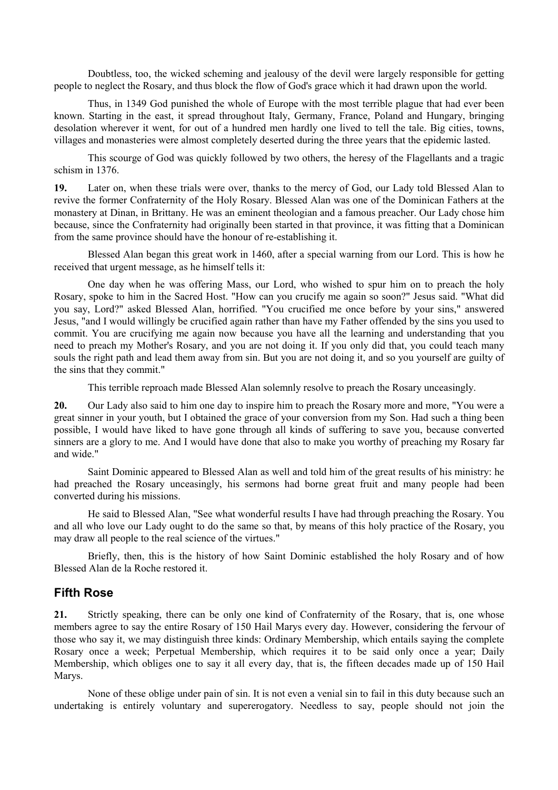Doubtless, too, the wicked scheming and jealousy of the devil were largely responsible for getting people to neglect the Rosary, and thus block the flow of God's grace which it had drawn upon the world.

 Thus, in 1349 God punished the whole of Europe with the most terrible plague that had ever been known. Starting in the east, it spread throughout Italy, Germany, France, Poland and Hungary, bringing desolation wherever it went, for out of a hundred men hardly one lived to tell the tale. Big cities, towns, villages and monasteries were almost completely deserted during the three years that the epidemic lasted.

 This scourge of God was quickly followed by two others, the heresy of the Flagellants and a tragic schism in 1376.

**19.** Later on, when these trials were over, thanks to the mercy of God, our Lady told Blessed Alan to revive the former Confraternity of the Holy Rosary. Blessed Alan was one of the Dominican Fathers at the monastery at Dinan, in Brittany. He was an eminent theologian and a famous preacher. Our Lady chose him because, since the Confraternity had originally been started in that province, it was fitting that a Dominican from the same province should have the honour of re-establishing it.

 Blessed Alan began this great work in 1460, after a special warning from our Lord. This is how he received that urgent message, as he himself tells it:

 One day when he was offering Mass, our Lord, who wished to spur him on to preach the holy Rosary, spoke to him in the Sacred Host. "How can you crucify me again so soon?" Jesus said. "What did you say, Lord?" asked Blessed Alan, horrified. "You crucified me once before by your sins," answered Jesus, "and I would willingly be crucified again rather than have my Father offended by the sins you used to commit. You are crucifying me again now because you have all the learning and understanding that you need to preach my Mother's Rosary, and you are not doing it. If you only did that, you could teach many souls the right path and lead them away from sin. But you are not doing it, and so you yourself are guilty of the sins that they commit."

This terrible reproach made Blessed Alan solemnly resolve to preach the Rosary unceasingly.

**20.** Our Lady also said to him one day to inspire him to preach the Rosary more and more, "You were a great sinner in your youth, but I obtained the grace of your conversion from my Son. Had such a thing been possible, I would have liked to have gone through all kinds of suffering to save you, because converted sinners are a glory to me. And I would have done that also to make you worthy of preaching my Rosary far and wide."

 Saint Dominic appeared to Blessed Alan as well and told him of the great results of his ministry: he had preached the Rosary unceasingly, his sermons had borne great fruit and many people had been converted during his missions.

 He said to Blessed Alan, "See what wonderful results I have had through preaching the Rosary. You and all who love our Lady ought to do the same so that, by means of this holy practice of the Rosary, you may draw all people to the real science of the virtues."

 Briefly, then, this is the history of how Saint Dominic established the holy Rosary and of how Blessed Alan de la Roche restored it.

#### **Fifth Rose**

**21.** Strictly speaking, there can be only one kind of Confraternity of the Rosary, that is, one whose members agree to say the entire Rosary of 150 Hail Marys every day. However, considering the fervour of those who say it, we may distinguish three kinds: Ordinary Membership, which entails saying the complete Rosary once a week; Perpetual Membership, which requires it to be said only once a year; Daily Membership, which obliges one to say it all every day, that is, the fifteen decades made up of 150 Hail Marys.

 None of these oblige under pain of sin. It is not even a venial sin to fail in this duty because such an undertaking is entirely voluntary and supererogatory. Needless to say, people should not join the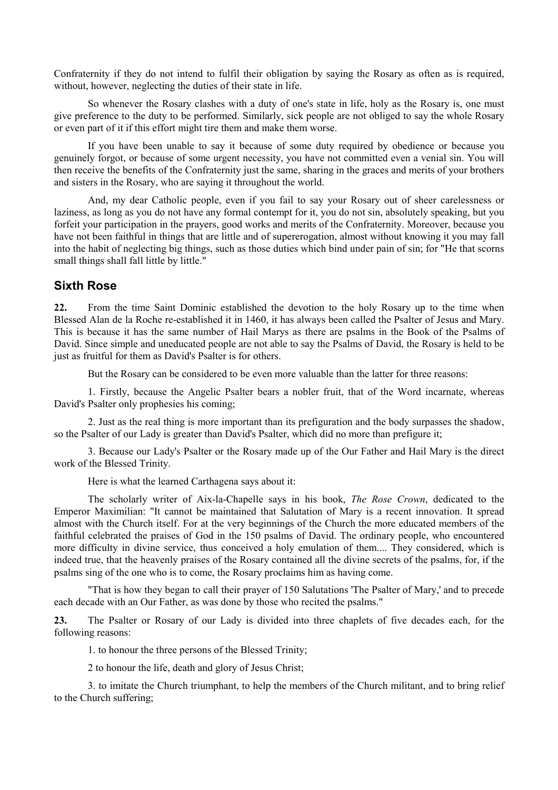Confraternity if they do not intend to fulfil their obligation by saying the Rosary as often as is required, without, however, neglecting the duties of their state in life.

 So whenever the Rosary clashes with a duty of one's state in life, holy as the Rosary is, one must give preference to the duty to be performed. Similarly, sick people are not obliged to say the whole Rosary or even part of it if this effort might tire them and make them worse.

 If you have been unable to say it because of some duty required by obedience or because you genuinely forgot, or because of some urgent necessity, you have not committed even a venial sin. You will then receive the benefits of the Confraternity just the same, sharing in the graces and merits of your brothers and sisters in the Rosary, who are saying it throughout the world.

 And, my dear Catholic people, even if you fail to say your Rosary out of sheer carelessness or laziness, as long as you do not have any formal contempt for it, you do not sin, absolutely speaking, but you forfeit your participation in the prayers, good works and merits of the Confraternity. Moreover, because you have not been faithful in things that are little and of supererogation, almost without knowing it you may fall into the habit of neglecting big things, such as those duties which bind under pain of sin; for "He that scorns small things shall fall little by little."

### **Sixth Rose**

**22.** From the time Saint Dominic established the devotion to the holy Rosary up to the time when Blessed Alan de la Roche re-established it in 1460, it has always been called the Psalter of Jesus and Mary. This is because it has the same number of Hail Marys as there are psalms in the Book of the Psalms of David. Since simple and uneducated people are not able to say the Psalms of David, the Rosary is held to be just as fruitful for them as David's Psalter is for others.

But the Rosary can be considered to be even more valuable than the latter for three reasons:

 1. Firstly, because the Angelic Psalter bears a nobler fruit, that of the Word incarnate, whereas David's Psalter only prophesies his coming;

 2. Just as the real thing is more important than its prefiguration and the body surpasses the shadow, so the Psalter of our Lady is greater than David's Psalter, which did no more than prefigure it;

 3. Because our Lady's Psalter or the Rosary made up of the Our Father and Hail Mary is the direct work of the Blessed Trinity.

Here is what the learned Carthagena says about it:

 The scholarly writer of Aix-la-Chapelle says in his book, *The Rose Crown*, dedicated to the Emperor Maximilian: "It cannot be maintained that Salutation of Mary is a recent innovation. It spread almost with the Church itself. For at the very beginnings of the Church the more educated members of the faithful celebrated the praises of God in the 150 psalms of David. The ordinary people, who encountered more difficulty in divine service, thus conceived a holy emulation of them.... They considered, which is indeed true, that the heavenly praises of the Rosary contained all the divine secrets of the psalms, for, if the psalms sing of the one who is to come, the Rosary proclaims him as having come.

 "That is how they began to call their prayer of 150 Salutations 'The Psalter of Mary,' and to precede each decade with an Our Father, as was done by those who recited the psalms."

**23.** The Psalter or Rosary of our Lady is divided into three chaplets of five decades each, for the following reasons:

1. to honour the three persons of the Blessed Trinity;

2 to honour the life, death and glory of Jesus Christ;

 3. to imitate the Church triumphant, to help the members of the Church militant, and to bring relief to the Church suffering;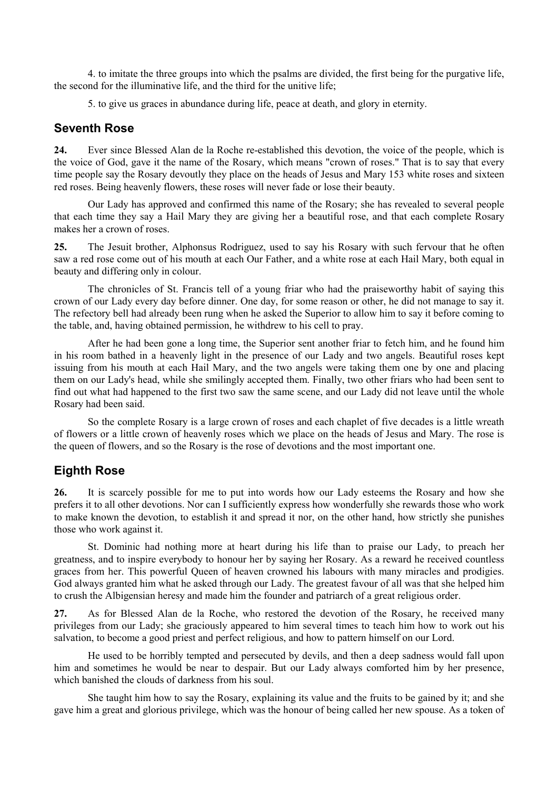4. to imitate the three groups into which the psalms are divided, the first being for the purgative life, the second for the illuminative life, and the third for the unitive life;

5. to give us graces in abundance during life, peace at death, and glory in eternity.

#### **Seventh Rose**

**24.** Ever since Blessed Alan de la Roche re-established this devotion, the voice of the people, which is the voice of God, gave it the name of the Rosary, which means "crown of roses." That is to say that every time people say the Rosary devoutly they place on the heads of Jesus and Mary 153 white roses and sixteen red roses. Being heavenly flowers, these roses will never fade or lose their beauty.

 Our Lady has approved and confirmed this name of the Rosary; she has revealed to several people that each time they say a Hail Mary they are giving her a beautiful rose, and that each complete Rosary makes her a crown of roses.

**25.** The Jesuit brother, Alphonsus Rodriguez, used to say his Rosary with such fervour that he often saw a red rose come out of his mouth at each Our Father, and a white rose at each Hail Mary, both equal in beauty and differing only in colour.

 The chronicles of St. Francis tell of a young friar who had the praiseworthy habit of saying this crown of our Lady every day before dinner. One day, for some reason or other, he did not manage to say it. The refectory bell had already been rung when he asked the Superior to allow him to say it before coming to the table, and, having obtained permission, he withdrew to his cell to pray.

 After he had been gone a long time, the Superior sent another friar to fetch him, and he found him in his room bathed in a heavenly light in the presence of our Lady and two angels. Beautiful roses kept issuing from his mouth at each Hail Mary, and the two angels were taking them one by one and placing them on our Lady's head, while she smilingly accepted them. Finally, two other friars who had been sent to find out what had happened to the first two saw the same scene, and our Lady did not leave until the whole Rosary had been said.

 So the complete Rosary is a large crown of roses and each chaplet of five decades is a little wreath of flowers or a little crown of heavenly roses which we place on the heads of Jesus and Mary. The rose is the queen of flowers, and so the Rosary is the rose of devotions and the most important one.

## **Eighth Rose**

**26.** It is scarcely possible for me to put into words how our Lady esteems the Rosary and how she prefers it to all other devotions. Nor can I sufficiently express how wonderfully she rewards those who work to make known the devotion, to establish it and spread it nor, on the other hand, how strictly she punishes those who work against it.

 St. Dominic had nothing more at heart during his life than to praise our Lady, to preach her greatness, and to inspire everybody to honour her by saying her Rosary. As a reward he received countless graces from her. This powerful Queen of heaven crowned his labours with many miracles and prodigies. God always granted him what he asked through our Lady. The greatest favour of all was that she helped him to crush the Albigensian heresy and made him the founder and patriarch of a great religious order.

**27.** As for Blessed Alan de la Roche, who restored the devotion of the Rosary, he received many privileges from our Lady; she graciously appeared to him several times to teach him how to work out his salvation, to become a good priest and perfect religious, and how to pattern himself on our Lord.

 He used to be horribly tempted and persecuted by devils, and then a deep sadness would fall upon him and sometimes he would be near to despair. But our Lady always comforted him by her presence, which banished the clouds of darkness from his soul.

 She taught him how to say the Rosary, explaining its value and the fruits to be gained by it; and she gave him a great and glorious privilege, which was the honour of being called her new spouse. As a token of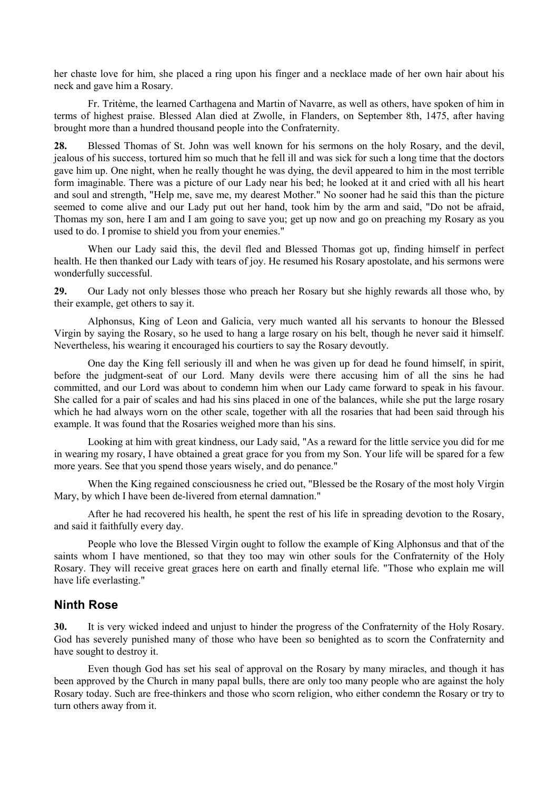her chaste love for him, she placed a ring upon his finger and a necklace made of her own hair about his neck and gave him a Rosary.

 Fr. Tritème, the learned Carthagena and Martin of Navarre, as well as others, have spoken of him in terms of highest praise. Blessed Alan died at Zwolle, in Flanders, on September 8th, 1475, after having brought more than a hundred thousand people into the Confraternity.

**28.** Blessed Thomas of St. John was well known for his sermons on the holy Rosary, and the devil, jealous of his success, tortured him so much that he fell ill and was sick for such a long time that the doctors gave him up. One night, when he really thought he was dying, the devil appeared to him in the most terrible form imaginable. There was a picture of our Lady near his bed; he looked at it and cried with all his heart and soul and strength, "Help me, save me, my dearest Mother." No sooner had he said this than the picture seemed to come alive and our Lady put out her hand, took him by the arm and said, "Do not be afraid, Thomas my son, here I am and I am going to save you; get up now and go on preaching my Rosary as you used to do. I promise to shield you from your enemies."

 When our Lady said this, the devil fled and Blessed Thomas got up, finding himself in perfect health. He then thanked our Lady with tears of joy. He resumed his Rosary apostolate, and his sermons were wonderfully successful.

**29.** Our Lady not only blesses those who preach her Rosary but she highly rewards all those who, by their example, get others to say it.

 Alphonsus, King of Leon and Galicia, very much wanted all his servants to honour the Blessed Virgin by saying the Rosary, so he used to hang a large rosary on his belt, though he never said it himself. Nevertheless, his wearing it encouraged his courtiers to say the Rosary devoutly.

 One day the King fell seriously ill and when he was given up for dead he found himself, in spirit, before the judgment-seat of our Lord. Many devils were there accusing him of all the sins he had committed, and our Lord was about to condemn him when our Lady came forward to speak in his favour. She called for a pair of scales and had his sins placed in one of the balances, while she put the large rosary which he had always worn on the other scale, together with all the rosaries that had been said through his example. It was found that the Rosaries weighed more than his sins.

 Looking at him with great kindness, our Lady said, "As a reward for the little service you did for me in wearing my rosary, I have obtained a great grace for you from my Son. Your life will be spared for a few more years. See that you spend those years wisely, and do penance."

 When the King regained consciousness he cried out, "Blessed be the Rosary of the most holy Virgin Mary, by which I have been de-livered from eternal damnation."

 After he had recovered his health, he spent the rest of his life in spreading devotion to the Rosary, and said it faithfully every day.

 People who love the Blessed Virgin ought to follow the example of King Alphonsus and that of the saints whom I have mentioned, so that they too may win other souls for the Confraternity of the Holy Rosary. They will receive great graces here on earth and finally eternal life. "Those who explain me will have life everlasting."

#### **Ninth Rose**

**30.** It is very wicked indeed and unjust to hinder the progress of the Confraternity of the Holy Rosary. God has severely punished many of those who have been so benighted as to scorn the Confraternity and have sought to destroy it.

 Even though God has set his seal of approval on the Rosary by many miracles, and though it has been approved by the Church in many papal bulls, there are only too many people who are against the holy Rosary today. Such are free-thinkers and those who scorn religion, who either condemn the Rosary or try to turn others away from it.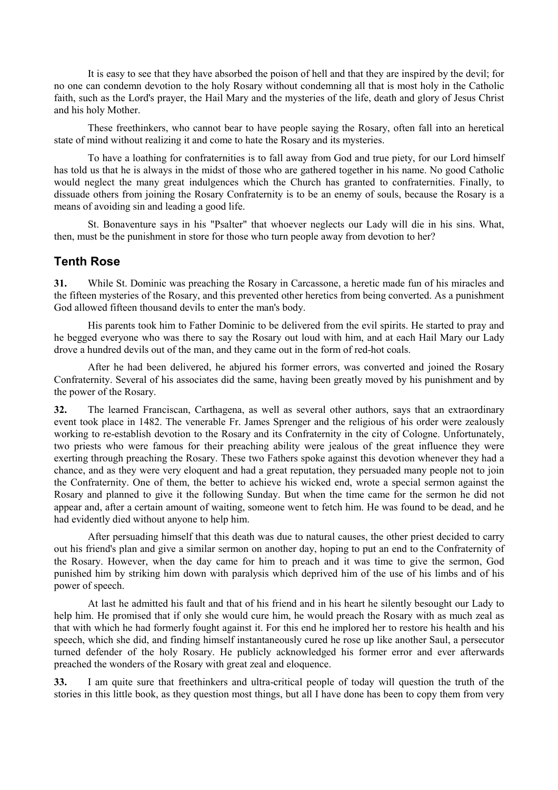It is easy to see that they have absorbed the poison of hell and that they are inspired by the devil; for no one can condemn devotion to the holy Rosary without condemning all that is most holy in the Catholic faith, such as the Lord's prayer, the Hail Mary and the mysteries of the life, death and glory of Jesus Christ and his holy Mother.

 These freethinkers, who cannot bear to have people saying the Rosary, often fall into an heretical state of mind without realizing it and come to hate the Rosary and its mysteries.

 To have a loathing for confraternities is to fall away from God and true piety, for our Lord himself has told us that he is always in the midst of those who are gathered together in his name. No good Catholic would neglect the many great indulgences which the Church has granted to confraternities. Finally, to dissuade others from joining the Rosary Confraternity is to be an enemy of souls, because the Rosary is a means of avoiding sin and leading a good life.

 St. Bonaventure says in his "Psalter" that whoever neglects our Lady will die in his sins. What, then, must be the punishment in store for those who turn people away from devotion to her?

#### **Tenth Rose**

**31.** While St. Dominic was preaching the Rosary in Carcassone, a heretic made fun of his miracles and the fifteen mysteries of the Rosary, and this prevented other heretics from being converted. As a punishment God allowed fifteen thousand devils to enter the man's body.

 His parents took him to Father Dominic to be delivered from the evil spirits. He started to pray and he begged everyone who was there to say the Rosary out loud with him, and at each Hail Mary our Lady drove a hundred devils out of the man, and they came out in the form of red-hot coals.

 After he had been delivered, he abjured his former errors, was converted and joined the Rosary Confraternity. Several of his associates did the same, having been greatly moved by his punishment and by the power of the Rosary.

**32.** The learned Franciscan, Carthagena, as well as several other authors, says that an extraordinary event took place in 1482. The venerable Fr. James Sprenger and the religious of his order were zealously working to re-establish devotion to the Rosary and its Confraternity in the city of Cologne. Unfortunately, two priests who were famous for their preaching ability were jealous of the great influence they were exerting through preaching the Rosary. These two Fathers spoke against this devotion whenever they had a chance, and as they were very eloquent and had a great reputation, they persuaded many people not to join the Confraternity. One of them, the better to achieve his wicked end, wrote a special sermon against the Rosary and planned to give it the following Sunday. But when the time came for the sermon he did not appear and, after a certain amount of waiting, someone went to fetch him. He was found to be dead, and he had evidently died without anyone to help him.

 After persuading himself that this death was due to natural causes, the other priest decided to carry out his friend's plan and give a similar sermon on another day, hoping to put an end to the Confraternity of the Rosary. However, when the day came for him to preach and it was time to give the sermon, God punished him by striking him down with paralysis which deprived him of the use of his limbs and of his power of speech.

 At last he admitted his fault and that of his friend and in his heart he silently besought our Lady to help him. He promised that if only she would cure him, he would preach the Rosary with as much zeal as that with which he had formerly fought against it. For this end he implored her to restore his health and his speech, which she did, and finding himself instantaneously cured he rose up like another Saul, a persecutor turned defender of the holy Rosary. He publicly acknowledged his former error and ever afterwards preached the wonders of the Rosary with great zeal and eloquence.

**33.** I am quite sure that freethinkers and ultra-critical people of today will question the truth of the stories in this little book, as they question most things, but all I have done has been to copy them from very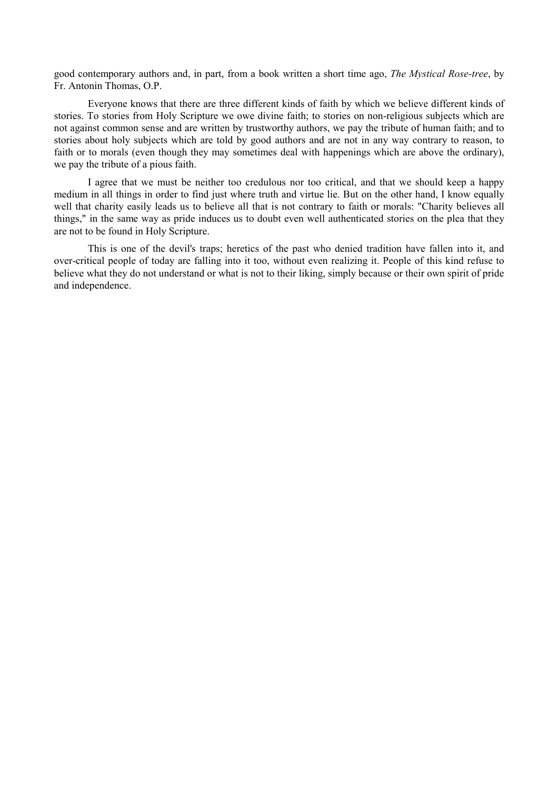good contemporary authors and, in part, from a book written a short time ago, *The Mystical Rose-tree*, by Fr. Antonin Thomas, O.P.

 Everyone knows that there are three different kinds of faith by which we believe different kinds of stories. To stories from Holy Scripture we owe divine faith; to stories on non-religious subjects which are not against common sense and are written by trustworthy authors, we pay the tribute of human faith; and to stories about holy subjects which are told by good authors and are not in any way contrary to reason, to faith or to morals (even though they may sometimes deal with happenings which are above the ordinary), we pay the tribute of a pious faith.

 I agree that we must be neither too credulous nor too critical, and that we should keep a happy medium in all things in order to find just where truth and virtue lie. But on the other hand, I know equally well that charity easily leads us to believe all that is not contrary to faith or morals: "Charity believes all things," in the same way as pride induces us to doubt even well authenticated stories on the plea that they are not to be found in Holy Scripture.

 This is one of the devil's traps; heretics of the past who denied tradition have fallen into it, and over-critical people of today are falling into it too, without even realizing it. People of this kind refuse to believe what they do not understand or what is not to their liking, simply because or their own spirit of pride and independence.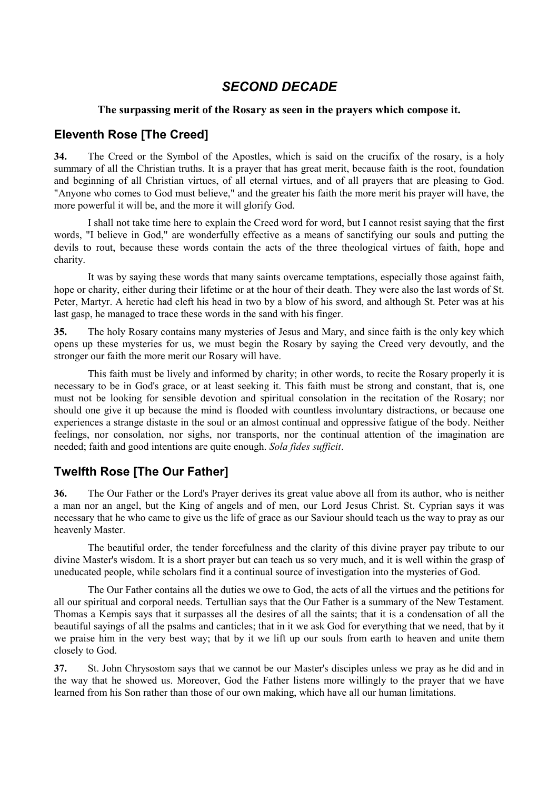## *SECOND DECADE*

#### **The surpassing merit of the Rosary as seen in the prayers which compose it.**

## **Eleventh Rose [The Creed]**

**34.** The Creed or the Symbol of the Apostles, which is said on the crucifix of the rosary, is a holy summary of all the Christian truths. It is a prayer that has great merit, because faith is the root, foundation and beginning of all Christian virtues, of all eternal virtues, and of all prayers that are pleasing to God. "Anyone who comes to God must believe," and the greater his faith the more merit his prayer will have, the more powerful it will be, and the more it will glorify God.

 I shall not take time here to explain the Creed word for word, but I cannot resist saying that the first words, "I believe in God," are wonderfully effective as a means of sanctifying our souls and putting the devils to rout, because these words contain the acts of the three theological virtues of faith, hope and charity.

 It was by saying these words that many saints overcame temptations, especially those against faith, hope or charity, either during their lifetime or at the hour of their death. They were also the last words of St. Peter, Martyr. A heretic had cleft his head in two by a blow of his sword, and although St. Peter was at his last gasp, he managed to trace these words in the sand with his finger.

**35.** The holy Rosary contains many mysteries of Jesus and Mary, and since faith is the only key which opens up these mysteries for us, we must begin the Rosary by saying the Creed very devoutly, and the stronger our faith the more merit our Rosary will have.

 This faith must be lively and informed by charity; in other words, to recite the Rosary properly it is necessary to be in God's grace, or at least seeking it. This faith must be strong and constant, that is, one must not be looking for sensible devotion and spiritual consolation in the recitation of the Rosary; nor should one give it up because the mind is flooded with countless involuntary distractions, or because one experiences a strange distaste in the soul or an almost continual and oppressive fatigue of the body. Neither feelings, nor consolation, nor sighs, nor transports, nor the continual attention of the imagination are needed; faith and good intentions are quite enough. *Sola fides sufficit*.

## **Twelfth Rose [The Our Father]**

**36.** The Our Father or the Lord's Prayer derives its great value above all from its author, who is neither a man nor an angel, but the King of angels and of men, our Lord Jesus Christ. St. Cyprian says it was necessary that he who came to give us the life of grace as our Saviour should teach us the way to pray as our heavenly Master.

 The beautiful order, the tender forcefulness and the clarity of this divine prayer pay tribute to our divine Master's wisdom. It is a short prayer but can teach us so very much, and it is well within the grasp of uneducated people, while scholars find it a continual source of investigation into the mysteries of God.

 The Our Father contains all the duties we owe to God, the acts of all the virtues and the petitions for all our spiritual and corporal needs. Tertullian says that the Our Father is a summary of the New Testament. Thomas a Kempis says that it surpasses all the desires of all the saints; that it is a condensation of all the beautiful sayings of all the psalms and canticles; that in it we ask God for everything that we need, that by it we praise him in the very best way; that by it we lift up our souls from earth to heaven and unite them closely to God.

**37.** St. John Chrysostom says that we cannot be our Master's disciples unless we pray as he did and in the way that he showed us. Moreover, God the Father listens more willingly to the prayer that we have learned from his Son rather than those of our own making, which have all our human limitations.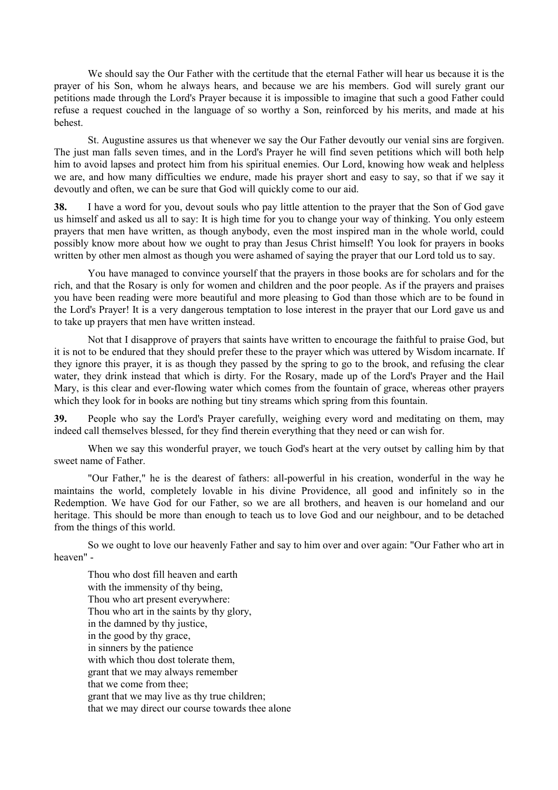We should say the Our Father with the certitude that the eternal Father will hear us because it is the prayer of his Son, whom he always hears, and because we are his members. God will surely grant our petitions made through the Lord's Prayer because it is impossible to imagine that such a good Father could refuse a request couched in the language of so worthy a Son, reinforced by his merits, and made at his behest.

 St. Augustine assures us that whenever we say the Our Father devoutly our venial sins are forgiven. The just man falls seven times, and in the Lord's Prayer he will find seven petitions which will both help him to avoid lapses and protect him from his spiritual enemies. Our Lord, knowing how weak and helpless we are, and how many difficulties we endure, made his prayer short and easy to say, so that if we say it devoutly and often, we can be sure that God will quickly come to our aid.

**38.** I have a word for you, devout souls who pay little attention to the prayer that the Son of God gave us himself and asked us all to say: It is high time for you to change your way of thinking. You only esteem prayers that men have written, as though anybody, even the most inspired man in the whole world, could possibly know more about how we ought to pray than Jesus Christ himself! You look for prayers in books written by other men almost as though you were ashamed of saying the prayer that our Lord told us to say.

 You have managed to convince yourself that the prayers in those books are for scholars and for the rich, and that the Rosary is only for women and children and the poor people. As if the prayers and praises you have been reading were more beautiful and more pleasing to God than those which are to be found in the Lord's Prayer! It is a very dangerous temptation to lose interest in the prayer that our Lord gave us and to take up prayers that men have written instead.

 Not that I disapprove of prayers that saints have written to encourage the faithful to praise God, but it is not to be endured that they should prefer these to the prayer which was uttered by Wisdom incarnate. If they ignore this prayer, it is as though they passed by the spring to go to the brook, and refusing the clear water, they drink instead that which is dirty. For the Rosary, made up of the Lord's Prayer and the Hail Mary, is this clear and ever-flowing water which comes from the fountain of grace, whereas other prayers which they look for in books are nothing but tiny streams which spring from this fountain.

**39.** People who say the Lord's Prayer carefully, weighing every word and meditating on them, may indeed call themselves blessed, for they find therein everything that they need or can wish for.

 When we say this wonderful prayer, we touch God's heart at the very outset by calling him by that sweet name of Father.

 "Our Father," he is the dearest of fathers: all-powerful in his creation, wonderful in the way he maintains the world, completely lovable in his divine Providence, all good and infinitely so in the Redemption. We have God for our Father, so we are all brothers, and heaven is our homeland and our heritage. This should be more than enough to teach us to love God and our neighbour, and to be detached from the things of this world.

 So we ought to love our heavenly Father and say to him over and over again: "Our Father who art in heaven" -

 Thou who dost fill heaven and earth with the immensity of thy being. Thou who art present everywhere: Thou who art in the saints by thy glory, in the damned by thy justice, in the good by thy grace, in sinners by the patience with which thou dost tolerate them, grant that we may always remember that we come from thee; grant that we may live as thy true children; that we may direct our course towards thee alone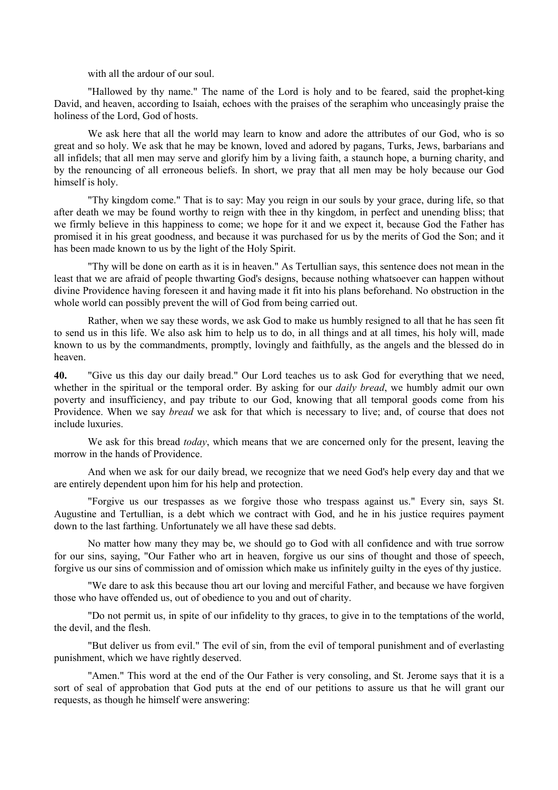with all the ardour of our soul.

 "Hallowed by thy name." The name of the Lord is holy and to be feared, said the prophet-king David, and heaven, according to Isaiah, echoes with the praises of the seraphim who unceasingly praise the holiness of the Lord, God of hosts.

 We ask here that all the world may learn to know and adore the attributes of our God, who is so great and so holy. We ask that he may be known, loved and adored by pagans, Turks, Jews, barbarians and all infidels; that all men may serve and glorify him by a living faith, a staunch hope, a burning charity, and by the renouncing of all erroneous beliefs. In short, we pray that all men may be holy because our God himself is holy.

 "Thy kingdom come." That is to say: May you reign in our souls by your grace, during life, so that after death we may be found worthy to reign with thee in thy kingdom, in perfect and unending bliss; that we firmly believe in this happiness to come; we hope for it and we expect it, because God the Father has promised it in his great goodness, and because it was purchased for us by the merits of God the Son; and it has been made known to us by the light of the Holy Spirit.

 "Thy will be done on earth as it is in heaven." As Tertullian says, this sentence does not mean in the least that we are afraid of people thwarting God's designs, because nothing whatsoever can happen without divine Providence having foreseen it and having made it fit into his plans beforehand. No obstruction in the whole world can possibly prevent the will of God from being carried out.

 Rather, when we say these words, we ask God to make us humbly resigned to all that he has seen fit to send us in this life. We also ask him to help us to do, in all things and at all times, his holy will, made known to us by the commandments, promptly, lovingly and faithfully, as the angels and the blessed do in heaven.

**40.** "Give us this day our daily bread." Our Lord teaches us to ask God for everything that we need, whether in the spiritual or the temporal order. By asking for our *daily bread*, we humbly admit our own poverty and insufficiency, and pay tribute to our God, knowing that all temporal goods come from his Providence. When we say *bread* we ask for that which is necessary to live; and, of course that does not include luxuries.

 We ask for this bread *today*, which means that we are concerned only for the present, leaving the morrow in the hands of Providence.

 And when we ask for our daily bread, we recognize that we need God's help every day and that we are entirely dependent upon him for his help and protection.

 "Forgive us our trespasses as we forgive those who trespass against us." Every sin, says St. Augustine and Tertullian, is a debt which we contract with God, and he in his justice requires payment down to the last farthing. Unfortunately we all have these sad debts.

 No matter how many they may be, we should go to God with all confidence and with true sorrow for our sins, saying, "Our Father who art in heaven, forgive us our sins of thought and those of speech, forgive us our sins of commission and of omission which make us infinitely guilty in the eyes of thy justice.

 "We dare to ask this because thou art our loving and merciful Father, and because we have forgiven those who have offended us, out of obedience to you and out of charity.

 "Do not permit us, in spite of our infidelity to thy graces, to give in to the temptations of the world, the devil, and the flesh.

 "But deliver us from evil." The evil of sin, from the evil of temporal punishment and of everlasting punishment, which we have rightly deserved.

 "Amen." This word at the end of the Our Father is very consoling, and St. Jerome says that it is a sort of seal of approbation that God puts at the end of our petitions to assure us that he will grant our requests, as though he himself were answering: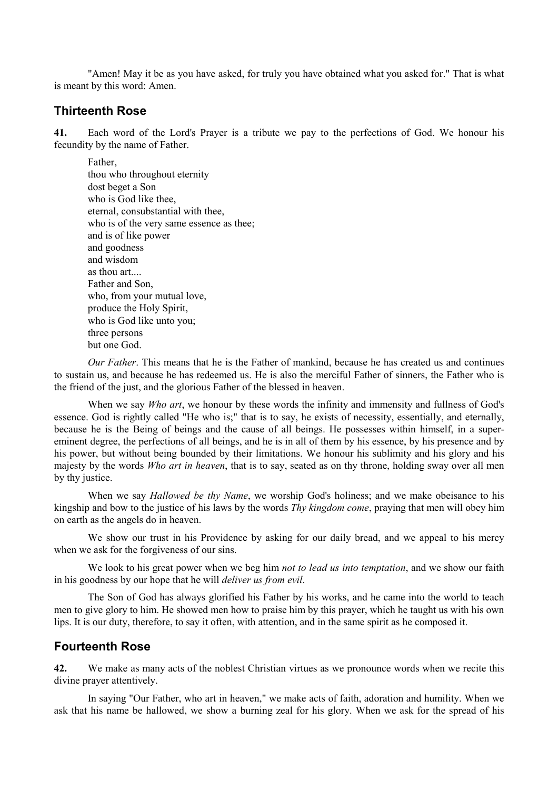"Amen! May it be as you have asked, for truly you have obtained what you asked for." That is what is meant by this word: Amen.

#### **Thirteenth Rose**

**41.** Each word of the Lord's Prayer is a tribute we pay to the perfections of God. We honour his fecundity by the name of Father.

 Father, thou who throughout eternity dost beget a Son who is God like thee, eternal, consubstantial with thee, who is of the very same essence as thee; and is of like power and goodness and wisdom as thou art.... Father and Son, who, from your mutual love, produce the Holy Spirit, who is God like unto you; three persons but one God.

*Our Father*. This means that he is the Father of mankind, because he has created us and continues to sustain us, and because he has redeemed us. He is also the merciful Father of sinners, the Father who is the friend of the just, and the glorious Father of the blessed in heaven.

 When we say *Who art*, we honour by these words the infinity and immensity and fullness of God's essence. God is rightly called "He who is;" that is to say, he exists of necessity, essentially, and eternally, because he is the Being of beings and the cause of all beings. He possesses within himself, in a supereminent degree, the perfections of all beings, and he is in all of them by his essence, by his presence and by his power, but without being bounded by their limitations. We honour his sublimity and his glory and his majesty by the words *Who art in heaven*, that is to say, seated as on thy throne, holding sway over all men by thy justice.

 When we say *Hallowed be thy Name*, we worship God's holiness; and we make obeisance to his kingship and bow to the justice of his laws by the words *Thy kingdom come*, praying that men will obey him on earth as the angels do in heaven.

We show our trust in his Providence by asking for our daily bread, and we appeal to his mercy when we ask for the forgiveness of our sins.

 We look to his great power when we beg him *not to lead us into temptation*, and we show our faith in his goodness by our hope that he will *deliver us from evil*.

 The Son of God has always glorified his Father by his works, and he came into the world to teach men to give glory to him. He showed men how to praise him by this prayer, which he taught us with his own lips. It is our duty, therefore, to say it often, with attention, and in the same spirit as he composed it.

#### **Fourteenth Rose**

**42.** We make as many acts of the noblest Christian virtues as we pronounce words when we recite this divine prayer attentively.

 In saying "Our Father, who art in heaven," we make acts of faith, adoration and humility. When we ask that his name be hallowed, we show a burning zeal for his glory. When we ask for the spread of his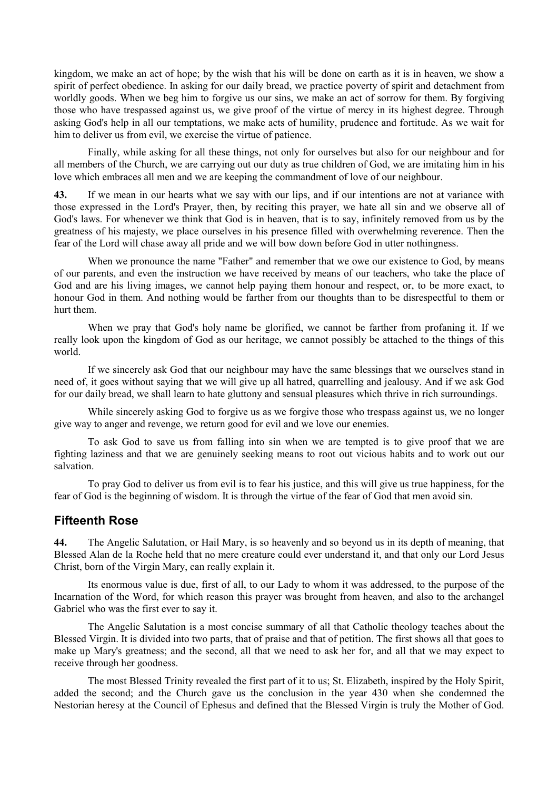kingdom, we make an act of hope; by the wish that his will be done on earth as it is in heaven, we show a spirit of perfect obedience. In asking for our daily bread, we practice poverty of spirit and detachment from worldly goods. When we beg him to forgive us our sins, we make an act of sorrow for them. By forgiving those who have trespassed against us, we give proof of the virtue of mercy in its highest degree. Through asking God's help in all our temptations, we make acts of humility, prudence and fortitude. As we wait for him to deliver us from evil, we exercise the virtue of patience.

 Finally, while asking for all these things, not only for ourselves but also for our neighbour and for all members of the Church, we are carrying out our duty as true children of God, we are imitating him in his love which embraces all men and we are keeping the commandment of love of our neighbour.

**43.** If we mean in our hearts what we say with our lips, and if our intentions are not at variance with those expressed in the Lord's Prayer, then, by reciting this prayer, we hate all sin and we observe all of God's laws. For whenever we think that God is in heaven, that is to say, infinitely removed from us by the greatness of his majesty, we place ourselves in his presence filled with overwhelming reverence. Then the fear of the Lord will chase away all pride and we will bow down before God in utter nothingness.

When we pronounce the name "Father" and remember that we owe our existence to God, by means of our parents, and even the instruction we have received by means of our teachers, who take the place of God and are his living images, we cannot help paying them honour and respect, or, to be more exact, to honour God in them. And nothing would be farther from our thoughts than to be disrespectful to them or hurt them.

 When we pray that God's holy name be glorified, we cannot be farther from profaning it. If we really look upon the kingdom of God as our heritage, we cannot possibly be attached to the things of this world.

 If we sincerely ask God that our neighbour may have the same blessings that we ourselves stand in need of, it goes without saying that we will give up all hatred, quarrelling and jealousy. And if we ask God for our daily bread, we shall learn to hate gluttony and sensual pleasures which thrive in rich surroundings.

 While sincerely asking God to forgive us as we forgive those who trespass against us, we no longer give way to anger and revenge, we return good for evil and we love our enemies.

 To ask God to save us from falling into sin when we are tempted is to give proof that we are fighting laziness and that we are genuinely seeking means to root out vicious habits and to work out our salvation.

 To pray God to deliver us from evil is to fear his justice, and this will give us true happiness, for the fear of God is the beginning of wisdom. It is through the virtue of the fear of God that men avoid sin.

#### **Fifteenth Rose**

**44.** The Angelic Salutation, or Hail Mary, is so heavenly and so beyond us in its depth of meaning, that Blessed Alan de la Roche held that no mere creature could ever understand it, and that only our Lord Jesus Christ, born of the Virgin Mary, can really explain it.

 Its enormous value is due, first of all, to our Lady to whom it was addressed, to the purpose of the Incarnation of the Word, for which reason this prayer was brought from heaven, and also to the archangel Gabriel who was the first ever to say it.

 The Angelic Salutation is a most concise summary of all that Catholic theology teaches about the Blessed Virgin. It is divided into two parts, that of praise and that of petition. The first shows all that goes to make up Mary's greatness; and the second, all that we need to ask her for, and all that we may expect to receive through her goodness.

 The most Blessed Trinity revealed the first part of it to us; St. Elizabeth, inspired by the Holy Spirit, added the second; and the Church gave us the conclusion in the year 430 when she condemned the Nestorian heresy at the Council of Ephesus and defined that the Blessed Virgin is truly the Mother of God.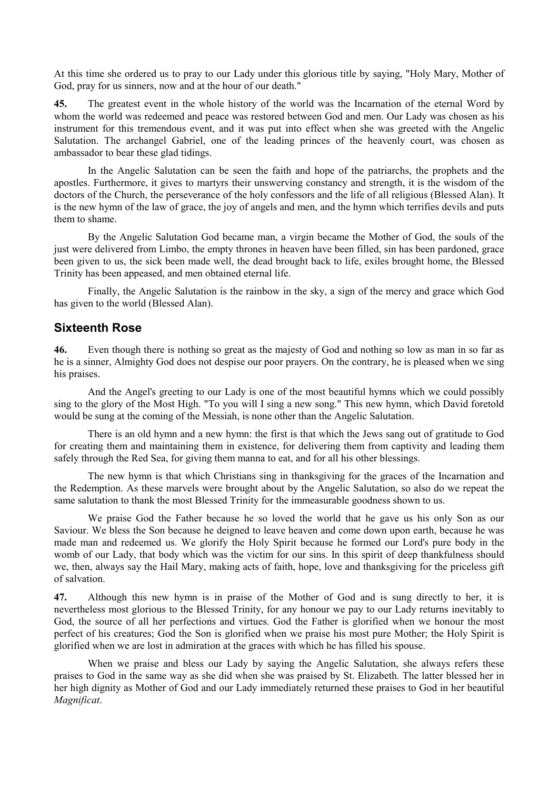At this time she ordered us to pray to our Lady under this glorious title by saying, "Holy Mary, Mother of God, pray for us sinners, now and at the hour of our death."

**45.** The greatest event in the whole history of the world was the Incarnation of the eternal Word by whom the world was redeemed and peace was restored between God and men. Our Lady was chosen as his instrument for this tremendous event, and it was put into effect when she was greeted with the Angelic Salutation. The archangel Gabriel, one of the leading princes of the heavenly court, was chosen as ambassador to bear these glad tidings.

 In the Angelic Salutation can be seen the faith and hope of the patriarchs, the prophets and the apostles. Furthermore, it gives to martyrs their unswerving constancy and strength, it is the wisdom of the doctors of the Church, the perseverance of the holy confessors and the life of all religious (Blessed Alan). It is the new hymn of the law of grace, the joy of angels and men, and the hymn which terrifies devils and puts them to shame.

 By the Angelic Salutation God became man, a virgin became the Mother of God, the souls of the just were delivered from Limbo, the empty thrones in heaven have been filled, sin has been pardoned, grace been given to us, the sick been made well, the dead brought back to life, exiles brought home, the Blessed Trinity has been appeased, and men obtained eternal life.

 Finally, the Angelic Salutation is the rainbow in the sky, a sign of the mercy and grace which God has given to the world (Blessed Alan).

### **Sixteenth Rose**

**46.** Even though there is nothing so great as the majesty of God and nothing so low as man in so far as he is a sinner, Almighty God does not despise our poor prayers. On the contrary, he is pleased when we sing his praises.

 And the Angel's greeting to our Lady is one of the most beautiful hymns which we could possibly sing to the glory of the Most High. "To you will I sing a new song." This new hymn, which David foretold would be sung at the coming of the Messiah, is none other than the Angelic Salutation.

 There is an old hymn and a new hymn: the first is that which the Jews sang out of gratitude to God for creating them and maintaining them in existence, for delivering them from captivity and leading them safely through the Red Sea, for giving them manna to eat, and for all his other blessings.

 The new hymn is that which Christians sing in thanksgiving for the graces of the Incarnation and the Redemption. As these marvels were brought about by the Angelic Salutation, so also do we repeat the same salutation to thank the most Blessed Trinity for the immeasurable goodness shown to us.

 We praise God the Father because he so loved the world that he gave us his only Son as our Saviour. We bless the Son because he deigned to leave heaven and come down upon earth, because he was made man and redeemed us. We glorify the Holy Spirit because he formed our Lord's pure body in the womb of our Lady, that body which was the victim for our sins. In this spirit of deep thankfulness should we, then, always say the Hail Mary, making acts of faith, hope, love and thanksgiving for the priceless gift of salvation.

**47.** Although this new hymn is in praise of the Mother of God and is sung directly to her, it is nevertheless most glorious to the Blessed Trinity, for any honour we pay to our Lady returns inevitably to God, the source of all her perfections and virtues. God the Father is glorified when we honour the most perfect of his creatures; God the Son is glorified when we praise his most pure Mother; the Holy Spirit is glorified when we are lost in admiration at the graces with which he has filled his spouse.

When we praise and bless our Lady by saying the Angelic Salutation, she always refers these praises to God in the same way as she did when she was praised by St. Elizabeth. The latter blessed her in her high dignity as Mother of God and our Lady immediately returned these praises to God in her beautiful *Magnificat*.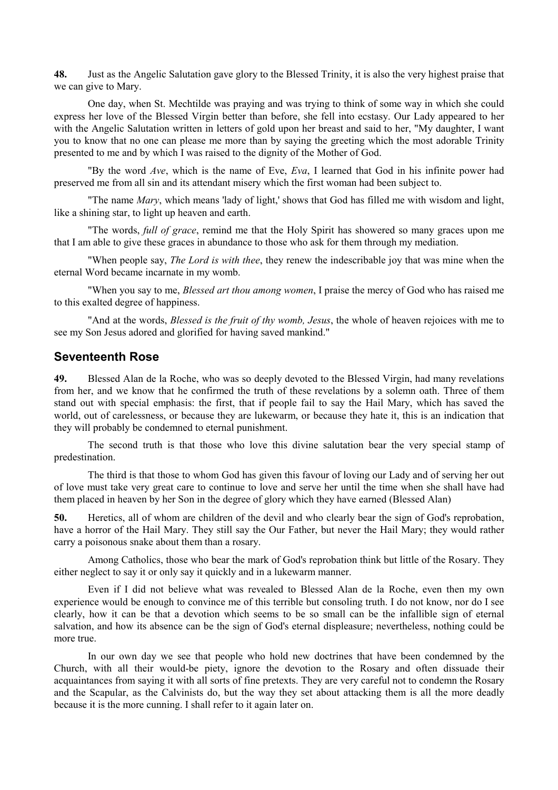**48.** Just as the Angelic Salutation gave glory to the Blessed Trinity, it is also the very highest praise that we can give to Mary.

 One day, when St. Mechtilde was praying and was trying to think of some way in which she could express her love of the Blessed Virgin better than before, she fell into ecstasy. Our Lady appeared to her with the Angelic Salutation written in letters of gold upon her breast and said to her, "My daughter, I want you to know that no one can please me more than by saying the greeting which the most adorable Trinity presented to me and by which I was raised to the dignity of the Mother of God.

 "By the word *Ave*, which is the name of Eve, *Eva*, I learned that God in his infinite power had preserved me from all sin and its attendant misery which the first woman had been subject to.

 "The name *Mary*, which means 'lady of light,' shows that God has filled me with wisdom and light, like a shining star, to light up heaven and earth.

 "The words, *full of grace*, remind me that the Holy Spirit has showered so many graces upon me that I am able to give these graces in abundance to those who ask for them through my mediation.

 "When people say, *The Lord is with thee*, they renew the indescribable joy that was mine when the eternal Word became incarnate in my womb.

 "When you say to me, *Blessed art thou among women*, I praise the mercy of God who has raised me to this exalted degree of happiness.

 "And at the words, *Blessed is the fruit of thy womb, Jesus*, the whole of heaven rejoices with me to see my Son Jesus adored and glorified for having saved mankind."

#### **Seventeenth Rose**

**49.** Blessed Alan de la Roche, who was so deeply devoted to the Blessed Virgin, had many revelations from her, and we know that he confirmed the truth of these revelations by a solemn oath. Three of them stand out with special emphasis: the first, that if people fail to say the Hail Mary, which has saved the world, out of carelessness, or because they are lukewarm, or because they hate it, this is an indication that they will probably be condemned to eternal punishment.

 The second truth is that those who love this divine salutation bear the very special stamp of predestination.

 The third is that those to whom God has given this favour of loving our Lady and of serving her out of love must take very great care to continue to love and serve her until the time when she shall have had them placed in heaven by her Son in the degree of glory which they have earned (Blessed Alan)

**50.** Heretics, all of whom are children of the devil and who clearly bear the sign of God's reprobation, have a horror of the Hail Mary. They still say the Our Father, but never the Hail Mary; they would rather carry a poisonous snake about them than a rosary.

 Among Catholics, those who bear the mark of God's reprobation think but little of the Rosary. They either neglect to say it or only say it quickly and in a lukewarm manner.

 Even if I did not believe what was revealed to Blessed Alan de la Roche, even then my own experience would be enough to convince me of this terrible but consoling truth. I do not know, nor do I see clearly, how it can be that a devotion which seems to be so small can be the infallible sign of eternal salvation, and how its absence can be the sign of God's eternal displeasure; nevertheless, nothing could be more true.

 In our own day we see that people who hold new doctrines that have been condemned by the Church, with all their would-be piety, ignore the devotion to the Rosary and often dissuade their acquaintances from saying it with all sorts of fine pretexts. They are very careful not to condemn the Rosary and the Scapular, as the Calvinists do, but the way they set about attacking them is all the more deadly because it is the more cunning. I shall refer to it again later on.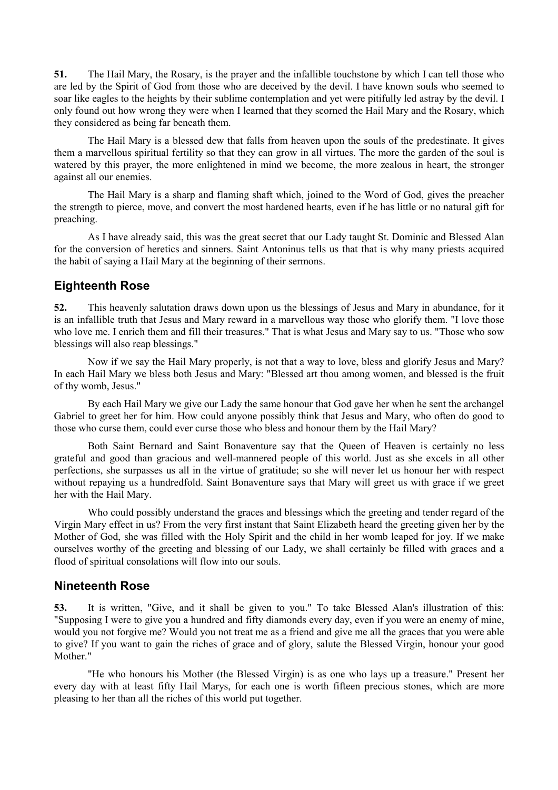**51.** The Hail Mary, the Rosary, is the prayer and the infallible touchstone by which I can tell those who are led by the Spirit of God from those who are deceived by the devil. I have known souls who seemed to soar like eagles to the heights by their sublime contemplation and yet were pitifully led astray by the devil. I only found out how wrong they were when I learned that they scorned the Hail Mary and the Rosary, which they considered as being far beneath them.

 The Hail Mary is a blessed dew that falls from heaven upon the souls of the predestinate. It gives them a marvellous spiritual fertility so that they can grow in all virtues. The more the garden of the soul is watered by this prayer, the more enlightened in mind we become, the more zealous in heart, the stronger against all our enemies.

 The Hail Mary is a sharp and flaming shaft which, joined to the Word of God, gives the preacher the strength to pierce, move, and convert the most hardened hearts, even if he has little or no natural gift for preaching.

 As I have already said, this was the great secret that our Lady taught St. Dominic and Blessed Alan for the conversion of heretics and sinners. Saint Antoninus tells us that that is why many priests acquired the habit of saying a Hail Mary at the beginning of their sermons.

## **Eighteenth Rose**

**52.** This heavenly salutation draws down upon us the blessings of Jesus and Mary in abundance, for it is an infallible truth that Jesus and Mary reward in a marvellous way those who glorify them. "I love those who love me. I enrich them and fill their treasures." That is what Jesus and Mary say to us. "Those who sow blessings will also reap blessings."

 Now if we say the Hail Mary properly, is not that a way to love, bless and glorify Jesus and Mary? In each Hail Mary we bless both Jesus and Mary: "Blessed art thou among women, and blessed is the fruit of thy womb, Jesus."

 By each Hail Mary we give our Lady the same honour that God gave her when he sent the archangel Gabriel to greet her for him. How could anyone possibly think that Jesus and Mary, who often do good to those who curse them, could ever curse those who bless and honour them by the Hail Mary?

 Both Saint Bernard and Saint Bonaventure say that the Queen of Heaven is certainly no less grateful and good than gracious and well-mannered people of this world. Just as she excels in all other perfections, she surpasses us all in the virtue of gratitude; so she will never let us honour her with respect without repaying us a hundredfold. Saint Bonaventure says that Mary will greet us with grace if we greet her with the Hail Mary.

 Who could possibly understand the graces and blessings which the greeting and tender regard of the Virgin Mary effect in us? From the very first instant that Saint Elizabeth heard the greeting given her by the Mother of God, she was filled with the Holy Spirit and the child in her womb leaped for joy. If we make ourselves worthy of the greeting and blessing of our Lady, we shall certainly be filled with graces and a flood of spiritual consolations will flow into our souls.

### **Nineteenth Rose**

**53.** It is written, "Give, and it shall be given to you." To take Blessed Alan's illustration of this: "Supposing I were to give you a hundred and fifty diamonds every day, even if you were an enemy of mine, would you not forgive me? Would you not treat me as a friend and give me all the graces that you were able to give? If you want to gain the riches of grace and of glory, salute the Blessed Virgin, honour your good Mother."

 "He who honours his Mother (the Blessed Virgin) is as one who lays up a treasure." Present her every day with at least fifty Hail Marys, for each one is worth fifteen precious stones, which are more pleasing to her than all the riches of this world put together.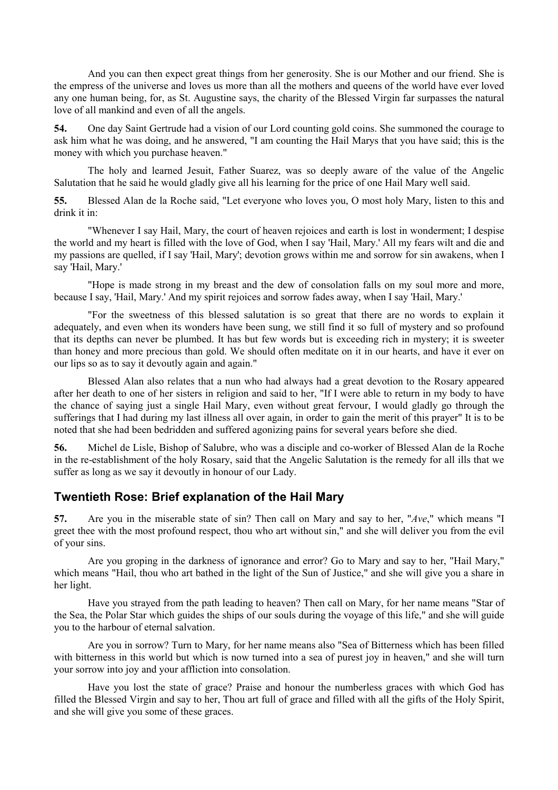And you can then expect great things from her generosity. She is our Mother and our friend. She is the empress of the universe and loves us more than all the mothers and queens of the world have ever loved any one human being, for, as St. Augustine says, the charity of the Blessed Virgin far surpasses the natural love of all mankind and even of all the angels.

**54.** One day Saint Gertrude had a vision of our Lord counting gold coins. She summoned the courage to ask him what he was doing, and he answered, "I am counting the Hail Marys that you have said; this is the money with which you purchase heaven."

 The holy and learned Jesuit, Father Suarez, was so deeply aware of the value of the Angelic Salutation that he said he would gladly give all his learning for the price of one Hail Mary well said.

**55.** Blessed Alan de la Roche said, "Let everyone who loves you, O most holy Mary, listen to this and drink it in:

 "Whenever I say Hail, Mary, the court of heaven rejoices and earth is lost in wonderment; I despise the world and my heart is filled with the love of God, when I say 'Hail, Mary.' All my fears wilt and die and my passions are quelled, if I say 'Hail, Mary'; devotion grows within me and sorrow for sin awakens, when I say 'Hail, Mary.'

 "Hope is made strong in my breast and the dew of consolation falls on my soul more and more, because I say, 'Hail, Mary.' And my spirit rejoices and sorrow fades away, when I say 'Hail, Mary.'

 "For the sweetness of this blessed salutation is so great that there are no words to explain it adequately, and even when its wonders have been sung, we still find it so full of mystery and so profound that its depths can never be plumbed. It has but few words but is exceeding rich in mystery; it is sweeter than honey and more precious than gold. We should often meditate on it in our hearts, and have it ever on our lips so as to say it devoutly again and again."

 Blessed Alan also relates that a nun who had always had a great devotion to the Rosary appeared after her death to one of her sisters in religion and said to her, "If I were able to return in my body to have the chance of saying just a single Hail Mary, even without great fervour, I would gladly go through the sufferings that I had during my last illness all over again, in order to gain the merit of this prayer" It is to be noted that she had been bedridden and suffered agonizing pains for several years before she died.

**56.** Michel de Lisle, Bishop of Salubre, who was a disciple and co-worker of Blessed Alan de la Roche in the re-establishment of the holy Rosary, said that the Angelic Salutation is the remedy for all ills that we suffer as long as we say it devoutly in honour of our Lady.

### **Twentieth Rose: Brief explanation of the Hail Mary**

**57.** Are you in the miserable state of sin? Then call on Mary and say to her, "*Ave*," which means "I greet thee with the most profound respect, thou who art without sin," and she will deliver you from the evil of your sins.

 Are you groping in the darkness of ignorance and error? Go to Mary and say to her, "Hail Mary," which means "Hail, thou who art bathed in the light of the Sun of Justice," and she will give you a share in her light.

 Have you strayed from the path leading to heaven? Then call on Mary, for her name means "Star of the Sea, the Polar Star which guides the ships of our souls during the voyage of this life," and she will guide you to the harbour of eternal salvation.

 Are you in sorrow? Turn to Mary, for her name means also "Sea of Bitterness which has been filled with bitterness in this world but which is now turned into a sea of purest joy in heaven," and she will turn your sorrow into joy and your affliction into consolation.

 Have you lost the state of grace? Praise and honour the numberless graces with which God has filled the Blessed Virgin and say to her, Thou art full of grace and filled with all the gifts of the Holy Spirit, and she will give you some of these graces.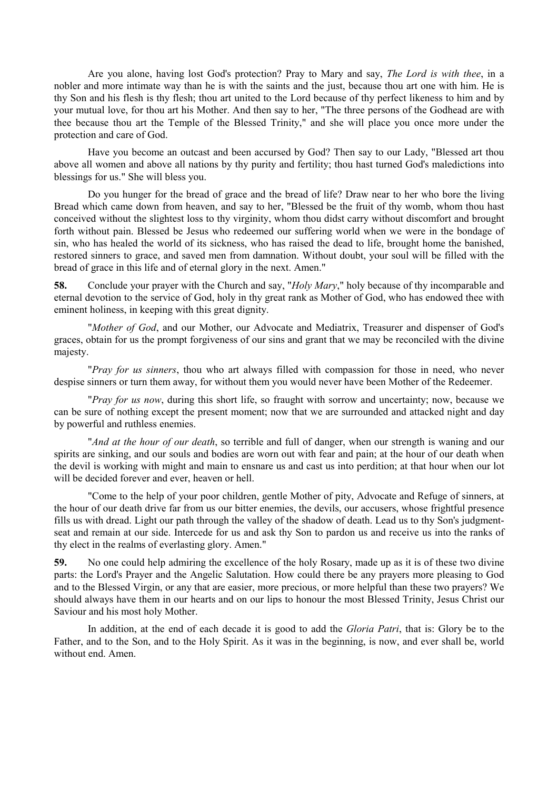Are you alone, having lost God's protection? Pray to Mary and say, *The Lord is with thee*, in a nobler and more intimate way than he is with the saints and the just, because thou art one with him. He is thy Son and his flesh is thy flesh; thou art united to the Lord because of thy perfect likeness to him and by your mutual love, for thou art his Mother. And then say to her, "The three persons of the Godhead are with thee because thou art the Temple of the Blessed Trinity," and she will place you once more under the protection and care of God.

 Have you become an outcast and been accursed by God? Then say to our Lady, "Blessed art thou above all women and above all nations by thy purity and fertility; thou hast turned God's maledictions into blessings for us." She will bless you.

 Do you hunger for the bread of grace and the bread of life? Draw near to her who bore the living Bread which came down from heaven, and say to her, "Blessed be the fruit of thy womb, whom thou hast conceived without the slightest loss to thy virginity, whom thou didst carry without discomfort and brought forth without pain. Blessed be Jesus who redeemed our suffering world when we were in the bondage of sin, who has healed the world of its sickness, who has raised the dead to life, brought home the banished, restored sinners to grace, and saved men from damnation. Without doubt, your soul will be filled with the bread of grace in this life and of eternal glory in the next. Amen."

**58.** Conclude your prayer with the Church and say, "*Holy Mary*," holy because of thy incomparable and eternal devotion to the service of God, holy in thy great rank as Mother of God, who has endowed thee with eminent holiness, in keeping with this great dignity.

 "*Mother of God*, and our Mother, our Advocate and Mediatrix, Treasurer and dispenser of God's graces, obtain for us the prompt forgiveness of our sins and grant that we may be reconciled with the divine majesty.

 "*Pray for us sinners*, thou who art always filled with compassion for those in need, who never despise sinners or turn them away, for without them you would never have been Mother of the Redeemer.

 "*Pray for us now*, during this short life, so fraught with sorrow and uncertainty; now, because we can be sure of nothing except the present moment; now that we are surrounded and attacked night and day by powerful and ruthless enemies.

 "*And at the hour of our death*, so terrible and full of danger, when our strength is waning and our spirits are sinking, and our souls and bodies are worn out with fear and pain; at the hour of our death when the devil is working with might and main to ensnare us and cast us into perdition; at that hour when our lot will be decided forever and ever, heaven or hell.

 "Come to the help of your poor children, gentle Mother of pity, Advocate and Refuge of sinners, at the hour of our death drive far from us our bitter enemies, the devils, our accusers, whose frightful presence fills us with dread. Light our path through the valley of the shadow of death. Lead us to thy Son's judgmentseat and remain at our side. Intercede for us and ask thy Son to pardon us and receive us into the ranks of thy elect in the realms of everlasting glory. Amen."

**59.** No one could help admiring the excellence of the holy Rosary, made up as it is of these two divine parts: the Lord's Prayer and the Angelic Salutation. How could there be any prayers more pleasing to God and to the Blessed Virgin, or any that are easier, more precious, or more helpful than these two prayers? We should always have them in our hearts and on our lips to honour the most Blessed Trinity, Jesus Christ our Saviour and his most holy Mother.

 In addition, at the end of each decade it is good to add the *Gloria Patri*, that is: Glory be to the Father, and to the Son, and to the Holy Spirit. As it was in the beginning, is now, and ever shall be, world without end. Amen.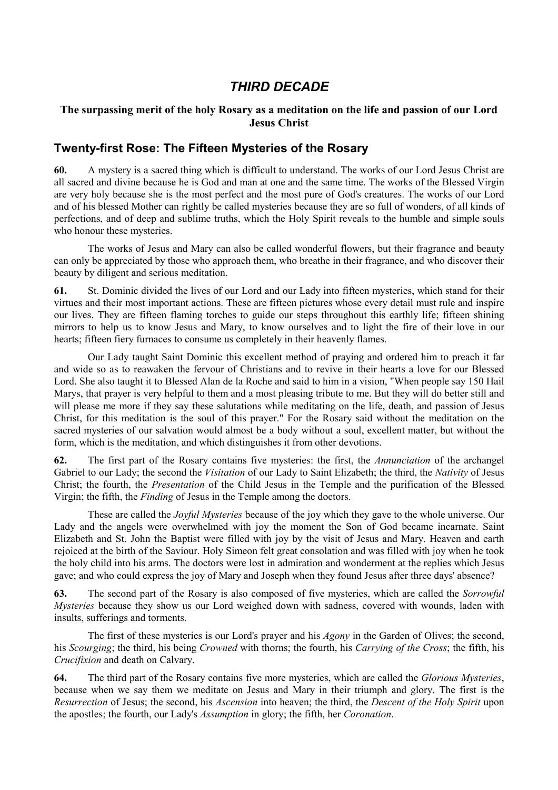## *THIRD DECADE*

### **The surpassing merit of the holy Rosary as a meditation on the life and passion of our Lord Jesus Christ**

## **Twenty-first Rose: The Fifteen Mysteries of the Rosary**

**60.** A mystery is a sacred thing which is difficult to understand. The works of our Lord Jesus Christ are all sacred and divine because he is God and man at one and the same time. The works of the Blessed Virgin are very holy because she is the most perfect and the most pure of God's creatures. The works of our Lord and of his blessed Mother can rightly be called mysteries because they are so full of wonders, of all kinds of perfections, and of deep and sublime truths, which the Holy Spirit reveals to the humble and simple souls who honour these mysteries.

 The works of Jesus and Mary can also be called wonderful flowers, but their fragrance and beauty can only be appreciated by those who approach them, who breathe in their fragrance, and who discover their beauty by diligent and serious meditation.

**61.** St. Dominic divided the lives of our Lord and our Lady into fifteen mysteries, which stand for their virtues and their most important actions. These are fifteen pictures whose every detail must rule and inspire our lives. They are fifteen flaming torches to guide our steps throughout this earthly life; fifteen shining mirrors to help us to know Jesus and Mary, to know ourselves and to light the fire of their love in our hearts; fifteen fiery furnaces to consume us completely in their heavenly flames.

 Our Lady taught Saint Dominic this excellent method of praying and ordered him to preach it far and wide so as to reawaken the fervour of Christians and to revive in their hearts a love for our Blessed Lord. She also taught it to Blessed Alan de la Roche and said to him in a vision, "When people say 150 Hail Marys, that prayer is very helpful to them and a most pleasing tribute to me. But they will do better still and will please me more if they say these salutations while meditating on the life, death, and passion of Jesus Christ, for this meditation is the soul of this prayer." For the Rosary said without the meditation on the sacred mysteries of our salvation would almost be a body without a soul, excellent matter, but without the form, which is the meditation, and which distinguishes it from other devotions.

**62.** The first part of the Rosary contains five mysteries: the first, the *Annunciation* of the archangel Gabriel to our Lady; the second the *Visitation* of our Lady to Saint Elizabeth; the third, the *Nativity* of Jesus Christ; the fourth, the *Presentation* of the Child Jesus in the Temple and the purification of the Blessed Virgin; the fifth, the *Finding* of Jesus in the Temple among the doctors.

 These are called the *Joyful Mysteries* because of the joy which they gave to the whole universe. Our Lady and the angels were overwhelmed with joy the moment the Son of God became incarnate. Saint Elizabeth and St. John the Baptist were filled with joy by the visit of Jesus and Mary. Heaven and earth rejoiced at the birth of the Saviour. Holy Simeon felt great consolation and was filled with joy when he took the holy child into his arms. The doctors were lost in admiration and wonderment at the replies which Jesus gave; and who could express the joy of Mary and Joseph when they found Jesus after three days' absence?

**63.** The second part of the Rosary is also composed of five mysteries, which are called the *Sorrowful Mysteries* because they show us our Lord weighed down with sadness, covered with wounds, laden with insults, sufferings and torments.

 The first of these mysteries is our Lord's prayer and his *Agony* in the Garden of Olives; the second, his *Scourging*; the third, his being *Crowned* with thorns; the fourth, his *Carrying of the Cross*; the fifth, his *Crucifixion* and death on Calvary.

**64.** The third part of the Rosary contains five more mysteries, which are called the *Glorious Mysteries*, because when we say them we meditate on Jesus and Mary in their triumph and glory. The first is the *Resurrection* of Jesus; the second, his *Ascension* into heaven; the third, the *Descent of the Holy Spirit* upon the apostles; the fourth, our Lady's *Assumption* in glory; the fifth, her *Coronation*.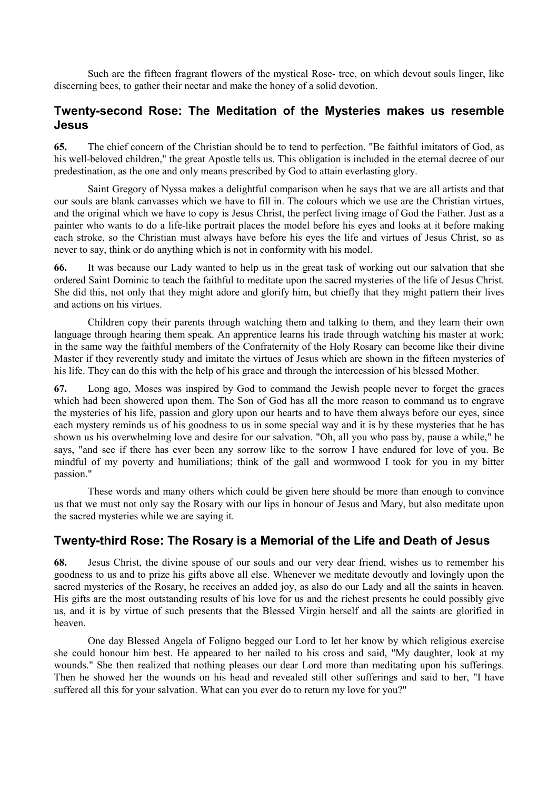Such are the fifteen fragrant flowers of the mystical Rose- tree, on which devout souls linger, like discerning bees, to gather their nectar and make the honey of a solid devotion.

## **Twenty-second Rose: The Meditation of the Mysteries makes us resemble Jesus**

**65.** The chief concern of the Christian should be to tend to perfection. "Be faithful imitators of God, as his well-beloved children," the great Apostle tells us. This obligation is included in the eternal decree of our predestination, as the one and only means prescribed by God to attain everlasting glory.

 Saint Gregory of Nyssa makes a delightful comparison when he says that we are all artists and that our souls are blank canvasses which we have to fill in. The colours which we use are the Christian virtues, and the original which we have to copy is Jesus Christ, the perfect living image of God the Father. Just as a painter who wants to do a life-like portrait places the model before his eyes and looks at it before making each stroke, so the Christian must always have before his eyes the life and virtues of Jesus Christ, so as never to say, think or do anything which is not in conformity with his model.

**66.** It was because our Lady wanted to help us in the great task of working out our salvation that she ordered Saint Dominic to teach the faithful to meditate upon the sacred mysteries of the life of Jesus Christ. She did this, not only that they might adore and glorify him, but chiefly that they might pattern their lives and actions on his virtues.

 Children copy their parents through watching them and talking to them, and they learn their own language through hearing them speak. An apprentice learns his trade through watching his master at work; in the same way the faithful members of the Confraternity of the Holy Rosary can become like their divine Master if they reverently study and imitate the virtues of Jesus which are shown in the fifteen mysteries of his life. They can do this with the help of his grace and through the intercession of his blessed Mother.

**67.** Long ago, Moses was inspired by God to command the Jewish people never to forget the graces which had been showered upon them. The Son of God has all the more reason to command us to engrave the mysteries of his life, passion and glory upon our hearts and to have them always before our eyes, since each mystery reminds us of his goodness to us in some special way and it is by these mysteries that he has shown us his overwhelming love and desire for our salvation. "Oh, all you who pass by, pause a while," he says, "and see if there has ever been any sorrow like to the sorrow I have endured for love of you. Be mindful of my poverty and humiliations; think of the gall and wormwood I took for you in my bitter passion."

 These words and many others which could be given here should be more than enough to convince us that we must not only say the Rosary with our lips in honour of Jesus and Mary, but also meditate upon the sacred mysteries while we are saying it.

### **Twenty-third Rose: The Rosary is a Memorial of the Life and Death of Jesus**

**68.** Jesus Christ, the divine spouse of our souls and our very dear friend, wishes us to remember his goodness to us and to prize his gifts above all else. Whenever we meditate devoutly and lovingly upon the sacred mysteries of the Rosary, he receives an added joy, as also do our Lady and all the saints in heaven. His gifts are the most outstanding results of his love for us and the richest presents he could possibly give us, and it is by virtue of such presents that the Blessed Virgin herself and all the saints are glorified in heaven.

 One day Blessed Angela of Foligno begged our Lord to let her know by which religious exercise she could honour him best. He appeared to her nailed to his cross and said, "My daughter, look at my wounds." She then realized that nothing pleases our dear Lord more than meditating upon his sufferings. Then he showed her the wounds on his head and revealed still other sufferings and said to her, "I have suffered all this for your salvation. What can you ever do to return my love for you?"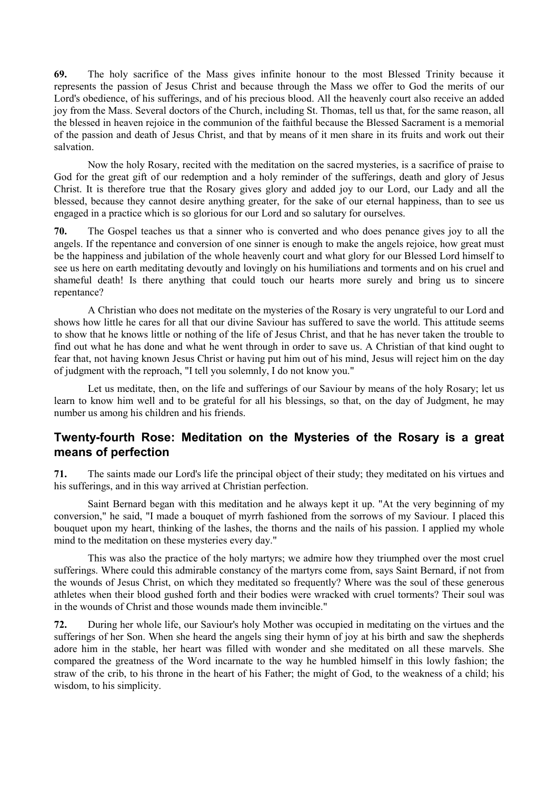**69.** The holy sacrifice of the Mass gives infinite honour to the most Blessed Trinity because it represents the passion of Jesus Christ and because through the Mass we offer to God the merits of our Lord's obedience, of his sufferings, and of his precious blood. All the heavenly court also receive an added joy from the Mass. Several doctors of the Church, including St. Thomas, tell us that, for the same reason, all the blessed in heaven rejoice in the communion of the faithful because the Blessed Sacrament is a memorial of the passion and death of Jesus Christ, and that by means of it men share in its fruits and work out their salvation.

 Now the holy Rosary, recited with the meditation on the sacred mysteries, is a sacrifice of praise to God for the great gift of our redemption and a holy reminder of the sufferings, death and glory of Jesus Christ. It is therefore true that the Rosary gives glory and added joy to our Lord, our Lady and all the blessed, because they cannot desire anything greater, for the sake of our eternal happiness, than to see us engaged in a practice which is so glorious for our Lord and so salutary for ourselves.

**70.** The Gospel teaches us that a sinner who is converted and who does penance gives joy to all the angels. If the repentance and conversion of one sinner is enough to make the angels rejoice, how great must be the happiness and jubilation of the whole heavenly court and what glory for our Blessed Lord himself to see us here on earth meditating devoutly and lovingly on his humiliations and torments and on his cruel and shameful death! Is there anything that could touch our hearts more surely and bring us to sincere repentance?

 A Christian who does not meditate on the mysteries of the Rosary is very ungrateful to our Lord and shows how little he cares for all that our divine Saviour has suffered to save the world. This attitude seems to show that he knows little or nothing of the life of Jesus Christ, and that he has never taken the trouble to find out what he has done and what he went through in order to save us. A Christian of that kind ought to fear that, not having known Jesus Christ or having put him out of his mind, Jesus will reject him on the day of judgment with the reproach, "I tell you solemnly, I do not know you."

 Let us meditate, then, on the life and sufferings of our Saviour by means of the holy Rosary; let us learn to know him well and to be grateful for all his blessings, so that, on the day of Judgment, he may number us among his children and his friends.

## **Twenty-fourth Rose: Meditation on the Mysteries of the Rosary is a great means of perfection**

**71.** The saints made our Lord's life the principal object of their study; they meditated on his virtues and his sufferings, and in this way arrived at Christian perfection.

 Saint Bernard began with this meditation and he always kept it up. "At the very beginning of my conversion," he said, "I made a bouquet of myrrh fashioned from the sorrows of my Saviour. I placed this bouquet upon my heart, thinking of the lashes, the thorns and the nails of his passion. I applied my whole mind to the meditation on these mysteries every day."

 This was also the practice of the holy martyrs; we admire how they triumphed over the most cruel sufferings. Where could this admirable constancy of the martyrs come from, says Saint Bernard, if not from the wounds of Jesus Christ, on which they meditated so frequently? Where was the soul of these generous athletes when their blood gushed forth and their bodies were wracked with cruel torments? Their soul was in the wounds of Christ and those wounds made them invincible."

**72.** During her whole life, our Saviour's holy Mother was occupied in meditating on the virtues and the sufferings of her Son. When she heard the angels sing their hymn of joy at his birth and saw the shepherds adore him in the stable, her heart was filled with wonder and she meditated on all these marvels. She compared the greatness of the Word incarnate to the way he humbled himself in this lowly fashion; the straw of the crib, to his throne in the heart of his Father; the might of God, to the weakness of a child; his wisdom, to his simplicity.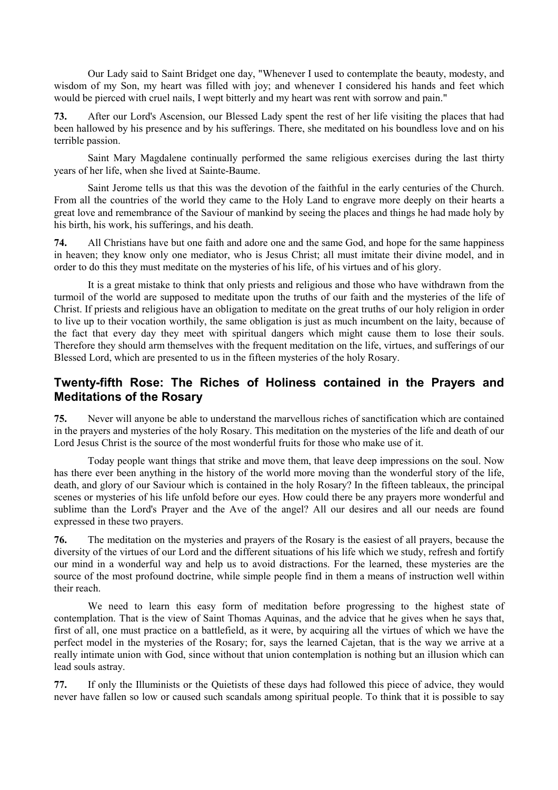Our Lady said to Saint Bridget one day, "Whenever I used to contemplate the beauty, modesty, and wisdom of my Son, my heart was filled with joy; and whenever I considered his hands and feet which would be pierced with cruel nails, I wept bitterly and my heart was rent with sorrow and pain."

**73.** After our Lord's Ascension, our Blessed Lady spent the rest of her life visiting the places that had been hallowed by his presence and by his sufferings. There, she meditated on his boundless love and on his terrible passion.

 Saint Mary Magdalene continually performed the same religious exercises during the last thirty years of her life, when she lived at Sainte-Baume.

 Saint Jerome tells us that this was the devotion of the faithful in the early centuries of the Church. From all the countries of the world they came to the Holy Land to engrave more deeply on their hearts a great love and remembrance of the Saviour of mankind by seeing the places and things he had made holy by his birth, his work, his sufferings, and his death.

**74.** All Christians have but one faith and adore one and the same God, and hope for the same happiness in heaven; they know only one mediator, who is Jesus Christ; all must imitate their divine model, and in order to do this they must meditate on the mysteries of his life, of his virtues and of his glory.

 It is a great mistake to think that only priests and religious and those who have withdrawn from the turmoil of the world are supposed to meditate upon the truths of our faith and the mysteries of the life of Christ. If priests and religious have an obligation to meditate on the great truths of our holy religion in order to live up to their vocation worthily, the same obligation is just as much incumbent on the laity, because of the fact that every day they meet with spiritual dangers which might cause them to lose their souls. Therefore they should arm themselves with the frequent meditation on the life, virtues, and sufferings of our Blessed Lord, which are presented to us in the fifteen mysteries of the holy Rosary.

## **Twenty-fifth Rose: The Riches of Holiness contained in the Prayers and Meditations of the Rosary**

**75.** Never will anyone be able to understand the marvellous riches of sanctification which are contained in the prayers and mysteries of the holy Rosary. This meditation on the mysteries of the life and death of our Lord Jesus Christ is the source of the most wonderful fruits for those who make use of it.

 Today people want things that strike and move them, that leave deep impressions on the soul. Now has there ever been anything in the history of the world more moving than the wonderful story of the life, death, and glory of our Saviour which is contained in the holy Rosary? In the fifteen tableaux, the principal scenes or mysteries of his life unfold before our eyes. How could there be any prayers more wonderful and sublime than the Lord's Prayer and the Ave of the angel? All our desires and all our needs are found expressed in these two prayers.

**76.** The meditation on the mysteries and prayers of the Rosary is the easiest of all prayers, because the diversity of the virtues of our Lord and the different situations of his life which we study, refresh and fortify our mind in a wonderful way and help us to avoid distractions. For the learned, these mysteries are the source of the most profound doctrine, while simple people find in them a means of instruction well within their reach.

 We need to learn this easy form of meditation before progressing to the highest state of contemplation. That is the view of Saint Thomas Aquinas, and the advice that he gives when he says that, first of all, one must practice on a battlefield, as it were, by acquiring all the virtues of which we have the perfect model in the mysteries of the Rosary; for, says the learned Cajetan, that is the way we arrive at a really intimate union with God, since without that union contemplation is nothing but an illusion which can lead souls astray.

**77.** If only the Illuminists or the Quietists of these days had followed this piece of advice, they would never have fallen so low or caused such scandals among spiritual people. To think that it is possible to say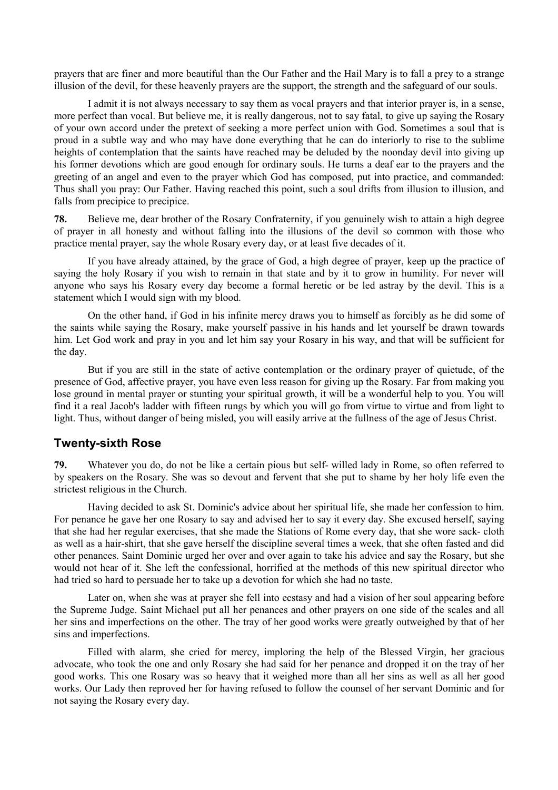prayers that are finer and more beautiful than the Our Father and the Hail Mary is to fall a prey to a strange illusion of the devil, for these heavenly prayers are the support, the strength and the safeguard of our souls.

 I admit it is not always necessary to say them as vocal prayers and that interior prayer is, in a sense, more perfect than vocal. But believe me, it is really dangerous, not to say fatal, to give up saying the Rosary of your own accord under the pretext of seeking a more perfect union with God. Sometimes a soul that is proud in a subtle way and who may have done everything that he can do interiorly to rise to the sublime heights of contemplation that the saints have reached may be deluded by the noonday devil into giving up his former devotions which are good enough for ordinary souls. He turns a deaf ear to the prayers and the greeting of an angel and even to the prayer which God has composed, put into practice, and commanded: Thus shall you pray: Our Father. Having reached this point, such a soul drifts from illusion to illusion, and falls from precipice to precipice.

**78.** Believe me, dear brother of the Rosary Confraternity, if you genuinely wish to attain a high degree of prayer in all honesty and without falling into the illusions of the devil so common with those who practice mental prayer, say the whole Rosary every day, or at least five decades of it.

 If you have already attained, by the grace of God, a high degree of prayer, keep up the practice of saying the holy Rosary if you wish to remain in that state and by it to grow in humility. For never will anyone who says his Rosary every day become a formal heretic or be led astray by the devil. This is a statement which I would sign with my blood.

 On the other hand, if God in his infinite mercy draws you to himself as forcibly as he did some of the saints while saying the Rosary, make yourself passive in his hands and let yourself be drawn towards him. Let God work and pray in you and let him say your Rosary in his way, and that will be sufficient for the day.

 But if you are still in the state of active contemplation or the ordinary prayer of quietude, of the presence of God, affective prayer, you have even less reason for giving up the Rosary. Far from making you lose ground in mental prayer or stunting your spiritual growth, it will be a wonderful help to you. You will find it a real Jacob's ladder with fifteen rungs by which you will go from virtue to virtue and from light to light. Thus, without danger of being misled, you will easily arrive at the fullness of the age of Jesus Christ.

#### **Twenty-sixth Rose**

**79.** Whatever you do, do not be like a certain pious but self- willed lady in Rome, so often referred to by speakers on the Rosary. She was so devout and fervent that she put to shame by her holy life even the strictest religious in the Church.

 Having decided to ask St. Dominic's advice about her spiritual life, she made her confession to him. For penance he gave her one Rosary to say and advised her to say it every day. She excused herself, saying that she had her regular exercises, that she made the Stations of Rome every day, that she wore sack- cloth as well as a hair-shirt, that she gave herself the discipline several times a week, that she often fasted and did other penances. Saint Dominic urged her over and over again to take his advice and say the Rosary, but she would not hear of it. She left the confessional, horrified at the methods of this new spiritual director who had tried so hard to persuade her to take up a devotion for which she had no taste.

 Later on, when she was at prayer she fell into ecstasy and had a vision of her soul appearing before the Supreme Judge. Saint Michael put all her penances and other prayers on one side of the scales and all her sins and imperfections on the other. The tray of her good works were greatly outweighed by that of her sins and imperfections.

 Filled with alarm, she cried for mercy, imploring the help of the Blessed Virgin, her gracious advocate, who took the one and only Rosary she had said for her penance and dropped it on the tray of her good works. This one Rosary was so heavy that it weighed more than all her sins as well as all her good works. Our Lady then reproved her for having refused to follow the counsel of her servant Dominic and for not saying the Rosary every day.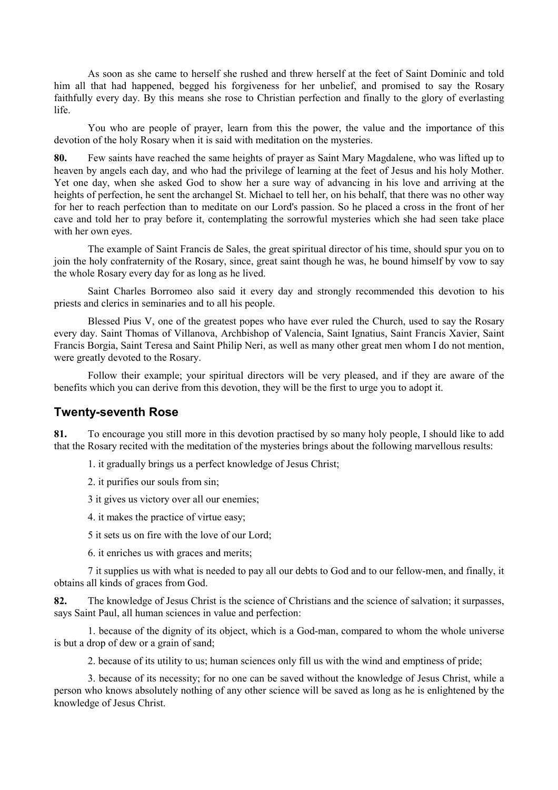As soon as she came to herself she rushed and threw herself at the feet of Saint Dominic and told him all that had happened, begged his forgiveness for her unbelief, and promised to say the Rosary faithfully every day. By this means she rose to Christian perfection and finally to the glory of everlasting life.

 You who are people of prayer, learn from this the power, the value and the importance of this devotion of the holy Rosary when it is said with meditation on the mysteries.

**80.** Few saints have reached the same heights of prayer as Saint Mary Magdalene, who was lifted up to heaven by angels each day, and who had the privilege of learning at the feet of Jesus and his holy Mother. Yet one day, when she asked God to show her a sure way of advancing in his love and arriving at the heights of perfection, he sent the archangel St. Michael to tell her, on his behalf, that there was no other way for her to reach perfection than to meditate on our Lord's passion. So he placed a cross in the front of her cave and told her to pray before it, contemplating the sorrowful mysteries which she had seen take place with her own eyes.

 The example of Saint Francis de Sales, the great spiritual director of his time, should spur you on to join the holy confraternity of the Rosary, since, great saint though he was, he bound himself by vow to say the whole Rosary every day for as long as he lived.

 Saint Charles Borromeo also said it every day and strongly recommended this devotion to his priests and clerics in seminaries and to all his people.

 Blessed Pius V, one of the greatest popes who have ever ruled the Church, used to say the Rosary every day. Saint Thomas of Villanova, Archbishop of Valencia, Saint Ignatius, Saint Francis Xavier, Saint Francis Borgia, Saint Teresa and Saint Philip Neri, as well as many other great men whom I do not mention, were greatly devoted to the Rosary.

 Follow their example; your spiritual directors will be very pleased, and if they are aware of the benefits which you can derive from this devotion, they will be the first to urge you to adopt it.

#### **Twenty-seventh Rose**

**81.** To encourage you still more in this devotion practised by so many holy people, I should like to add that the Rosary recited with the meditation of the mysteries brings about the following marvellous results:

1. it gradually brings us a perfect knowledge of Jesus Christ;

2. it purifies our souls from sin;

3 it gives us victory over all our enemies;

4. it makes the practice of virtue easy;

5 it sets us on fire with the love of our Lord;

6. it enriches us with graces and merits;

 7 it supplies us with what is needed to pay all our debts to God and to our fellow-men, and finally, it obtains all kinds of graces from God.

**82.** The knowledge of Jesus Christ is the science of Christians and the science of salvation; it surpasses, says Saint Paul, all human sciences in value and perfection:

 1. because of the dignity of its object, which is a God-man, compared to whom the whole universe is but a drop of dew or a grain of sand;

2. because of its utility to us; human sciences only fill us with the wind and emptiness of pride;

 3. because of its necessity; for no one can be saved without the knowledge of Jesus Christ, while a person who knows absolutely nothing of any other science will be saved as long as he is enlightened by the knowledge of Jesus Christ.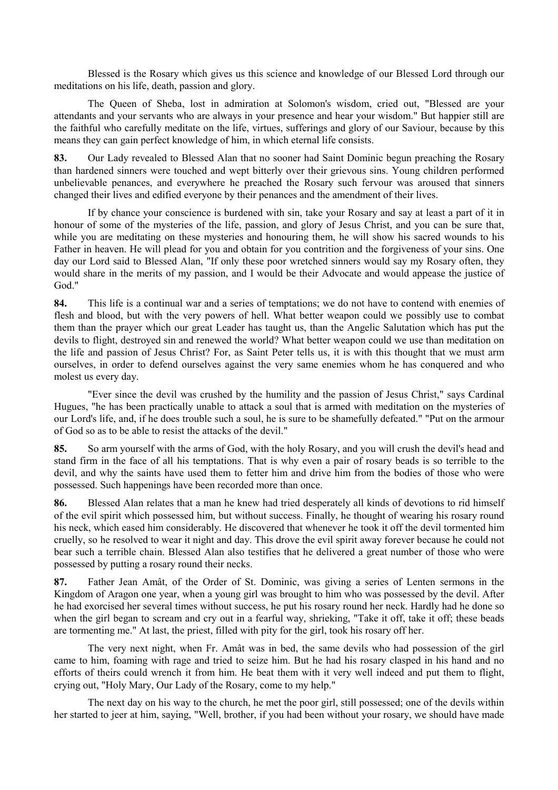Blessed is the Rosary which gives us this science and knowledge of our Blessed Lord through our meditations on his life, death, passion and glory.

 The Queen of Sheba, lost in admiration at Solomon's wisdom, cried out, "Blessed are your attendants and your servants who are always in your presence and hear your wisdom." But happier still are the faithful who carefully meditate on the life, virtues, sufferings and glory of our Saviour, because by this means they can gain perfect knowledge of him, in which eternal life consists.

**83.** Our Lady revealed to Blessed Alan that no sooner had Saint Dominic begun preaching the Rosary than hardened sinners were touched and wept bitterly over their grievous sins. Young children performed unbelievable penances, and everywhere he preached the Rosary such fervour was aroused that sinners changed their lives and edified everyone by their penances and the amendment of their lives.

 If by chance your conscience is burdened with sin, take your Rosary and say at least a part of it in honour of some of the mysteries of the life, passion, and glory of Jesus Christ, and you can be sure that, while you are meditating on these mysteries and honouring them, he will show his sacred wounds to his Father in heaven. He will plead for you and obtain for you contrition and the forgiveness of your sins. One day our Lord said to Blessed Alan, "If only these poor wretched sinners would say my Rosary often, they would share in the merits of my passion, and I would be their Advocate and would appease the justice of God."

**84.** This life is a continual war and a series of temptations; we do not have to contend with enemies of flesh and blood, but with the very powers of hell. What better weapon could we possibly use to combat them than the prayer which our great Leader has taught us, than the Angelic Salutation which has put the devils to flight, destroyed sin and renewed the world? What better weapon could we use than meditation on the life and passion of Jesus Christ? For, as Saint Peter tells us, it is with this thought that we must arm ourselves, in order to defend ourselves against the very same enemies whom he has conquered and who molest us every day.

 "Ever since the devil was crushed by the humility and the passion of Jesus Christ," says Cardinal Hugues, "he has been practically unable to attack a soul that is armed with meditation on the mysteries of our Lord's life, and, if he does trouble such a soul, he is sure to be shamefully defeated." "Put on the armour of God so as to be able to resist the attacks of the devil."

**85.** So arm yourself with the arms of God, with the holy Rosary, and you will crush the devil's head and stand firm in the face of all his temptations. That is why even a pair of rosary beads is so terrible to the devil, and why the saints have used them to fetter him and drive him from the bodies of those who were possessed. Such happenings have been recorded more than once.

**86.** Blessed Alan relates that a man he knew had tried desperately all kinds of devotions to rid himself of the evil spirit which possessed him, but without success. Finally, he thought of wearing his rosary round his neck, which eased him considerably. He discovered that whenever he took it off the devil tormented him cruelly, so he resolved to wear it night and day. This drove the evil spirit away forever because he could not bear such a terrible chain. Blessed Alan also testifies that he delivered a great number of those who were possessed by putting a rosary round their necks.

**87.** Father Jean Amât, of the Order of St. Dominic, was giving a series of Lenten sermons in the Kingdom of Aragon one year, when a young girl was brought to him who was possessed by the devil. After he had exorcised her several times without success, he put his rosary round her neck. Hardly had he done so when the girl began to scream and cry out in a fearful way, shrieking, "Take it off, take it off; these beads are tormenting me." At last, the priest, filled with pity for the girl, took his rosary off her.

 The very next night, when Fr. Amât was in bed, the same devils who had possession of the girl came to him, foaming with rage and tried to seize him. But he had his rosary clasped in his hand and no efforts of theirs could wrench it from him. He beat them with it very well indeed and put them to flight, crying out, "Holy Mary, Our Lady of the Rosary, come to my help."

 The next day on his way to the church, he met the poor girl, still possessed; one of the devils within her started to jeer at him, saying, "Well, brother, if you had been without your rosary, we should have made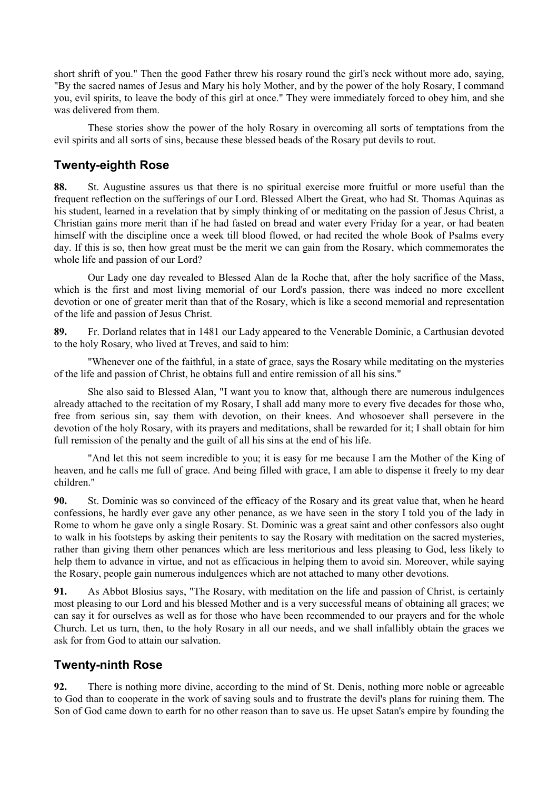short shrift of you." Then the good Father threw his rosary round the girl's neck without more ado, saying, "By the sacred names of Jesus and Mary his holy Mother, and by the power of the holy Rosary, I command you, evil spirits, to leave the body of this girl at once." They were immediately forced to obey him, and she was delivered from them.

 These stories show the power of the holy Rosary in overcoming all sorts of temptations from the evil spirits and all sorts of sins, because these blessed beads of the Rosary put devils to rout.

## **Twenty-eighth Rose**

**88.** St. Augustine assures us that there is no spiritual exercise more fruitful or more useful than the frequent reflection on the sufferings of our Lord. Blessed Albert the Great, who had St. Thomas Aquinas as his student, learned in a revelation that by simply thinking of or meditating on the passion of Jesus Christ, a Christian gains more merit than if he had fasted on bread and water every Friday for a year, or had beaten himself with the discipline once a week till blood flowed, or had recited the whole Book of Psalms every day. If this is so, then how great must be the merit we can gain from the Rosary, which commemorates the whole life and passion of our Lord?

 Our Lady one day revealed to Blessed Alan de la Roche that, after the holy sacrifice of the Mass, which is the first and most living memorial of our Lord's passion, there was indeed no more excellent devotion or one of greater merit than that of the Rosary, which is like a second memorial and representation of the life and passion of Jesus Christ.

**89.** Fr. Dorland relates that in 1481 our Lady appeared to the Venerable Dominic, a Carthusian devoted to the holy Rosary, who lived at Treves, and said to him:

 "Whenever one of the faithful, in a state of grace, says the Rosary while meditating on the mysteries of the life and passion of Christ, he obtains full and entire remission of all his sins."

 She also said to Blessed Alan, "I want you to know that, although there are numerous indulgences already attached to the recitation of my Rosary, I shall add many more to every five decades for those who, free from serious sin, say them with devotion, on their knees. And whosoever shall persevere in the devotion of the holy Rosary, with its prayers and meditations, shall be rewarded for it; I shall obtain for him full remission of the penalty and the guilt of all his sins at the end of his life.

 "And let this not seem incredible to you; it is easy for me because I am the Mother of the King of heaven, and he calls me full of grace. And being filled with grace, I am able to dispense it freely to my dear children."

**90.** St. Dominic was so convinced of the efficacy of the Rosary and its great value that, when he heard confessions, he hardly ever gave any other penance, as we have seen in the story I told you of the lady in Rome to whom he gave only a single Rosary. St. Dominic was a great saint and other confessors also ought to walk in his footsteps by asking their penitents to say the Rosary with meditation on the sacred mysteries, rather than giving them other penances which are less meritorious and less pleasing to God, less likely to help them to advance in virtue, and not as efficacious in helping them to avoid sin. Moreover, while saying the Rosary, people gain numerous indulgences which are not attached to many other devotions.

**91.** As Abbot Blosius says, "The Rosary, with meditation on the life and passion of Christ, is certainly most pleasing to our Lord and his blessed Mother and is a very successful means of obtaining all graces; we can say it for ourselves as well as for those who have been recommended to our prayers and for the whole Church. Let us turn, then, to the holy Rosary in all our needs, and we shall infallibly obtain the graces we ask for from God to attain our salvation.

## **Twenty-ninth Rose**

**92.** There is nothing more divine, according to the mind of St. Denis, nothing more noble or agreeable to God than to cooperate in the work of saving souls and to frustrate the devil's plans for ruining them. The Son of God came down to earth for no other reason than to save us. He upset Satan's empire by founding the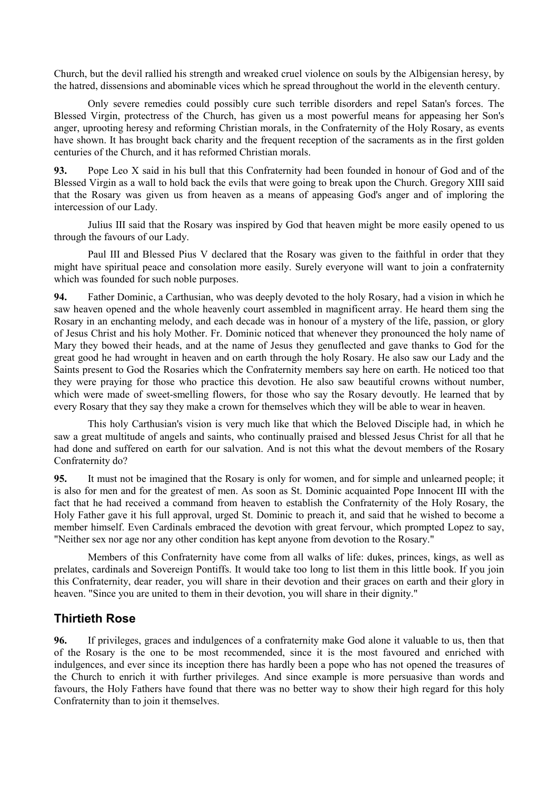Church, but the devil rallied his strength and wreaked cruel violence on souls by the Albigensian heresy, by the hatred, dissensions and abominable vices which he spread throughout the world in the eleventh century.

 Only severe remedies could possibly cure such terrible disorders and repel Satan's forces. The Blessed Virgin, protectress of the Church, has given us a most powerful means for appeasing her Son's anger, uprooting heresy and reforming Christian morals, in the Confraternity of the Holy Rosary, as events have shown. It has brought back charity and the frequent reception of the sacraments as in the first golden centuries of the Church, and it has reformed Christian morals.

**93.** Pope Leo X said in his bull that this Confraternity had been founded in honour of God and of the Blessed Virgin as a wall to hold back the evils that were going to break upon the Church. Gregory XIII said that the Rosary was given us from heaven as a means of appeasing God's anger and of imploring the intercession of our Lady.

 Julius III said that the Rosary was inspired by God that heaven might be more easily opened to us through the favours of our Lady.

 Paul III and Blessed Pius V declared that the Rosary was given to the faithful in order that they might have spiritual peace and consolation more easily. Surely everyone will want to join a confraternity which was founded for such noble purposes.

**94.** Father Dominic, a Carthusian, who was deeply devoted to the holy Rosary, had a vision in which he saw heaven opened and the whole heavenly court assembled in magnificent array. He heard them sing the Rosary in an enchanting melody, and each decade was in honour of a mystery of the life, passion, or glory of Jesus Christ and his holy Mother. Fr. Dominic noticed that whenever they pronounced the holy name of Mary they bowed their heads, and at the name of Jesus they genuflected and gave thanks to God for the great good he had wrought in heaven and on earth through the holy Rosary. He also saw our Lady and the Saints present to God the Rosaries which the Confraternity members say here on earth. He noticed too that they were praying for those who practice this devotion. He also saw beautiful crowns without number, which were made of sweet-smelling flowers, for those who say the Rosary devoutly. He learned that by every Rosary that they say they make a crown for themselves which they will be able to wear in heaven.

 This holy Carthusian's vision is very much like that which the Beloved Disciple had, in which he saw a great multitude of angels and saints, who continually praised and blessed Jesus Christ for all that he had done and suffered on earth for our salvation. And is not this what the devout members of the Rosary Confraternity do?

**95.** It must not be imagined that the Rosary is only for women, and for simple and unlearned people; it is also for men and for the greatest of men. As soon as St. Dominic acquainted Pope Innocent III with the fact that he had received a command from heaven to establish the Confraternity of the Holy Rosary, the Holy Father gave it his full approval, urged St. Dominic to preach it, and said that he wished to become a member himself. Even Cardinals embraced the devotion with great fervour, which prompted Lopez to say, "Neither sex nor age nor any other condition has kept anyone from devotion to the Rosary."

 Members of this Confraternity have come from all walks of life: dukes, princes, kings, as well as prelates, cardinals and Sovereign Pontiffs. It would take too long to list them in this little book. If you join this Confraternity, dear reader, you will share in their devotion and their graces on earth and their glory in heaven. "Since you are united to them in their devotion, you will share in their dignity."

### **Thirtieth Rose**

**96.** If privileges, graces and indulgences of a confraternity make God alone it valuable to us, then that of the Rosary is the one to be most recommended, since it is the most favoured and enriched with indulgences, and ever since its inception there has hardly been a pope who has not opened the treasures of the Church to enrich it with further privileges. And since example is more persuasive than words and favours, the Holy Fathers have found that there was no better way to show their high regard for this holy Confraternity than to join it themselves.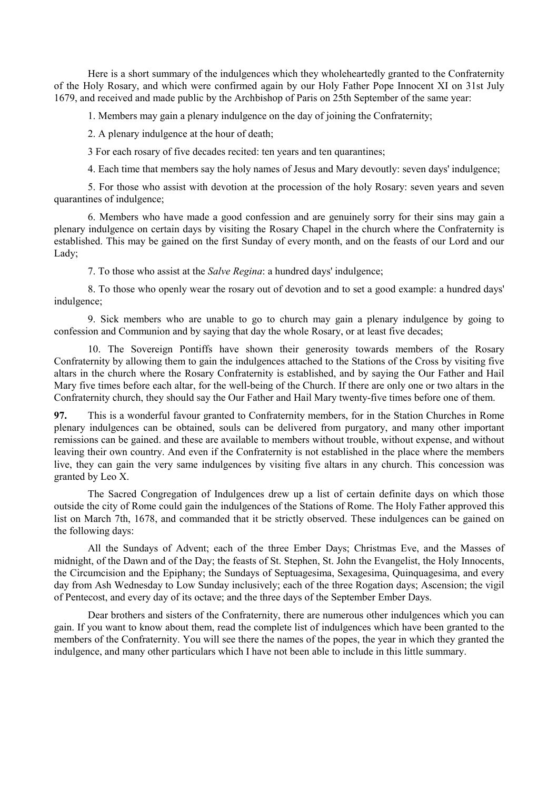Here is a short summary of the indulgences which they wholeheartedly granted to the Confraternity of the Holy Rosary, and which were confirmed again by our Holy Father Pope Innocent XI on 31st July 1679, and received and made public by the Archbishop of Paris on 25th September of the same year:

1. Members may gain a plenary indulgence on the day of joining the Confraternity;

2. A plenary indulgence at the hour of death;

3 For each rosary of five decades recited: ten years and ten quarantines;

4. Each time that members say the holy names of Jesus and Mary devoutly: seven days' indulgence;

 5. For those who assist with devotion at the procession of the holy Rosary: seven years and seven quarantines of indulgence;

 6. Members who have made a good confession and are genuinely sorry for their sins may gain a plenary indulgence on certain days by visiting the Rosary Chapel in the church where the Confraternity is established. This may be gained on the first Sunday of every month, and on the feasts of our Lord and our Lady;

7. To those who assist at the *Salve Regina*: a hundred days' indulgence;

 8. To those who openly wear the rosary out of devotion and to set a good example: a hundred days' indulgence;

 9. Sick members who are unable to go to church may gain a plenary indulgence by going to confession and Communion and by saying that day the whole Rosary, or at least five decades;

 10. The Sovereign Pontiffs have shown their generosity towards members of the Rosary Confraternity by allowing them to gain the indulgences attached to the Stations of the Cross by visiting five altars in the church where the Rosary Confraternity is established, and by saying the Our Father and Hail Mary five times before each altar, for the well-being of the Church. If there are only one or two altars in the Confraternity church, they should say the Our Father and Hail Mary twenty-five times before one of them.

**97.** This is a wonderful favour granted to Confraternity members, for in the Station Churches in Rome plenary indulgences can be obtained, souls can be delivered from purgatory, and many other important remissions can be gained. and these are available to members without trouble, without expense, and without leaving their own country. And even if the Confraternity is not established in the place where the members live, they can gain the very same indulgences by visiting five altars in any church. This concession was granted by Leo X.

 The Sacred Congregation of Indulgences drew up a list of certain definite days on which those outside the city of Rome could gain the indulgences of the Stations of Rome. The Holy Father approved this list on March 7th, 1678, and commanded that it be strictly observed. These indulgences can be gained on the following days:

 All the Sundays of Advent; each of the three Ember Days; Christmas Eve, and the Masses of midnight, of the Dawn and of the Day; the feasts of St. Stephen, St. John the Evangelist, the Holy Innocents, the Circumcision and the Epiphany; the Sundays of Septuagesima, Sexagesima, Quinquagesima, and every day from Ash Wednesday to Low Sunday inclusively; each of the three Rogation days; Ascension; the vigil of Pentecost, and every day of its octave; and the three days of the September Ember Days.

 Dear brothers and sisters of the Confraternity, there are numerous other indulgences which you can gain. If you want to know about them, read the complete list of indulgences which have been granted to the members of the Confraternity. You will see there the names of the popes, the year in which they granted the indulgence, and many other particulars which I have not been able to include in this little summary.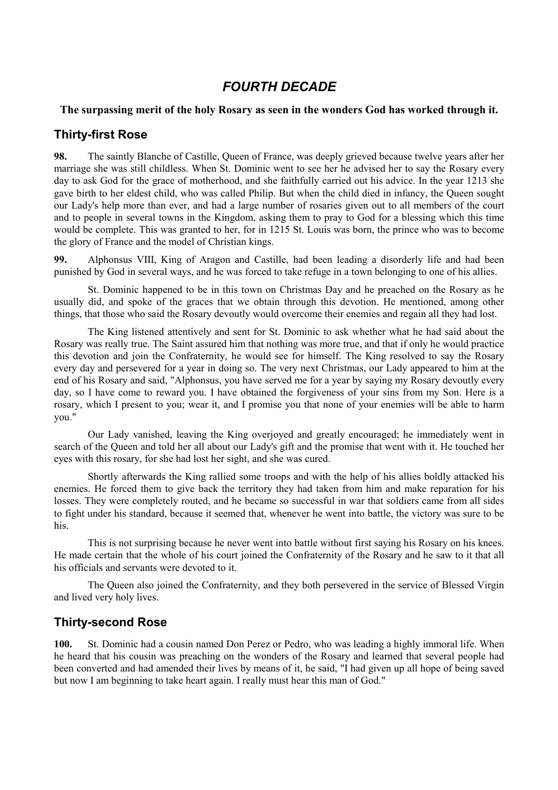## *FOURTH DECADE*

#### **The surpassing merit of the holy Rosary as seen in the wonders God has worked through it.**

## **Thirty-first Rose**

**98.** The saintly Blanche of Castille, Queen of France, was deeply grieved because twelve years after her marriage she was still childless. When St. Dominic went to see her he advised her to say the Rosary every day to ask God for the grace of motherhood, and she faithfully carried out his advice. In the year 1213 she gave birth to her eldest child, who was called Philip. But when the child died in infancy, the Queen sought our Lady's help more than ever, and had a large number of rosaries given out to all members of the court and to people in several towns in the Kingdom, asking them to pray to God for a blessing which this time would be complete. This was granted to her, for in 1215 St. Louis was born, the prince who was to become the glory of France and the model of Christian kings.

**99.** Alphonsus VIII, King of Aragon and Castille, had been leading a disorderly life and had been punished by God in several ways, and he was forced to take refuge in a town belonging to one of his allies.

 St. Dominic happened to be in this town on Christmas Day and he preached on the Rosary as he usually did, and spoke of the graces that we obtain through this devotion. He mentioned, among other things, that those who said the Rosary devoutly would overcome their enemies and regain all they had lost.

 The King listened attentively and sent for St. Dominic to ask whether what he had said about the Rosary was really true. The Saint assured him that nothing was more true, and that if only he would practice this devotion and join the Confraternity, he would see for himself. The King resolved to say the Rosary every day and persevered for a year in doing so. The very next Christmas, our Lady appeared to him at the end of his Rosary and said, "Alphonsus, you have served me for a year by saying my Rosary devoutly every day, so I have come to reward you. I have obtained the forgiveness of your sins from my Son. Here is a rosary, which I present to you; wear it, and I promise you that none of your enemies will be able to harm you."

 Our Lady vanished, leaving the King overjoyed and greatly encouraged; he immediately went in search of the Queen and told her all about our Lady's gift and the promise that went with it. He touched her eyes with this rosary, for she had lost her sight, and she was cured.

 Shortly afterwards the King rallied some troops and with the help of his allies boldly attacked his enemies. He forced them to give back the territory they had taken from him and make reparation for his losses. They were completely routed, and he became so successful in war that soldiers came from all sides to fight under his standard, because it seemed that, whenever he went into battle, the victory was sure to be his.

 This is not surprising because he never went into battle without first saying his Rosary on his knees. He made certain that the whole of his court joined the Confraternity of the Rosary and he saw to it that all his officials and servants were devoted to it.

 The Queen also joined the Confraternity, and they both persevered in the service of Blessed Virgin and lived very holy lives.

## **Thirty-second Rose**

**100.** St. Dominic had a cousin named Don Perez or Pedro, who was leading a highly immoral life. When he heard that his cousin was preaching on the wonders of the Rosary and learned that several people had been converted and had amended their lives by means of it, he said, "I had given up all hope of being saved but now I am beginning to take heart again. I really must hear this man of God."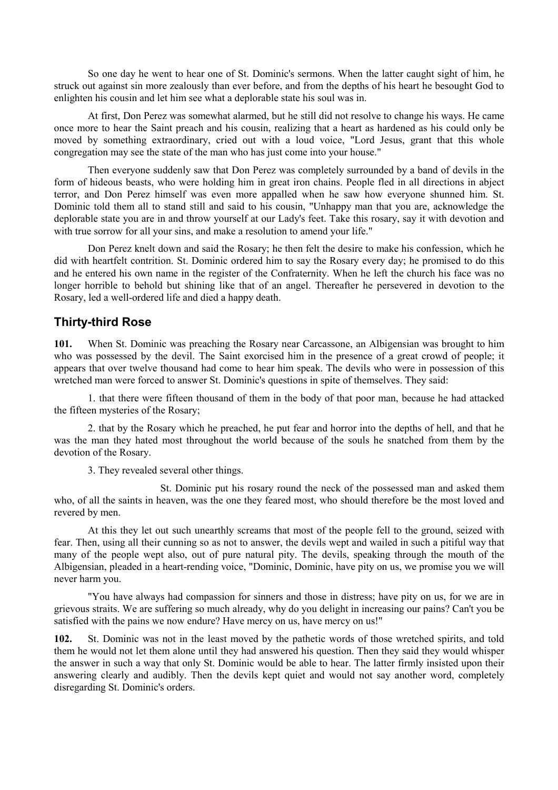So one day he went to hear one of St. Dominic's sermons. When the latter caught sight of him, he struck out against sin more zealously than ever before, and from the depths of his heart he besought God to enlighten his cousin and let him see what a deplorable state his soul was in.

 At first, Don Perez was somewhat alarmed, but he still did not resolve to change his ways. He came once more to hear the Saint preach and his cousin, realizing that a heart as hardened as his could only be moved by something extraordinary, cried out with a loud voice, "Lord Jesus, grant that this whole congregation may see the state of the man who has just come into your house."

 Then everyone suddenly saw that Don Perez was completely surrounded by a band of devils in the form of hideous beasts, who were holding him in great iron chains. People fled in all directions in abject terror, and Don Perez himself was even more appalled when he saw how everyone shunned him. St. Dominic told them all to stand still and said to his cousin, "Unhappy man that you are, acknowledge the deplorable state you are in and throw yourself at our Lady's feet. Take this rosary, say it with devotion and with true sorrow for all your sins, and make a resolution to amend your life."

 Don Perez knelt down and said the Rosary; he then felt the desire to make his confession, which he did with heartfelt contrition. St. Dominic ordered him to say the Rosary every day; he promised to do this and he entered his own name in the register of the Confraternity. When he left the church his face was no longer horrible to behold but shining like that of an angel. Thereafter he persevered in devotion to the Rosary, led a well-ordered life and died a happy death.

## **Thirty-third Rose**

**101.** When St. Dominic was preaching the Rosary near Carcassone, an Albigensian was brought to him who was possessed by the devil. The Saint exorcised him in the presence of a great crowd of people; it appears that over twelve thousand had come to hear him speak. The devils who were in possession of this wretched man were forced to answer St. Dominic's questions in spite of themselves. They said:

 1. that there were fifteen thousand of them in the body of that poor man, because he had attacked the fifteen mysteries of the Rosary;

 2. that by the Rosary which he preached, he put fear and horror into the depths of hell, and that he was the man they hated most throughout the world because of the souls he snatched from them by the devotion of the Rosary.

3. They revealed several other things.

 St. Dominic put his rosary round the neck of the possessed man and asked them who, of all the saints in heaven, was the one they feared most, who should therefore be the most loved and revered by men.

 At this they let out such unearthly screams that most of the people fell to the ground, seized with fear. Then, using all their cunning so as not to answer, the devils wept and wailed in such a pitiful way that many of the people wept also, out of pure natural pity. The devils, speaking through the mouth of the Albigensian, pleaded in a heart-rending voice, "Dominic, Dominic, have pity on us, we promise you we will never harm you.

 "You have always had compassion for sinners and those in distress; have pity on us, for we are in grievous straits. We are suffering so much already, why do you delight in increasing our pains? Can't you be satisfied with the pains we now endure? Have mercy on us, have mercy on us!"

**102.** St. Dominic was not in the least moved by the pathetic words of those wretched spirits, and told them he would not let them alone until they had answered his question. Then they said they would whisper the answer in such a way that only St. Dominic would be able to hear. The latter firmly insisted upon their answering clearly and audibly. Then the devils kept quiet and would not say another word, completely disregarding St. Dominic's orders.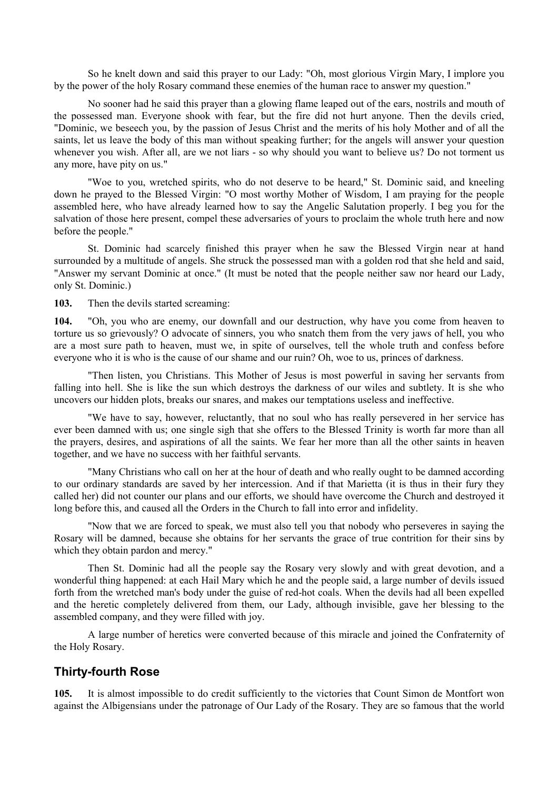So he knelt down and said this prayer to our Lady: "Oh, most glorious Virgin Mary, I implore you by the power of the holy Rosary command these enemies of the human race to answer my question."

 No sooner had he said this prayer than a glowing flame leaped out of the ears, nostrils and mouth of the possessed man. Everyone shook with fear, but the fire did not hurt anyone. Then the devils cried, "Dominic, we beseech you, by the passion of Jesus Christ and the merits of his holy Mother and of all the saints, let us leave the body of this man without speaking further; for the angels will answer your question whenever you wish. After all, are we not liars - so why should you want to believe us? Do not torment us any more, have pity on us."

 "Woe to you, wretched spirits, who do not deserve to be heard," St. Dominic said, and kneeling down he prayed to the Blessed Virgin: "O most worthy Mother of Wisdom, I am praying for the people assembled here, who have already learned how to say the Angelic Salutation properly. I beg you for the salvation of those here present, compel these adversaries of yours to proclaim the whole truth here and now before the people."

 St. Dominic had scarcely finished this prayer when he saw the Blessed Virgin near at hand surrounded by a multitude of angels. She struck the possessed man with a golden rod that she held and said, "Answer my servant Dominic at once." (It must be noted that the people neither saw nor heard our Lady, only St. Dominic.)

**103.** Then the devils started screaming:

**104.** "Oh, you who are enemy, our downfall and our destruction, why have you come from heaven to torture us so grievously? O advocate of sinners, you who snatch them from the very jaws of hell, you who are a most sure path to heaven, must we, in spite of ourselves, tell the whole truth and confess before everyone who it is who is the cause of our shame and our ruin? Oh, woe to us, princes of darkness.

 "Then listen, you Christians. This Mother of Jesus is most powerful in saving her servants from falling into hell. She is like the sun which destroys the darkness of our wiles and subtlety. It is she who uncovers our hidden plots, breaks our snares, and makes our temptations useless and ineffective.

 "We have to say, however, reluctantly, that no soul who has really persevered in her service has ever been damned with us; one single sigh that she offers to the Blessed Trinity is worth far more than all the prayers, desires, and aspirations of all the saints. We fear her more than all the other saints in heaven together, and we have no success with her faithful servants.

 "Many Christians who call on her at the hour of death and who really ought to be damned according to our ordinary standards are saved by her intercession. And if that Marietta (it is thus in their fury they called her) did not counter our plans and our efforts, we should have overcome the Church and destroyed it long before this, and caused all the Orders in the Church to fall into error and infidelity.

 "Now that we are forced to speak, we must also tell you that nobody who perseveres in saying the Rosary will be damned, because she obtains for her servants the grace of true contrition for their sins by which they obtain pardon and mercy."

 Then St. Dominic had all the people say the Rosary very slowly and with great devotion, and a wonderful thing happened: at each Hail Mary which he and the people said, a large number of devils issued forth from the wretched man's body under the guise of red-hot coals. When the devils had all been expelled and the heretic completely delivered from them, our Lady, although invisible, gave her blessing to the assembled company, and they were filled with joy.

 A large number of heretics were converted because of this miracle and joined the Confraternity of the Holy Rosary.

#### **Thirty-fourth Rose**

**105.** It is almost impossible to do credit sufficiently to the victories that Count Simon de Montfort won against the Albigensians under the patronage of Our Lady of the Rosary. They are so famous that the world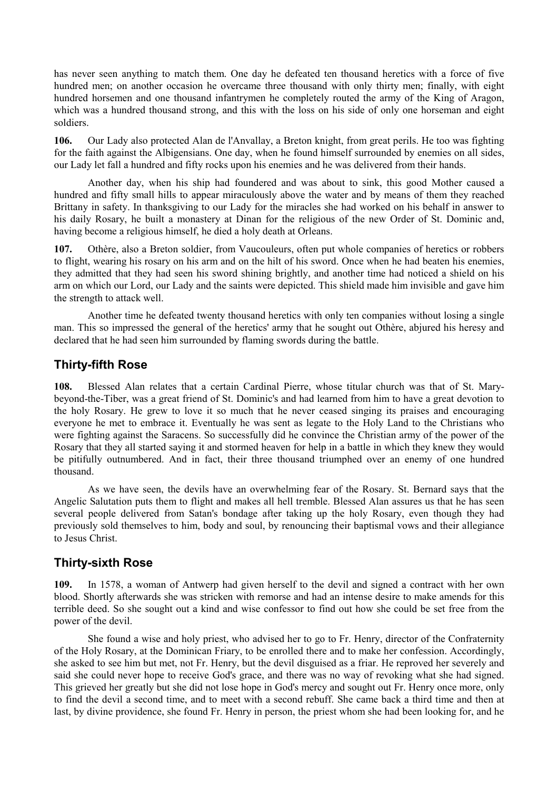has never seen anything to match them. One day he defeated ten thousand heretics with a force of five hundred men; on another occasion he overcame three thousand with only thirty men; finally, with eight hundred horsemen and one thousand infantrymen he completely routed the army of the King of Aragon, which was a hundred thousand strong, and this with the loss on his side of only one horseman and eight soldiers.

**106.** Our Lady also protected Alan de l'Anvallay, a Breton knight, from great perils. He too was fighting for the faith against the Albigensians. One day, when he found himself surrounded by enemies on all sides, our Lady let fall a hundred and fifty rocks upon his enemies and he was delivered from their hands.

 Another day, when his ship had foundered and was about to sink, this good Mother caused a hundred and fifty small hills to appear miraculously above the water and by means of them they reached Brittany in safety. In thanksgiving to our Lady for the miracles she had worked on his behalf in answer to his daily Rosary, he built a monastery at Dinan for the religious of the new Order of St. Dominic and, having become a religious himself, he died a holy death at Orleans.

**107.** Othère, also a Breton soldier, from Vaucouleurs, often put whole companies of heretics or robbers to flight, wearing his rosary on his arm and on the hilt of his sword. Once when he had beaten his enemies, they admitted that they had seen his sword shining brightly, and another time had noticed a shield on his arm on which our Lord, our Lady and the saints were depicted. This shield made him invisible and gave him the strength to attack well.

 Another time he defeated twenty thousand heretics with only ten companies without losing a single man. This so impressed the general of the heretics' army that he sought out Othère, abjured his heresy and declared that he had seen him surrounded by flaming swords during the battle.

### **Thirty-fifth Rose**

**108.** Blessed Alan relates that a certain Cardinal Pierre, whose titular church was that of St. Marybeyond-the-Tiber, was a great friend of St. Dominic's and had learned from him to have a great devotion to the holy Rosary. He grew to love it so much that he never ceased singing its praises and encouraging everyone he met to embrace it. Eventually he was sent as legate to the Holy Land to the Christians who were fighting against the Saracens. So successfully did he convince the Christian army of the power of the Rosary that they all started saying it and stormed heaven for help in a battle in which they knew they would be pitifully outnumbered. And in fact, their three thousand triumphed over an enemy of one hundred thousand.

 As we have seen, the devils have an overwhelming fear of the Rosary. St. Bernard says that the Angelic Salutation puts them to flight and makes all hell tremble. Blessed Alan assures us that he has seen several people delivered from Satan's bondage after taking up the holy Rosary, even though they had previously sold themselves to him, body and soul, by renouncing their baptismal vows and their allegiance to Jesus Christ.

### **Thirty-sixth Rose**

**109.** In 1578, a woman of Antwerp had given herself to the devil and signed a contract with her own blood. Shortly afterwards she was stricken with remorse and had an intense desire to make amends for this terrible deed. So she sought out a kind and wise confessor to find out how she could be set free from the power of the devil.

 She found a wise and holy priest, who advised her to go to Fr. Henry, director of the Confraternity of the Holy Rosary, at the Dominican Friary, to be enrolled there and to make her confession. Accordingly, she asked to see him but met, not Fr. Henry, but the devil disguised as a friar. He reproved her severely and said she could never hope to receive God's grace, and there was no way of revoking what she had signed. This grieved her greatly but she did not lose hope in God's mercy and sought out Fr. Henry once more, only to find the devil a second time, and to meet with a second rebuff. She came back a third time and then at last, by divine providence, she found Fr. Henry in person, the priest whom she had been looking for, and he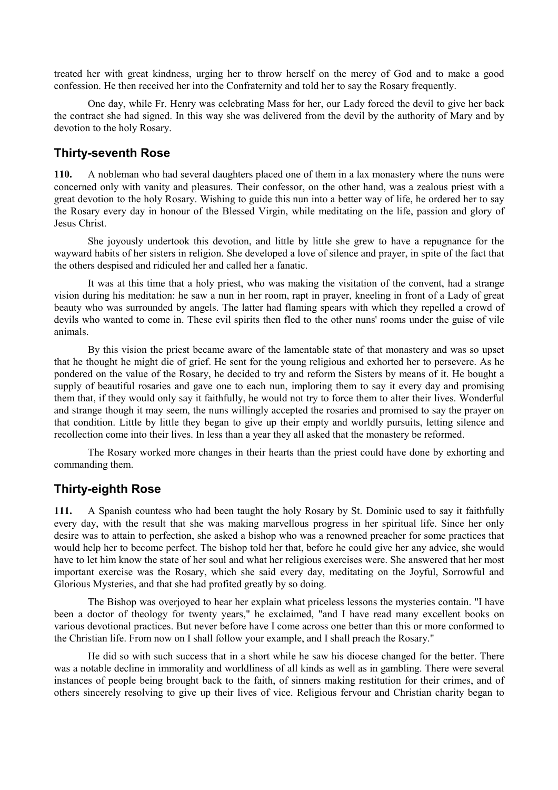treated her with great kindness, urging her to throw herself on the mercy of God and to make a good confession. He then received her into the Confraternity and told her to say the Rosary frequently.

 One day, while Fr. Henry was celebrating Mass for her, our Lady forced the devil to give her back the contract she had signed. In this way she was delivered from the devil by the authority of Mary and by devotion to the holy Rosary.

#### **Thirty-seventh Rose**

**110.** A nobleman who had several daughters placed one of them in a lax monastery where the nuns were concerned only with vanity and pleasures. Their confessor, on the other hand, was a zealous priest with a great devotion to the holy Rosary. Wishing to guide this nun into a better way of life, he ordered her to say the Rosary every day in honour of the Blessed Virgin, while meditating on the life, passion and glory of Jesus Christ.

 She joyously undertook this devotion, and little by little she grew to have a repugnance for the wayward habits of her sisters in religion. She developed a love of silence and prayer, in spite of the fact that the others despised and ridiculed her and called her a fanatic.

 It was at this time that a holy priest, who was making the visitation of the convent, had a strange vision during his meditation: he saw a nun in her room, rapt in prayer, kneeling in front of a Lady of great beauty who was surrounded by angels. The latter had flaming spears with which they repelled a crowd of devils who wanted to come in. These evil spirits then fled to the other nuns' rooms under the guise of vile animals.

 By this vision the priest became aware of the lamentable state of that monastery and was so upset that he thought he might die of grief. He sent for the young religious and exhorted her to persevere. As he pondered on the value of the Rosary, he decided to try and reform the Sisters by means of it. He bought a supply of beautiful rosaries and gave one to each nun, imploring them to say it every day and promising them that, if they would only say it faithfully, he would not try to force them to alter their lives. Wonderful and strange though it may seem, the nuns willingly accepted the rosaries and promised to say the prayer on that condition. Little by little they began to give up their empty and worldly pursuits, letting silence and recollection come into their lives. In less than a year they all asked that the monastery be reformed.

 The Rosary worked more changes in their hearts than the priest could have done by exhorting and commanding them.

## **Thirty-eighth Rose**

**111.** A Spanish countess who had been taught the holy Rosary by St. Dominic used to say it faithfully every day, with the result that she was making marvellous progress in her spiritual life. Since her only desire was to attain to perfection, she asked a bishop who was a renowned preacher for some practices that would help her to become perfect. The bishop told her that, before he could give her any advice, she would have to let him know the state of her soul and what her religious exercises were. She answered that her most important exercise was the Rosary, which she said every day, meditating on the Joyful, Sorrowful and Glorious Mysteries, and that she had profited greatly by so doing.

 The Bishop was overjoyed to hear her explain what priceless lessons the mysteries contain. "I have been a doctor of theology for twenty years," he exclaimed, "and I have read many excellent books on various devotional practices. But never before have I come across one better than this or more conformed to the Christian life. From now on I shall follow your example, and I shall preach the Rosary."

He did so with such success that in a short while he saw his diocese changed for the better. There was a notable decline in immorality and worldliness of all kinds as well as in gambling. There were several instances of people being brought back to the faith, of sinners making restitution for their crimes, and of others sincerely resolving to give up their lives of vice. Religious fervour and Christian charity began to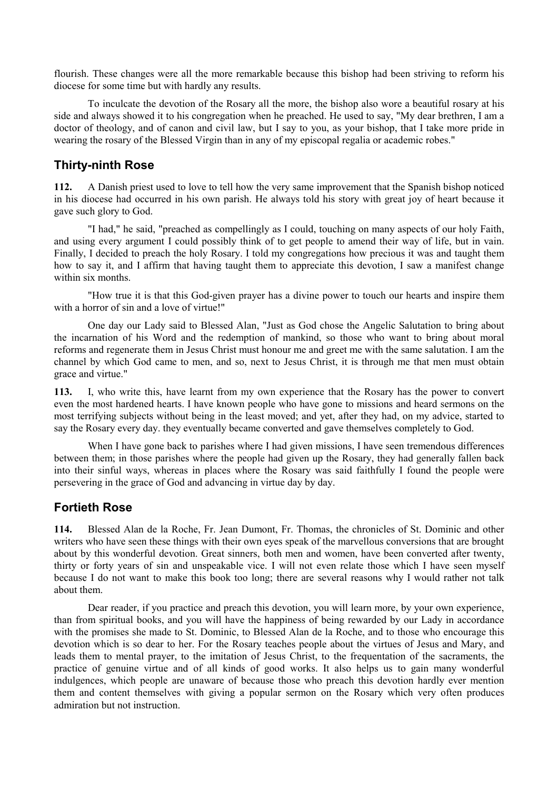flourish. These changes were all the more remarkable because this bishop had been striving to reform his diocese for some time but with hardly any results.

 To inculcate the devotion of the Rosary all the more, the bishop also wore a beautiful rosary at his side and always showed it to his congregation when he preached. He used to say, "My dear brethren, I am a doctor of theology, and of canon and civil law, but I say to you, as your bishop, that I take more pride in wearing the rosary of the Blessed Virgin than in any of my episcopal regalia or academic robes."

### **Thirty-ninth Rose**

**112.** A Danish priest used to love to tell how the very same improvement that the Spanish bishop noticed in his diocese had occurred in his own parish. He always told his story with great joy of heart because it gave such glory to God.

 "I had," he said, "preached as compellingly as I could, touching on many aspects of our holy Faith, and using every argument I could possibly think of to get people to amend their way of life, but in vain. Finally, I decided to preach the holy Rosary. I told my congregations how precious it was and taught them how to say it, and I affirm that having taught them to appreciate this devotion, I saw a manifest change within six months.

 "How true it is that this God-given prayer has a divine power to touch our hearts and inspire them with a horror of sin and a love of virtue!"

 One day our Lady said to Blessed Alan, "Just as God chose the Angelic Salutation to bring about the incarnation of his Word and the redemption of mankind, so those who want to bring about moral reforms and regenerate them in Jesus Christ must honour me and greet me with the same salutation. I am the channel by which God came to men, and so, next to Jesus Christ, it is through me that men must obtain grace and virtue."

**113.** I, who write this, have learnt from my own experience that the Rosary has the power to convert even the most hardened hearts. I have known people who have gone to missions and heard sermons on the most terrifying subjects without being in the least moved; and yet, after they had, on my advice, started to say the Rosary every day. they eventually became converted and gave themselves completely to God.

 When I have gone back to parishes where I had given missions, I have seen tremendous differences between them; in those parishes where the people had given up the Rosary, they had generally fallen back into their sinful ways, whereas in places where the Rosary was said faithfully I found the people were persevering in the grace of God and advancing in virtue day by day.

### **Fortieth Rose**

**114.** Blessed Alan de la Roche, Fr. Jean Dumont, Fr. Thomas, the chronicles of St. Dominic and other writers who have seen these things with their own eyes speak of the marvellous conversions that are brought about by this wonderful devotion. Great sinners, both men and women, have been converted after twenty, thirty or forty years of sin and unspeakable vice. I will not even relate those which I have seen myself because I do not want to make this book too long; there are several reasons why I would rather not talk about them.

 Dear reader, if you practice and preach this devotion, you will learn more, by your own experience, than from spiritual books, and you will have the happiness of being rewarded by our Lady in accordance with the promises she made to St. Dominic, to Blessed Alan de la Roche, and to those who encourage this devotion which is so dear to her. For the Rosary teaches people about the virtues of Jesus and Mary, and leads them to mental prayer, to the imitation of Jesus Christ, to the frequentation of the sacraments, the practice of genuine virtue and of all kinds of good works. It also helps us to gain many wonderful indulgences, which people are unaware of because those who preach this devotion hardly ever mention them and content themselves with giving a popular sermon on the Rosary which very often produces admiration but not instruction.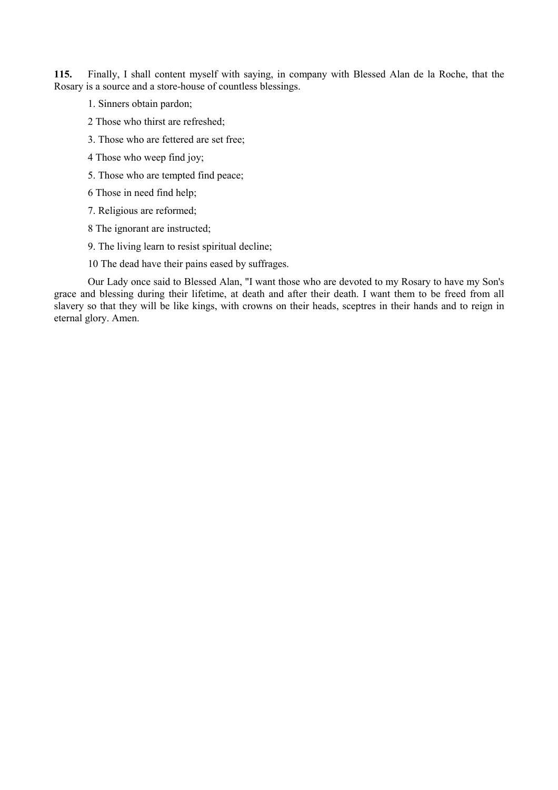**115.** Finally, I shall content myself with saying, in company with Blessed Alan de la Roche, that the Rosary is a source and a store-house of countless blessings.

- 1. Sinners obtain pardon;
- 2 Those who thirst are refreshed;
- 3. Those who are fettered are set free;
- 4 Those who weep find joy;
- 5. Those who are tempted find peace;
- 6 Those in need find help;
- 7. Religious are reformed;
- 8 The ignorant are instructed;
- 9. The living learn to resist spiritual decline;
- 10 The dead have their pains eased by suffrages.

 Our Lady once said to Blessed Alan, "I want those who are devoted to my Rosary to have my Son's grace and blessing during their lifetime, at death and after their death. I want them to be freed from all slavery so that they will be like kings, with crowns on their heads, sceptres in their hands and to reign in eternal glory. Amen.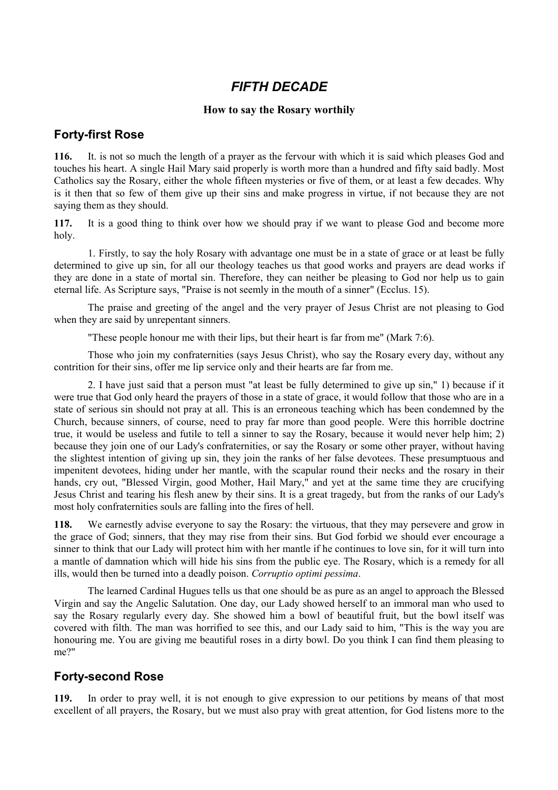## *FIFTH DECADE*

#### **How to say the Rosary worthily**

## **Forty-first Rose**

**116.** It. is not so much the length of a prayer as the fervour with which it is said which pleases God and touches his heart. A single Hail Mary said properly is worth more than a hundred and fifty said badly. Most Catholics say the Rosary, either the whole fifteen mysteries or five of them, or at least a few decades. Why is it then that so few of them give up their sins and make progress in virtue, if not because they are not saying them as they should.

**117.** It is a good thing to think over how we should pray if we want to please God and become more holy.

 1. Firstly, to say the holy Rosary with advantage one must be in a state of grace or at least be fully determined to give up sin, for all our theology teaches us that good works and prayers are dead works if they are done in a state of mortal sin. Therefore, they can neither be pleasing to God nor help us to gain eternal life. As Scripture says, "Praise is not seemly in the mouth of a sinner" (Ecclus. 15).

 The praise and greeting of the angel and the very prayer of Jesus Christ are not pleasing to God when they are said by unrepentant sinners.

"These people honour me with their lips, but their heart is far from me" (Mark 7:6).

 Those who join my confraternities (says Jesus Christ), who say the Rosary every day, without any contrition for their sins, offer me lip service only and their hearts are far from me.

 2. I have just said that a person must "at least be fully determined to give up sin," 1) because if it were true that God only heard the prayers of those in a state of grace, it would follow that those who are in a state of serious sin should not pray at all. This is an erroneous teaching which has been condemned by the Church, because sinners, of course, need to pray far more than good people. Were this horrible doctrine true, it would be useless and futile to tell a sinner to say the Rosary, because it would never help him; 2) because they join one of our Lady's confraternities, or say the Rosary or some other prayer, without having the slightest intention of giving up sin, they join the ranks of her false devotees. These presumptuous and impenitent devotees, hiding under her mantle, with the scapular round their necks and the rosary in their hands, cry out, "Blessed Virgin, good Mother, Hail Mary," and yet at the same time they are crucifying Jesus Christ and tearing his flesh anew by their sins. It is a great tragedy, but from the ranks of our Lady's most holy confraternities souls are falling into the fires of hell.

**118.** We earnestly advise everyone to say the Rosary: the virtuous, that they may persevere and grow in the grace of God; sinners, that they may rise from their sins. But God forbid we should ever encourage a sinner to think that our Lady will protect him with her mantle if he continues to love sin, for it will turn into a mantle of damnation which will hide his sins from the public eye. The Rosary, which is a remedy for all ills, would then be turned into a deadly poison. *Corruptio optimi pessima*.

 The learned Cardinal Hugues tells us that one should be as pure as an angel to approach the Blessed Virgin and say the Angelic Salutation. One day, our Lady showed herself to an immoral man who used to say the Rosary regularly every day. She showed him a bowl of beautiful fruit, but the bowl itself was covered with filth. The man was horrified to see this, and our Lady said to him, "This is the way you are honouring me. You are giving me beautiful roses in a dirty bowl. Do you think I can find them pleasing to me?"

## **Forty-second Rose**

**119.** In order to pray well, it is not enough to give expression to our petitions by means of that most excellent of all prayers, the Rosary, but we must also pray with great attention, for God listens more to the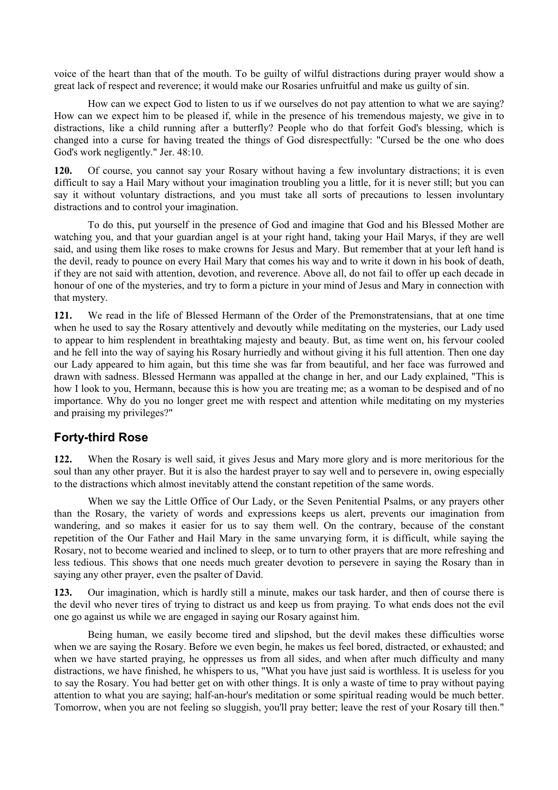voice of the heart than that of the mouth. To be guilty of wilful distractions during prayer would show a great lack of respect and reverence; it would make our Rosaries unfruitful and make us guilty of sin.

 How can we expect God to listen to us if we ourselves do not pay attention to what we are saying? How can we expect him to be pleased if, while in the presence of his tremendous majesty, we give in to distractions, like a child running after a butterfly? People who do that forfeit God's blessing, which is changed into a curse for having treated the things of God disrespectfully: "Cursed be the one who does God's work negligently." Jer. 48:10.

**120.** Of course, you cannot say your Rosary without having a few involuntary distractions; it is even difficult to say a Hail Mary without your imagination troubling you a little, for it is never still; but you can say it without voluntary distractions, and you must take all sorts of precautions to lessen involuntary distractions and to control your imagination.

 To do this, put yourself in the presence of God and imagine that God and his Blessed Mother are watching you, and that your guardian angel is at your right hand, taking your Hail Marys, if they are well said, and using them like roses to make crowns for Jesus and Mary. But remember that at your left hand is the devil, ready to pounce on every Hail Mary that comes his way and to write it down in his book of death, if they are not said with attention, devotion, and reverence. Above all, do not fail to offer up each decade in honour of one of the mysteries, and try to form a picture in your mind of Jesus and Mary in connection with that mystery.

**121.** We read in the life of Blessed Hermann of the Order of the Premonstratensians, that at one time when he used to say the Rosary attentively and devoutly while meditating on the mysteries, our Lady used to appear to him resplendent in breathtaking majesty and beauty. But, as time went on, his fervour cooled and he fell into the way of saying his Rosary hurriedly and without giving it his full attention. Then one day our Lady appeared to him again, but this time she was far from beautiful, and her face was furrowed and drawn with sadness. Blessed Hermann was appalled at the change in her, and our Lady explained, "This is how I look to you, Hermann, because this is how you are treating me; as a woman to be despised and of no importance. Why do you no longer greet me with respect and attention while meditating on my mysteries and praising my privileges?"

## **Forty-third Rose**

**122.** When the Rosary is well said, it gives Jesus and Mary more glory and is more meritorious for the soul than any other prayer. But it is also the hardest prayer to say well and to persevere in, owing especially to the distractions which almost inevitably attend the constant repetition of the same words.

 When we say the Little Office of Our Lady, or the Seven Penitential Psalms, or any prayers other than the Rosary, the variety of words and expressions keeps us alert, prevents our imagination from wandering, and so makes it easier for us to say them well. On the contrary, because of the constant repetition of the Our Father and Hail Mary in the same unvarying form, it is difficult, while saying the Rosary, not to become wearied and inclined to sleep, or to turn to other prayers that are more refreshing and less tedious. This shows that one needs much greater devotion to persevere in saying the Rosary than in saying any other prayer, even the psalter of David.

**123.** Our imagination, which is hardly still a minute, makes our task harder, and then of course there is the devil who never tires of trying to distract us and keep us from praying. To what ends does not the evil one go against us while we are engaged in saying our Rosary against him.

 Being human, we easily become tired and slipshod, but the devil makes these difficulties worse when we are saying the Rosary. Before we even begin, he makes us feel bored, distracted, or exhausted; and when we have started praying, he oppresses us from all sides, and when after much difficulty and many distractions, we have finished, he whispers to us, "What you have just said is worthless. It is useless for you to say the Rosary. You had better get on with other things. It is only a waste of time to pray without paying attention to what you are saying; half-an-hour's meditation or some spiritual reading would be much better. Tomorrow, when you are not feeling so sluggish, you'll pray better; leave the rest of your Rosary till then."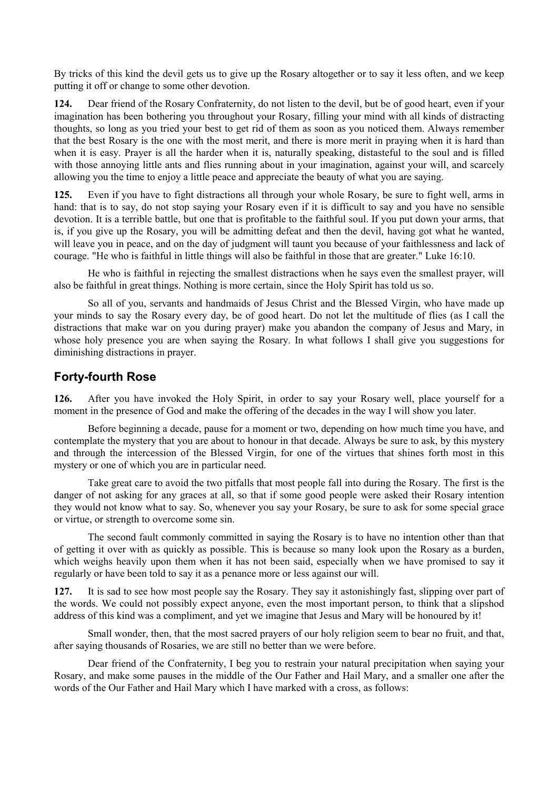By tricks of this kind the devil gets us to give up the Rosary altogether or to say it less often, and we keep putting it off or change to some other devotion.

**124.** Dear friend of the Rosary Confraternity, do not listen to the devil, but be of good heart, even if your imagination has been bothering you throughout your Rosary, filling your mind with all kinds of distracting thoughts, so long as you tried your best to get rid of them as soon as you noticed them. Always remember that the best Rosary is the one with the most merit, and there is more merit in praying when it is hard than when it is easy. Prayer is all the harder when it is, naturally speaking, distasteful to the soul and is filled with those annoying little ants and flies running about in your imagination, against your will, and scarcely allowing you the time to enjoy a little peace and appreciate the beauty of what you are saying.

**125.** Even if you have to fight distractions all through your whole Rosary, be sure to fight well, arms in hand: that is to say, do not stop saying your Rosary even if it is difficult to say and you have no sensible devotion. It is a terrible battle, but one that is profitable to the faithful soul. If you put down your arms, that is, if you give up the Rosary, you will be admitting defeat and then the devil, having got what he wanted, will leave you in peace, and on the day of judgment will taunt you because of your faithlessness and lack of courage. "He who is faithful in little things will also be faithful in those that are greater." Luke 16:10.

 He who is faithful in rejecting the smallest distractions when he says even the smallest prayer, will also be faithful in great things. Nothing is more certain, since the Holy Spirit has told us so.

 So all of you, servants and handmaids of Jesus Christ and the Blessed Virgin, who have made up your minds to say the Rosary every day, be of good heart. Do not let the multitude of flies (as I call the distractions that make war on you during prayer) make you abandon the company of Jesus and Mary, in whose holy presence you are when saying the Rosary. In what follows I shall give you suggestions for diminishing distractions in prayer.

## **Forty-fourth Rose**

**126.** After you have invoked the Holy Spirit, in order to say your Rosary well, place yourself for a moment in the presence of God and make the offering of the decades in the way I will show you later.

 Before beginning a decade, pause for a moment or two, depending on how much time you have, and contemplate the mystery that you are about to honour in that decade. Always be sure to ask, by this mystery and through the intercession of the Blessed Virgin, for one of the virtues that shines forth most in this mystery or one of which you are in particular need.

 Take great care to avoid the two pitfalls that most people fall into during the Rosary. The first is the danger of not asking for any graces at all, so that if some good people were asked their Rosary intention they would not know what to say. So, whenever you say your Rosary, be sure to ask for some special grace or virtue, or strength to overcome some sin.

 The second fault commonly committed in saying the Rosary is to have no intention other than that of getting it over with as quickly as possible. This is because so many look upon the Rosary as a burden, which weighs heavily upon them when it has not been said, especially when we have promised to say it regularly or have been told to say it as a penance more or less against our will.

**127.** It is sad to see how most people say the Rosary. They say it astonishingly fast, slipping over part of the words. We could not possibly expect anyone, even the most important person, to think that a slipshod address of this kind was a compliment, and yet we imagine that Jesus and Mary will be honoured by it!

 Small wonder, then, that the most sacred prayers of our holy religion seem to bear no fruit, and that, after saying thousands of Rosaries, we are still no better than we were before.

 Dear friend of the Confraternity, I beg you to restrain your natural precipitation when saying your Rosary, and make some pauses in the middle of the Our Father and Hail Mary, and a smaller one after the words of the Our Father and Hail Mary which I have marked with a cross, as follows: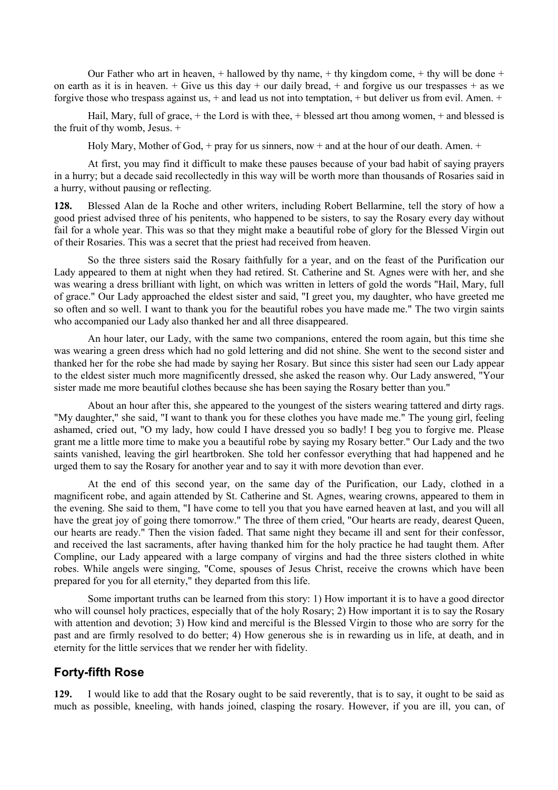Our Father who art in heaven,  $+$  hallowed by thy name,  $+$  thy kingdom come,  $+$  thy will be done  $+$ on earth as it is in heaven.  $+$  Give us this day  $+$  our daily bread,  $+$  and forgive us our trespasses  $+$  as we forgive those who trespass against us,  $+$  and lead us not into temptation,  $+$  but deliver us from evil. Amen.  $+$ 

 Hail, Mary, full of grace, + the Lord is with thee, + blessed art thou among women, + and blessed is the fruit of thy womb, Jesus. +

Holy Mary, Mother of God,  $+$  pray for us sinners, now  $+$  and at the hour of our death. Amen.  $+$ 

 At first, you may find it difficult to make these pauses because of your bad habit of saying prayers in a hurry; but a decade said recollectedly in this way will be worth more than thousands of Rosaries said in a hurry, without pausing or reflecting.

**128.** Blessed Alan de la Roche and other writers, including Robert Bellarmine, tell the story of how a good priest advised three of his penitents, who happened to be sisters, to say the Rosary every day without fail for a whole year. This was so that they might make a beautiful robe of glory for the Blessed Virgin out of their Rosaries. This was a secret that the priest had received from heaven.

 So the three sisters said the Rosary faithfully for a year, and on the feast of the Purification our Lady appeared to them at night when they had retired. St. Catherine and St. Agnes were with her, and she was wearing a dress brilliant with light, on which was written in letters of gold the words "Hail, Mary, full of grace." Our Lady approached the eldest sister and said, "I greet you, my daughter, who have greeted me so often and so well. I want to thank you for the beautiful robes you have made me." The two virgin saints who accompanied our Lady also thanked her and all three disappeared.

 An hour later, our Lady, with the same two companions, entered the room again, but this time she was wearing a green dress which had no gold lettering and did not shine. She went to the second sister and thanked her for the robe she had made by saying her Rosary. But since this sister had seen our Lady appear to the eldest sister much more magnificently dressed, she asked the reason why. Our Lady answered, "Your sister made me more beautiful clothes because she has been saying the Rosary better than you."

 About an hour after this, she appeared to the youngest of the sisters wearing tattered and dirty rags. "My daughter," she said, "I want to thank you for these clothes you have made me." The young girl, feeling ashamed, cried out, "O my lady, how could I have dressed you so badly! I beg you to forgive me. Please grant me a little more time to make you a beautiful robe by saying my Rosary better." Our Lady and the two saints vanished, leaving the girl heartbroken. She told her confessor everything that had happened and he urged them to say the Rosary for another year and to say it with more devotion than ever.

 At the end of this second year, on the same day of the Purification, our Lady, clothed in a magnificent robe, and again attended by St. Catherine and St. Agnes, wearing crowns, appeared to them in the evening. She said to them, "I have come to tell you that you have earned heaven at last, and you will all have the great joy of going there tomorrow." The three of them cried, "Our hearts are ready, dearest Queen, our hearts are ready." Then the vision faded. That same night they became ill and sent for their confessor, and received the last sacraments, after having thanked him for the holy practice he had taught them. After Compline, our Lady appeared with a large company of virgins and had the three sisters clothed in white robes. While angels were singing, "Come, spouses of Jesus Christ, receive the crowns which have been prepared for you for all eternity," they departed from this life.

 Some important truths can be learned from this story: 1) How important it is to have a good director who will counsel holy practices, especially that of the holy Rosary; 2) How important it is to say the Rosary with attention and devotion; 3) How kind and merciful is the Blessed Virgin to those who are sorry for the past and are firmly resolved to do better; 4) How generous she is in rewarding us in life, at death, and in eternity for the little services that we render her with fidelity.

#### **Forty-fifth Rose**

**129.** I would like to add that the Rosary ought to be said reverently, that is to say, it ought to be said as much as possible, kneeling, with hands joined, clasping the rosary. However, if you are ill, you can, of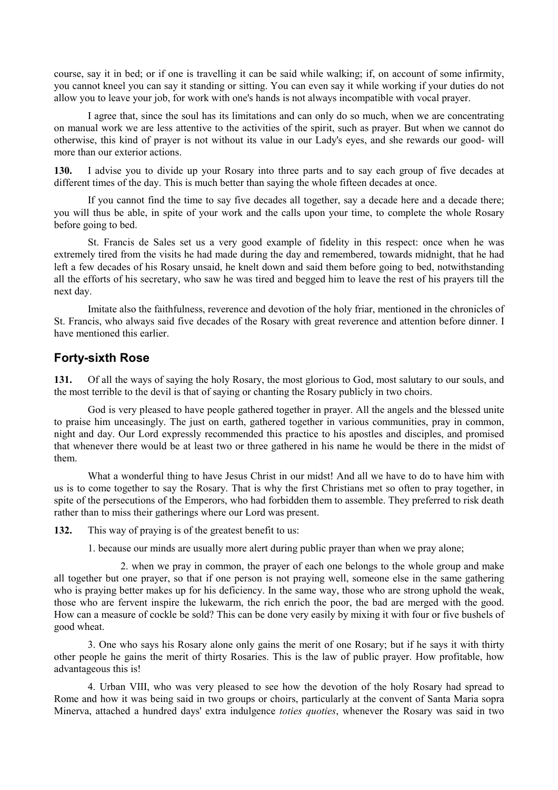course, say it in bed; or if one is travelling it can be said while walking; if, on account of some infirmity, you cannot kneel you can say it standing or sitting. You can even say it while working if your duties do not allow you to leave your job, for work with one's hands is not always incompatible with vocal prayer.

 I agree that, since the soul has its limitations and can only do so much, when we are concentrating on manual work we are less attentive to the activities of the spirit, such as prayer. But when we cannot do otherwise, this kind of prayer is not without its value in our Lady's eyes, and she rewards our good- will more than our exterior actions.

**130.** I advise you to divide up your Rosary into three parts and to say each group of five decades at different times of the day. This is much better than saying the whole fifteen decades at once.

 If you cannot find the time to say five decades all together, say a decade here and a decade there; you will thus be able, in spite of your work and the calls upon your time, to complete the whole Rosary before going to bed.

 St. Francis de Sales set us a very good example of fidelity in this respect: once when he was extremely tired from the visits he had made during the day and remembered, towards midnight, that he had left a few decades of his Rosary unsaid, he knelt down and said them before going to bed, notwithstanding all the efforts of his secretary, who saw he was tired and begged him to leave the rest of his prayers till the next day.

 Imitate also the faithfulness, reverence and devotion of the holy friar, mentioned in the chronicles of St. Francis, who always said five decades of the Rosary with great reverence and attention before dinner. I have mentioned this earlier.

#### **Forty-sixth Rose**

**131.** Of all the ways of saying the holy Rosary, the most glorious to God, most salutary to our souls, and the most terrible to the devil is that of saying or chanting the Rosary publicly in two choirs.

 God is very pleased to have people gathered together in prayer. All the angels and the blessed unite to praise him unceasingly. The just on earth, gathered together in various communities, pray in common, night and day. Our Lord expressly recommended this practice to his apostles and disciples, and promised that whenever there would be at least two or three gathered in his name he would be there in the midst of them.

 What a wonderful thing to have Jesus Christ in our midst! And all we have to do to have him with us is to come together to say the Rosary. That is why the first Christians met so often to pray together, in spite of the persecutions of the Emperors, who had forbidden them to assemble. They preferred to risk death rather than to miss their gatherings where our Lord was present.

**132.** This way of praying is of the greatest benefit to us:

1. because our minds are usually more alert during public prayer than when we pray alone;

 2. when we pray in common, the prayer of each one belongs to the whole group and make all together but one prayer, so that if one person is not praying well, someone else in the same gathering who is praying better makes up for his deficiency. In the same way, those who are strong uphold the weak, those who are fervent inspire the lukewarm, the rich enrich the poor, the bad are merged with the good. How can a measure of cockle be sold? This can be done very easily by mixing it with four or five bushels of good wheat.

 3. One who says his Rosary alone only gains the merit of one Rosary; but if he says it with thirty other people he gains the merit of thirty Rosaries. This is the law of public prayer. How profitable, how advantageous this is!

 4. Urban VIII, who was very pleased to see how the devotion of the holy Rosary had spread to Rome and how it was being said in two groups or choirs, particularly at the convent of Santa Maria sopra Minerva, attached a hundred days' extra indulgence *toties quoties*, whenever the Rosary was said in two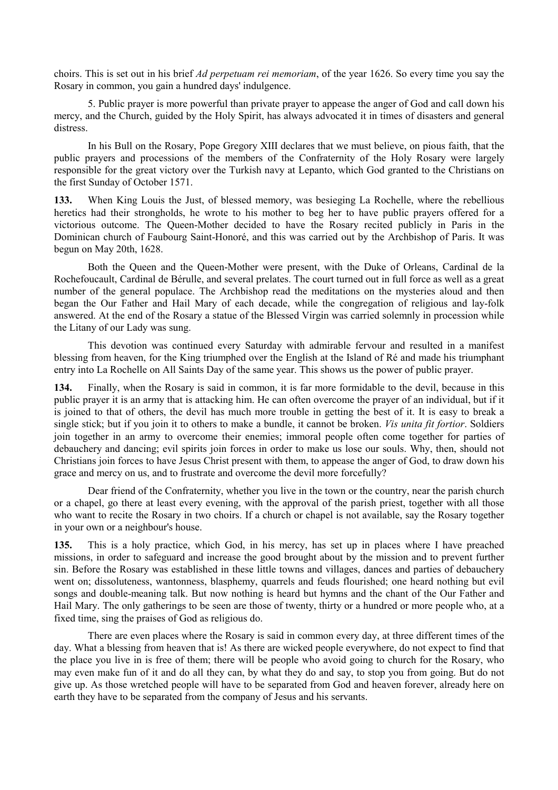choirs. This is set out in his brief *Ad perpetuam rei memoriam*, of the year 1626. So every time you say the Rosary in common, you gain a hundred days' indulgence.

 5. Public prayer is more powerful than private prayer to appease the anger of God and call down his mercy, and the Church, guided by the Holy Spirit, has always advocated it in times of disasters and general distress.

 In his Bull on the Rosary, Pope Gregory XIII declares that we must believe, on pious faith, that the public prayers and processions of the members of the Confraternity of the Holy Rosary were largely responsible for the great victory over the Turkish navy at Lepanto, which God granted to the Christians on the first Sunday of October 1571.

**133.** When King Louis the Just, of blessed memory, was besieging La Rochelle, where the rebellious heretics had their strongholds, he wrote to his mother to beg her to have public prayers offered for a victorious outcome. The Queen-Mother decided to have the Rosary recited publicly in Paris in the Dominican church of Faubourg Saint-Honoré, and this was carried out by the Archbishop of Paris. It was begun on May 20th, 1628.

 Both the Queen and the Queen-Mother were present, with the Duke of Orleans, Cardinal de la Rochefoucault, Cardinal de Bérulle, and several prelates. The court turned out in full force as well as a great number of the general populace. The Archbishop read the meditations on the mysteries aloud and then began the Our Father and Hail Mary of each decade, while the congregation of religious and lay-folk answered. At the end of the Rosary a statue of the Blessed Virgin was carried solemnly in procession while the Litany of our Lady was sung.

 This devotion was continued every Saturday with admirable fervour and resulted in a manifest blessing from heaven, for the King triumphed over the English at the Island of Ré and made his triumphant entry into La Rochelle on All Saints Day of the same year. This shows us the power of public prayer.

**134.** Finally, when the Rosary is said in common, it is far more formidable to the devil, because in this public prayer it is an army that is attacking him. He can often overcome the prayer of an individual, but if it is joined to that of others, the devil has much more trouble in getting the best of it. It is easy to break a single stick; but if you join it to others to make a bundle, it cannot be broken. *Vis unita fit fortior*. Soldiers join together in an army to overcome their enemies; immoral people often come together for parties of debauchery and dancing; evil spirits join forces in order to make us lose our souls. Why, then, should not Christians join forces to have Jesus Christ present with them, to appease the anger of God, to draw down his grace and mercy on us, and to frustrate and overcome the devil more forcefully?

 Dear friend of the Confraternity, whether you live in the town or the country, near the parish church or a chapel, go there at least every evening, with the approval of the parish priest, together with all those who want to recite the Rosary in two choirs. If a church or chapel is not available, say the Rosary together in your own or a neighbour's house.

**135.** This is a holy practice, which God, in his mercy, has set up in places where I have preached missions, in order to safeguard and increase the good brought about by the mission and to prevent further sin. Before the Rosary was established in these little towns and villages, dances and parties of debauchery went on; dissoluteness, wantonness, blasphemy, quarrels and feuds flourished; one heard nothing but evil songs and double-meaning talk. But now nothing is heard but hymns and the chant of the Our Father and Hail Mary. The only gatherings to be seen are those of twenty, thirty or a hundred or more people who, at a fixed time, sing the praises of God as religious do.

 There are even places where the Rosary is said in common every day, at three different times of the day. What a blessing from heaven that is! As there are wicked people everywhere, do not expect to find that the place you live in is free of them; there will be people who avoid going to church for the Rosary, who may even make fun of it and do all they can, by what they do and say, to stop you from going. But do not give up. As those wretched people will have to be separated from God and heaven forever, already here on earth they have to be separated from the company of Jesus and his servants.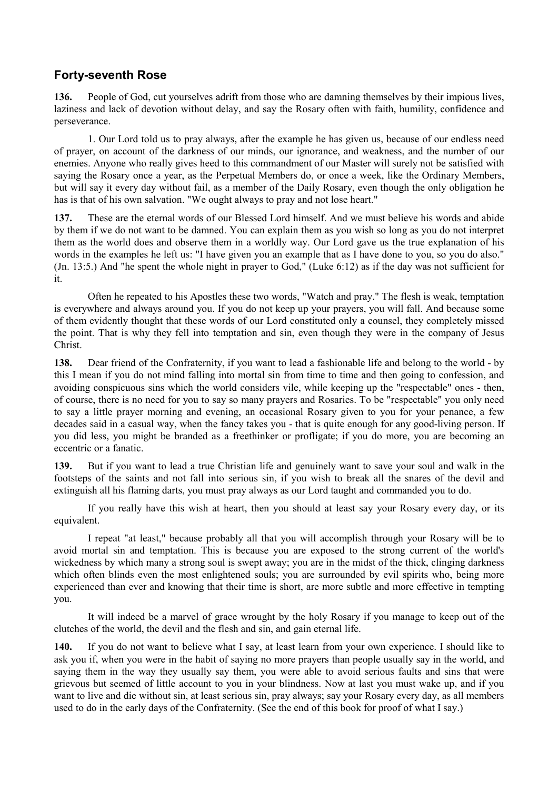## **Forty-seventh Rose**

**136.** People of God, cut yourselves adrift from those who are damning themselves by their impious lives, laziness and lack of devotion without delay, and say the Rosary often with faith, humility, confidence and perseverance.

 1. Our Lord told us to pray always, after the example he has given us, because of our endless need of prayer, on account of the darkness of our minds, our ignorance, and weakness, and the number of our enemies. Anyone who really gives heed to this commandment of our Master will surely not be satisfied with saying the Rosary once a year, as the Perpetual Members do, or once a week, like the Ordinary Members, but will say it every day without fail, as a member of the Daily Rosary, even though the only obligation he has is that of his own salvation. "We ought always to pray and not lose heart."

**137.** These are the eternal words of our Blessed Lord himself. And we must believe his words and abide by them if we do not want to be damned. You can explain them as you wish so long as you do not interpret them as the world does and observe them in a worldly way. Our Lord gave us the true explanation of his words in the examples he left us: "I have given you an example that as I have done to you, so you do also." (Jn. 13:5.) And "he spent the whole night in prayer to God," (Luke 6:12) as if the day was not sufficient for it.

 Often he repeated to his Apostles these two words, "Watch and pray." The flesh is weak, temptation is everywhere and always around you. If you do not keep up your prayers, you will fall. And because some of them evidently thought that these words of our Lord constituted only a counsel, they completely missed the point. That is why they fell into temptation and sin, even though they were in the company of Jesus Christ.

**138.** Dear friend of the Confraternity, if you want to lead a fashionable life and belong to the world - by this I mean if you do not mind falling into mortal sin from time to time and then going to confession, and avoiding conspicuous sins which the world considers vile, while keeping up the "respectable" ones - then, of course, there is no need for you to say so many prayers and Rosaries. To be "respectable" you only need to say a little prayer morning and evening, an occasional Rosary given to you for your penance, a few decades said in a casual way, when the fancy takes you - that is quite enough for any good-living person. If you did less, you might be branded as a freethinker or profligate; if you do more, you are becoming an eccentric or a fanatic.

**139.** But if you want to lead a true Christian life and genuinely want to save your soul and walk in the footsteps of the saints and not fall into serious sin, if you wish to break all the snares of the devil and extinguish all his flaming darts, you must pray always as our Lord taught and commanded you to do.

 If you really have this wish at heart, then you should at least say your Rosary every day, or its equivalent.

 I repeat "at least," because probably all that you will accomplish through your Rosary will be to avoid mortal sin and temptation. This is because you are exposed to the strong current of the world's wickedness by which many a strong soul is swept away; you are in the midst of the thick, clinging darkness which often blinds even the most enlightened souls; you are surrounded by evil spirits who, being more experienced than ever and knowing that their time is short, are more subtle and more effective in tempting you.

 It will indeed be a marvel of grace wrought by the holy Rosary if you manage to keep out of the clutches of the world, the devil and the flesh and sin, and gain eternal life.

**140.** If you do not want to believe what I say, at least learn from your own experience. I should like to ask you if, when you were in the habit of saying no more prayers than people usually say in the world, and saying them in the way they usually say them, you were able to avoid serious faults and sins that were grievous but seemed of little account to you in your blindness. Now at last you must wake up, and if you want to live and die without sin, at least serious sin, pray always; say your Rosary every day, as all members used to do in the early days of the Confraternity. (See the end of this book for proof of what I say.)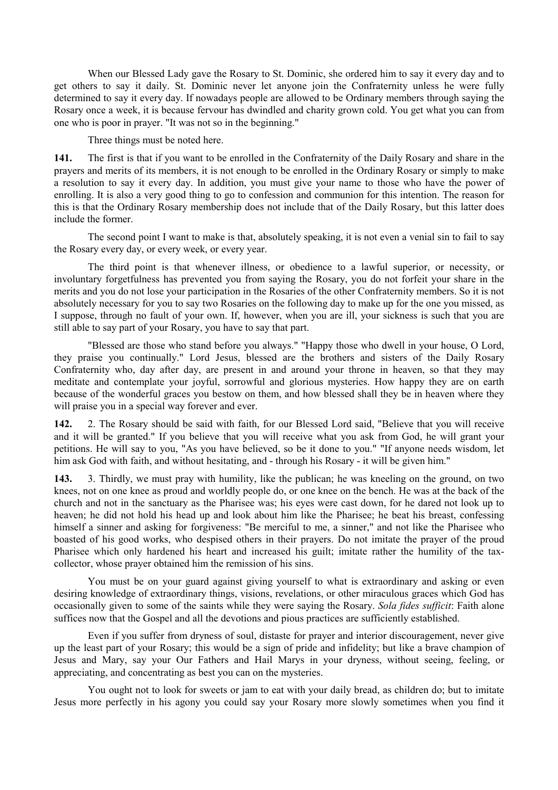When our Blessed Lady gave the Rosary to St. Dominic, she ordered him to say it every day and to get others to say it daily. St. Dominic never let anyone join the Confraternity unless he were fully determined to say it every day. If nowadays people are allowed to be Ordinary members through saying the Rosary once a week, it is because fervour has dwindled and charity grown cold. You get what you can from one who is poor in prayer. "It was not so in the beginning."

Three things must be noted here.

**141.** The first is that if you want to be enrolled in the Confraternity of the Daily Rosary and share in the prayers and merits of its members, it is not enough to be enrolled in the Ordinary Rosary or simply to make a resolution to say it every day. In addition, you must give your name to those who have the power of enrolling. It is also a very good thing to go to confession and communion for this intention. The reason for this is that the Ordinary Rosary membership does not include that of the Daily Rosary, but this latter does include the former.

 The second point I want to make is that, absolutely speaking, it is not even a venial sin to fail to say the Rosary every day, or every week, or every year.

 The third point is that whenever illness, or obedience to a lawful superior, or necessity, or involuntary forgetfulness has prevented you from saying the Rosary, you do not forfeit your share in the merits and you do not lose your participation in the Rosaries of the other Confraternity members. So it is not absolutely necessary for you to say two Rosaries on the following day to make up for the one you missed, as I suppose, through no fault of your own. If, however, when you are ill, your sickness is such that you are still able to say part of your Rosary, you have to say that part.

 "Blessed are those who stand before you always." "Happy those who dwell in your house, O Lord, they praise you continually." Lord Jesus, blessed are the brothers and sisters of the Daily Rosary Confraternity who, day after day, are present in and around your throne in heaven, so that they may meditate and contemplate your joyful, sorrowful and glorious mysteries. How happy they are on earth because of the wonderful graces you bestow on them, and how blessed shall they be in heaven where they will praise you in a special way forever and ever.

**142.** 2. The Rosary should be said with faith, for our Blessed Lord said, "Believe that you will receive and it will be granted." If you believe that you will receive what you ask from God, he will grant your petitions. He will say to you, "As you have believed, so be it done to you." "If anyone needs wisdom, let him ask God with faith, and without hesitating, and - through his Rosary - it will be given him."

**143.** 3. Thirdly, we must pray with humility, like the publican; he was kneeling on the ground, on two knees, not on one knee as proud and worldly people do, or one knee on the bench. He was at the back of the church and not in the sanctuary as the Pharisee was; his eyes were cast down, for he dared not look up to heaven; he did not hold his head up and look about him like the Pharisee; he beat his breast, confessing himself a sinner and asking for forgiveness: "Be merciful to me, a sinner," and not like the Pharisee who boasted of his good works, who despised others in their prayers. Do not imitate the prayer of the proud Pharisee which only hardened his heart and increased his guilt; imitate rather the humility of the taxcollector, whose prayer obtained him the remission of his sins.

 You must be on your guard against giving yourself to what is extraordinary and asking or even desiring knowledge of extraordinary things, visions, revelations, or other miraculous graces which God has occasionally given to some of the saints while they were saying the Rosary. *Sola fides sufficit*: Faith alone suffices now that the Gospel and all the devotions and pious practices are sufficiently established.

 Even if you suffer from dryness of soul, distaste for prayer and interior discouragement, never give up the least part of your Rosary; this would be a sign of pride and infidelity; but like a brave champion of Jesus and Mary, say your Our Fathers and Hail Marys in your dryness, without seeing, feeling, or appreciating, and concentrating as best you can on the mysteries.

 You ought not to look for sweets or jam to eat with your daily bread, as children do; but to imitate Jesus more perfectly in his agony you could say your Rosary more slowly sometimes when you find it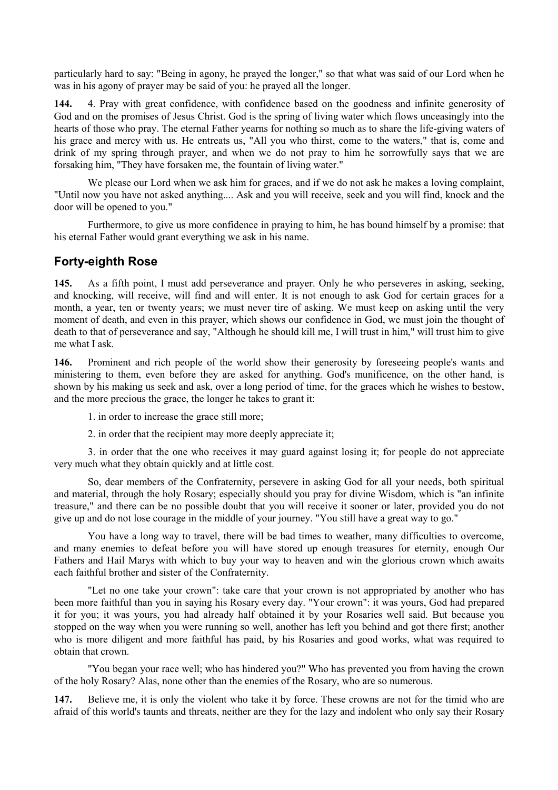particularly hard to say: "Being in agony, he prayed the longer," so that what was said of our Lord when he was in his agony of prayer may be said of you: he prayed all the longer.

**144.** 4. Pray with great confidence, with confidence based on the goodness and infinite generosity of God and on the promises of Jesus Christ. God is the spring of living water which flows unceasingly into the hearts of those who pray. The eternal Father yearns for nothing so much as to share the life-giving waters of his grace and mercy with us. He entreats us, "All you who thirst, come to the waters," that is, come and drink of my spring through prayer, and when we do not pray to him he sorrowfully says that we are forsaking him, "They have forsaken me, the fountain of living water."

 We please our Lord when we ask him for graces, and if we do not ask he makes a loving complaint, "Until now you have not asked anything.... Ask and you will receive, seek and you will find, knock and the door will be opened to you."

 Furthermore, to give us more confidence in praying to him, he has bound himself by a promise: that his eternal Father would grant everything we ask in his name.

## **Forty-eighth Rose**

**145.** As a fifth point, I must add perseverance and prayer. Only he who perseveres in asking, seeking, and knocking, will receive, will find and will enter. It is not enough to ask God for certain graces for a month, a year, ten or twenty years; we must never tire of asking. We must keep on asking until the very moment of death, and even in this prayer, which shows our confidence in God, we must join the thought of death to that of perseverance and say, "Although he should kill me, I will trust in him," will trust him to give me what I ask.

146. Prominent and rich people of the world show their generosity by foreseeing people's wants and ministering to them, even before they are asked for anything. God's munificence, on the other hand, is shown by his making us seek and ask, over a long period of time, for the graces which he wishes to bestow, and the more precious the grace, the longer he takes to grant it:

1. in order to increase the grace still more;

2. in order that the recipient may more deeply appreciate it;

 3. in order that the one who receives it may guard against losing it; for people do not appreciate very much what they obtain quickly and at little cost.

 So, dear members of the Confraternity, persevere in asking God for all your needs, both spiritual and material, through the holy Rosary; especially should you pray for divine Wisdom, which is "an infinite treasure," and there can be no possible doubt that you will receive it sooner or later, provided you do not give up and do not lose courage in the middle of your journey. "You still have a great way to go."

 You have a long way to travel, there will be bad times to weather, many difficulties to overcome, and many enemies to defeat before you will have stored up enough treasures for eternity, enough Our Fathers and Hail Marys with which to buy your way to heaven and win the glorious crown which awaits each faithful brother and sister of the Confraternity.

 "Let no one take your crown": take care that your crown is not appropriated by another who has been more faithful than you in saying his Rosary every day. "Your crown": it was yours, God had prepared it for you; it was yours, you had already half obtained it by your Rosaries well said. But because you stopped on the way when you were running so well, another has left you behind and got there first; another who is more diligent and more faithful has paid, by his Rosaries and good works, what was required to obtain that crown.

 "You began your race well; who has hindered you?" Who has prevented you from having the crown of the holy Rosary? Alas, none other than the enemies of the Rosary, who are so numerous.

**147.** Believe me, it is only the violent who take it by force. These crowns are not for the timid who are afraid of this world's taunts and threats, neither are they for the lazy and indolent who only say their Rosary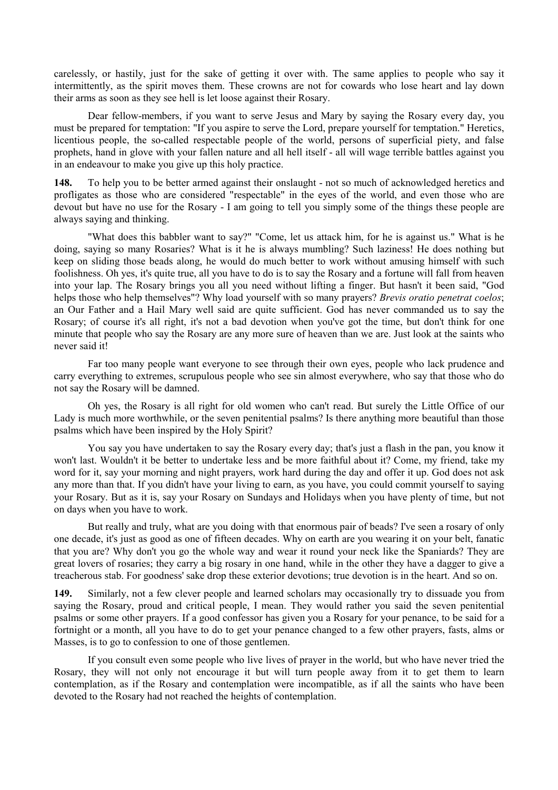carelessly, or hastily, just for the sake of getting it over with. The same applies to people who say it intermittently, as the spirit moves them. These crowns are not for cowards who lose heart and lay down their arms as soon as they see hell is let loose against their Rosary.

 Dear fellow-members, if you want to serve Jesus and Mary by saying the Rosary every day, you must be prepared for temptation: "If you aspire to serve the Lord, prepare yourself for temptation." Heretics, licentious people, the so-called respectable people of the world, persons of superficial piety, and false prophets, hand in glove with your fallen nature and all hell itself - all will wage terrible battles against you in an endeavour to make you give up this holy practice.

**148.** To help you to be better armed against their onslaught - not so much of acknowledged heretics and profligates as those who are considered "respectable" in the eyes of the world, and even those who are devout but have no use for the Rosary - I am going to tell you simply some of the things these people are always saying and thinking.

 "What does this babbler want to say?" "Come, let us attack him, for he is against us." What is he doing, saying so many Rosaries? What is it he is always mumbling? Such laziness! He does nothing but keep on sliding those beads along, he would do much better to work without amusing himself with such foolishness. Oh yes, it's quite true, all you have to do is to say the Rosary and a fortune will fall from heaven into your lap. The Rosary brings you all you need without lifting a finger. But hasn't it been said, "God helps those who help themselves"? Why load yourself with so many prayers? *Brevis oratio penetrat coelos*; an Our Father and a Hail Mary well said are quite sufficient. God has never commanded us to say the Rosary; of course it's all right, it's not a bad devotion when you've got the time, but don't think for one minute that people who say the Rosary are any more sure of heaven than we are. Just look at the saints who never said it!

 Far too many people want everyone to see through their own eyes, people who lack prudence and carry everything to extremes, scrupulous people who see sin almost everywhere, who say that those who do not say the Rosary will be damned.

 Oh yes, the Rosary is all right for old women who can't read. But surely the Little Office of our Lady is much more worthwhile, or the seven penitential psalms? Is there anything more beautiful than those psalms which have been inspired by the Holy Spirit?

 You say you have undertaken to say the Rosary every day; that's just a flash in the pan, you know it won't last. Wouldn't it be better to undertake less and be more faithful about it? Come, my friend, take my word for it, say your morning and night prayers, work hard during the day and offer it up. God does not ask any more than that. If you didn't have your living to earn, as you have, you could commit yourself to saying your Rosary. But as it is, say your Rosary on Sundays and Holidays when you have plenty of time, but not on days when you have to work.

 But really and truly, what are you doing with that enormous pair of beads? I've seen a rosary of only one decade, it's just as good as one of fifteen decades. Why on earth are you wearing it on your belt, fanatic that you are? Why don't you go the whole way and wear it round your neck like the Spaniards? They are great lovers of rosaries; they carry a big rosary in one hand, while in the other they have a dagger to give a treacherous stab. For goodness' sake drop these exterior devotions; true devotion is in the heart. And so on.

**149.** Similarly, not a few clever people and learned scholars may occasionally try to dissuade you from saying the Rosary, proud and critical people, I mean. They would rather you said the seven penitential psalms or some other prayers. If a good confessor has given you a Rosary for your penance, to be said for a fortnight or a month, all you have to do to get your penance changed to a few other prayers, fasts, alms or Masses, is to go to confession to one of those gentlemen.

 If you consult even some people who live lives of prayer in the world, but who have never tried the Rosary, they will not only not encourage it but will turn people away from it to get them to learn contemplation, as if the Rosary and contemplation were incompatible, as if all the saints who have been devoted to the Rosary had not reached the heights of contemplation.